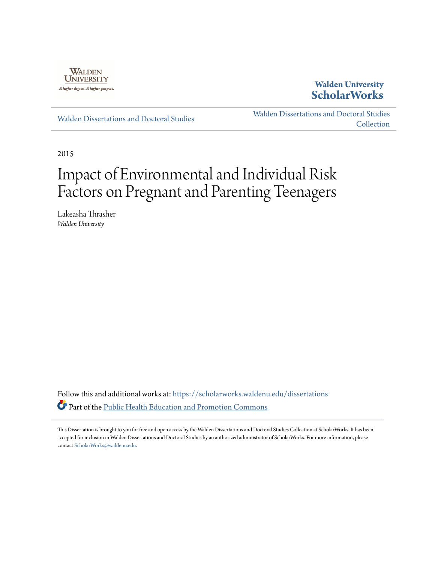

**Walden University [ScholarWorks](https://scholarworks.waldenu.edu/?utm_source=scholarworks.waldenu.edu%2Fdissertations%2F1371&utm_medium=PDF&utm_campaign=PDFCoverPages)**

[Walden Dissertations and Doctoral Studies](https://scholarworks.waldenu.edu/dissertations?utm_source=scholarworks.waldenu.edu%2Fdissertations%2F1371&utm_medium=PDF&utm_campaign=PDFCoverPages)

[Walden Dissertations and Doctoral Studies](https://scholarworks.waldenu.edu/dissanddoc?utm_source=scholarworks.waldenu.edu%2Fdissertations%2F1371&utm_medium=PDF&utm_campaign=PDFCoverPages) [Collection](https://scholarworks.waldenu.edu/dissanddoc?utm_source=scholarworks.waldenu.edu%2Fdissertations%2F1371&utm_medium=PDF&utm_campaign=PDFCoverPages)

2015

# Impact of Environmental and Individual Risk Factors on Pregnant and Parenting Teenagers

Lakeasha Thrasher *Walden University*

Follow this and additional works at: [https://scholarworks.waldenu.edu/dissertations](https://scholarworks.waldenu.edu/dissertations?utm_source=scholarworks.waldenu.edu%2Fdissertations%2F1371&utm_medium=PDF&utm_campaign=PDFCoverPages) Part of the [Public Health Education and Promotion Commons](http://network.bepress.com/hgg/discipline/743?utm_source=scholarworks.waldenu.edu%2Fdissertations%2F1371&utm_medium=PDF&utm_campaign=PDFCoverPages)

This Dissertation is brought to you for free and open access by the Walden Dissertations and Doctoral Studies Collection at ScholarWorks. It has been accepted for inclusion in Walden Dissertations and Doctoral Studies by an authorized administrator of ScholarWorks. For more information, please contact [ScholarWorks@waldenu.edu](mailto:ScholarWorks@waldenu.edu).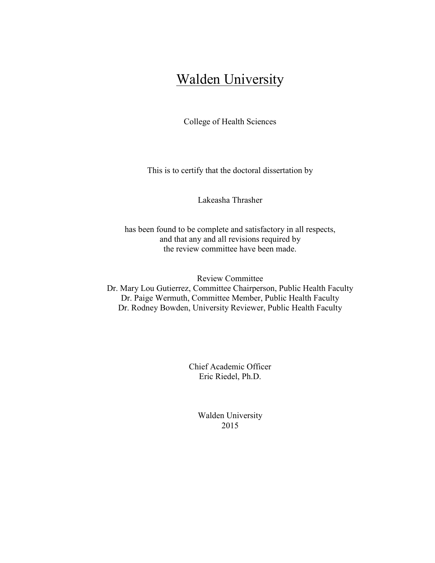## **Walden University**

College of Health Sciences

This is to certify that the doctoral dissertation by

Lakeasha Thrasher

has been found to be complete and satisfactory in all respects, and that any and all revisions required by the review committee have been made.

Review Committee Dr. Mary Lou Gutierrez, Committee Chairperson, Public Health Faculty Dr. Paige Wermuth, Committee Member, Public Health Faculty Dr. Rodney Bowden, University Reviewer, Public Health Faculty

> Chief Academic Officer Eric Riedel, Ph.D.

> > Walden University 2015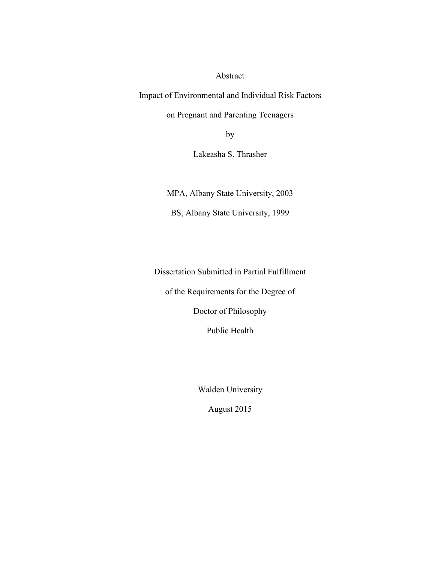Abstract

Impact of Environmental and Individual Risk Factors

on Pregnant and Parenting Teenagers

by

Lakeasha S. Thrasher

MPA, Albany State University, 2003

BS, Albany State University, 1999

Dissertation Submitted in Partial Fulfillment

of the Requirements for the Degree of

Doctor of Philosophy

Public Health

Walden University

August 2015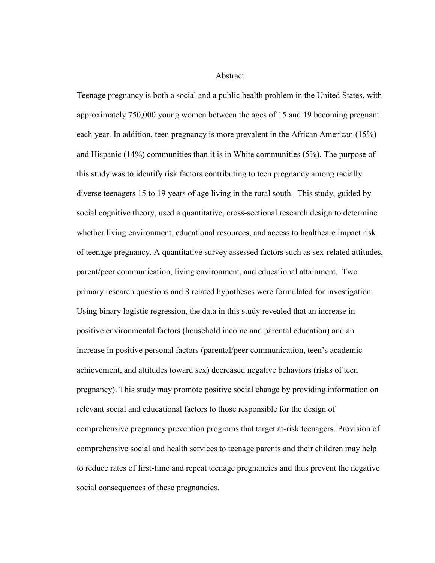Abstract

Teenage pregnancy is both a social and a public health problem in the United States, with approximately 750,000 young women between the ages of 15 and 19 becoming pregnant each year. In addition, teen pregnancy is more prevalent in the African American (15%) and Hispanic (14%) communities than it is in White communities (5%). The purpose of this study was to identify risk factors contributing to teen pregnancy among racially diverse teenagers 15 to 19 years of age living in the rural south. This study, guided by social cognitive theory, used a quantitative, cross-sectional research design to determine whether living environment, educational resources, and access to healthcare impact risk of teenage pregnancy. A quantitative survey assessed factors such as sex-related attitudes, parent/peer communication, living environment, and educational attainment. Two primary research questions and 8 related hypotheses were formulated for investigation. Using binary logistic regression, the data in this study revealed that an increase in positive environmental factors (household income and parental education) and an increase in positive personal factors (parental/peer communication, teen's academic achievement, and attitudes toward sex) decreased negative behaviors (risks of teen pregnancy). This study may promote positive social change by providing information on relevant social and educational factors to those responsible for the design of comprehensive pregnancy prevention programs that target at-risk teenagers. Provision of comprehensive social and health services to teenage parents and their children may help to reduce rates of first-time and repeat teenage pregnancies and thus prevent the negative social consequences of these pregnancies.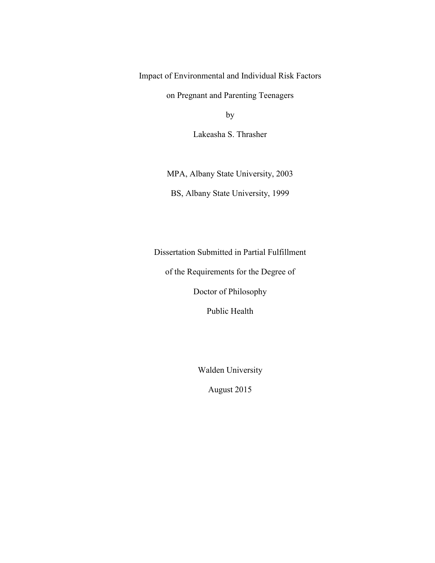Impact of Environmental and Individual Risk Factors

on Pregnant and Parenting Teenagers

by

Lakeasha S. Thrasher

MPA, Albany State University, 2003 BS, Albany State University, 1999

Dissertation Submitted in Partial Fulfillment

of the Requirements for the Degree of

Doctor of Philosophy

Public Health

Walden University

August 2015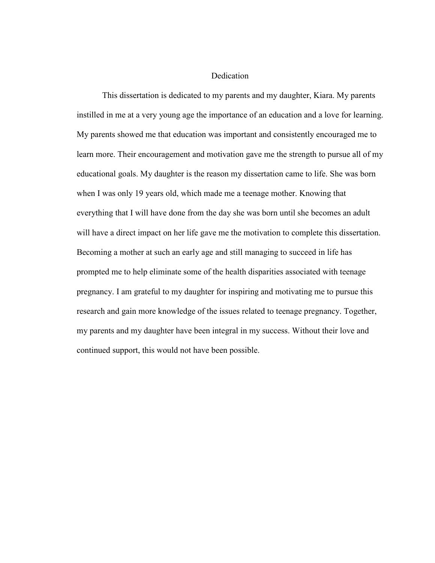Dedication

This dissertation is dedicated to my parents and my daughter, Kiara. My parents instilled in me at a very young age the importance of an education and a love for learning. My parents showed me that education was important and consistently encouraged me to learn more. Their encouragement and motivation gave me the strength to pursue all of my educational goals. My daughter is the reason my dissertation came to life. She was born when I was only 19 years old, which made me a teenage mother. Knowing that everything that I will have done from the day she was born until she becomes an adult will have a direct impact on her life gave me the motivation to complete this dissertation. Becoming a mother at such an early age and still managing to succeed in life has prompted me to help eliminate some of the health disparities associated with teenage pregnancy. I am grateful to my daughter for inspiring and motivating me to pursue this research and gain more knowledge of the issues related to teenage pregnancy. Together, my parents and my daughter have been integral in my success. Without their love and continued support, this would not have been possible.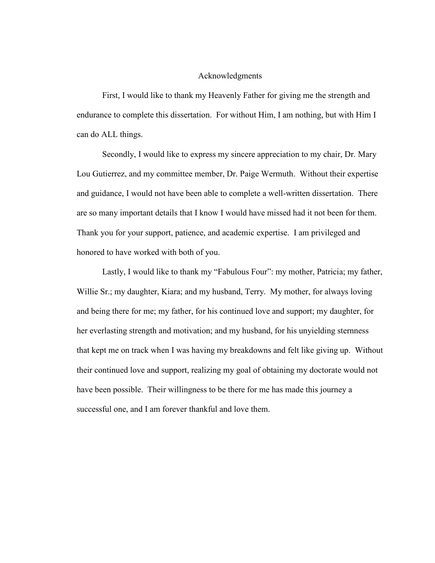#### Acknowledgments

First, I would like to thank my Heavenly Father for giving me the strength and endurance to complete this dissertation. For without Him, I am nothing, but with Him I can do ALL things.

Secondly, I would like to express my sincere appreciation to my chair, Dr. Mary Lou Gutierrez, and my committee member, Dr. Paige Wermuth. Without their expertise and guidance, I would not have been able to complete a well-written dissertation. There are so many important details that I know I would have missed had it not been for them. Thank you for your support, patience, and academic expertise. I am privileged and honored to have worked with both of you.

Lastly, I would like to thank my "Fabulous Four": my mother, Patricia; my father, Willie Sr.; my daughter, Kiara; and my husband, Terry. My mother, for always loving and being there for me; my father, for his continued love and support; my daughter, for her everlasting strength and motivation; and my husband, for his unyielding sternness that kept me on track when I was having my breakdowns and felt like giving up. Without their continued love and support, realizing my goal of obtaining my doctorate would not have been possible. Their willingness to be there for me has made this journey a successful one, and I am forever thankful and love them.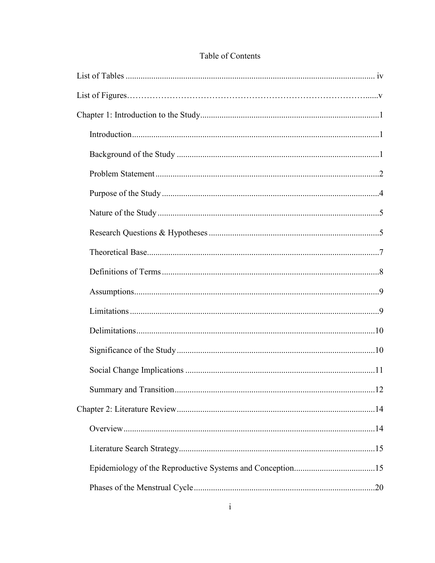### Table of Contents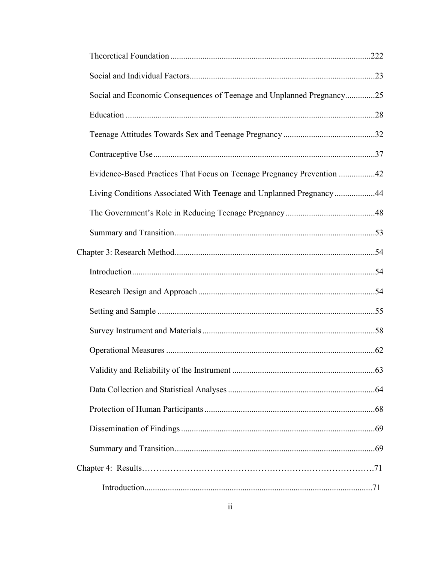| Social and Economic Consequences of Teenage and Unplanned Pregnancy25  |  |
|------------------------------------------------------------------------|--|
|                                                                        |  |
|                                                                        |  |
|                                                                        |  |
| Evidence-Based Practices That Focus on Teenage Pregnancy Prevention 42 |  |
| Living Conditions Associated With Teenage and Unplanned Pregnancy44    |  |
|                                                                        |  |
|                                                                        |  |
|                                                                        |  |
|                                                                        |  |
|                                                                        |  |
|                                                                        |  |
|                                                                        |  |
|                                                                        |  |
|                                                                        |  |
|                                                                        |  |
|                                                                        |  |
|                                                                        |  |
|                                                                        |  |
|                                                                        |  |
|                                                                        |  |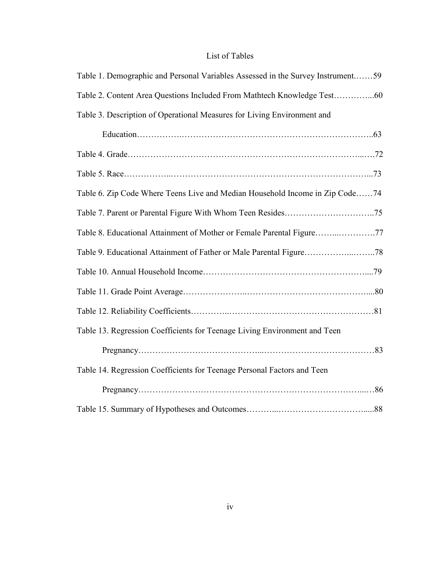## List of Tables

| Table 1. Demographic and Personal Variables Assessed in the Survey Instrument59 |
|---------------------------------------------------------------------------------|
| Table 2. Content Area Questions Included From Mathtech Knowledge Test60         |
| Table 3. Description of Operational Measures for Living Environment and         |
|                                                                                 |
|                                                                                 |
|                                                                                 |
| Table 6. Zip Code Where Teens Live and Median Household Income in Zip Code74    |
|                                                                                 |
|                                                                                 |
|                                                                                 |
|                                                                                 |
|                                                                                 |
|                                                                                 |
| Table 13. Regression Coefficients for Teenage Living Environment and Teen       |
|                                                                                 |
| Table 14. Regression Coefficients for Teenage Personal Factors and Teen         |
|                                                                                 |
|                                                                                 |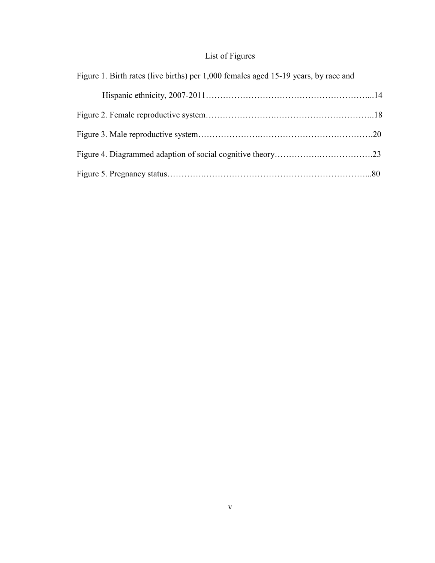## List of Figures

| Figure 1. Birth rates (live births) per 1,000 females aged 15-19 years, by race and |  |
|-------------------------------------------------------------------------------------|--|
|                                                                                     |  |
|                                                                                     |  |
|                                                                                     |  |
|                                                                                     |  |
|                                                                                     |  |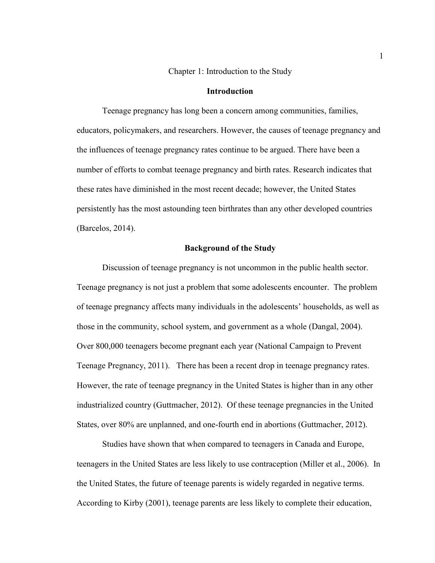Chapter 1: Introduction to the Study

#### **Introduction**

 Teenage pregnancy has long been a concern among communities, families, educators, policymakers, and researchers. However, the causes of teenage pregnancy and the influences of teenage pregnancy rates continue to be argued. There have been a number of efforts to combat teenage pregnancy and birth rates. Research indicates that these rates have diminished in the most recent decade; however, the United States persistently has the most astounding teen birthrates than any other developed countries (Barcelos, 2014).

#### **Background of the Study**

Discussion of teenage pregnancy is not uncommon in the public health sector. Teenage pregnancy is not just a problem that some adolescents encounter. The problem of teenage pregnancy affects many individuals in the adolescents' households, as well as those in the community, school system, and government as a whole (Dangal, 2004). Over 800,000 teenagers become pregnant each year (National Campaign to Prevent Teenage Pregnancy, 2011). There has been a recent drop in teenage pregnancy rates. However, the rate of teenage pregnancy in the United States is higher than in any other industrialized country (Guttmacher, 2012). Of these teenage pregnancies in the United States, over 80% are unplanned, and one-fourth end in abortions (Guttmacher, 2012).

Studies have shown that when compared to teenagers in Canada and Europe, teenagers in the United States are less likely to use contraception (Miller et al., 2006). In the United States, the future of teenage parents is widely regarded in negative terms. According to Kirby (2001), teenage parents are less likely to complete their education,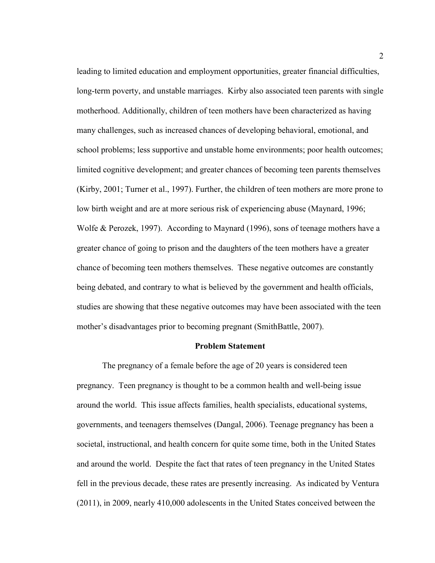leading to limited education and employment opportunities, greater financial difficulties, long-term poverty, and unstable marriages. Kirby also associated teen parents with single motherhood. Additionally, children of teen mothers have been characterized as having many challenges, such as increased chances of developing behavioral, emotional, and school problems; less supportive and unstable home environments; poor health outcomes; limited cognitive development; and greater chances of becoming teen parents themselves (Kirby, 2001; Turner et al., 1997). Further, the children of teen mothers are more prone to low birth weight and are at more serious risk of experiencing abuse (Maynard, 1996; Wolfe & Perozek, 1997). According to Maynard (1996), sons of teenage mothers have a greater chance of going to prison and the daughters of the teen mothers have a greater chance of becoming teen mothers themselves. These negative outcomes are constantly being debated, and contrary to what is believed by the government and health officials, studies are showing that these negative outcomes may have been associated with the teen mother's disadvantages prior to becoming pregnant (SmithBattle, 2007).

#### **Problem Statement**

The pregnancy of a female before the age of 20 years is considered teen pregnancy. Teen pregnancy is thought to be a common health and well-being issue around the world. This issue affects families, health specialists, educational systems, governments, and teenagers themselves (Dangal, 2006). Teenage pregnancy has been a societal, instructional, and health concern for quite some time, both in the United States and around the world. Despite the fact that rates of teen pregnancy in the United States fell in the previous decade, these rates are presently increasing. As indicated by Ventura (2011), in 2009, nearly 410,000 adolescents in the United States conceived between the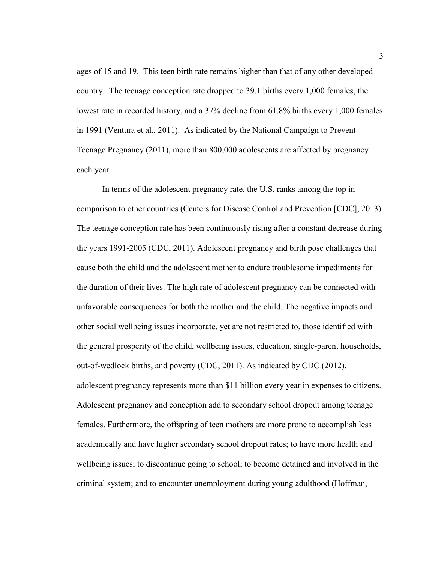ages of 15 and 19. This teen birth rate remains higher than that of any other developed country. The teenage conception rate dropped to 39.1 births every 1,000 females, the lowest rate in recorded history, and a 37% decline from 61.8% births every 1,000 females in 1991 (Ventura et al., 2011). As indicated by the National Campaign to Prevent Teenage Pregnancy (2011), more than 800,000 adolescents are affected by pregnancy each year.

In terms of the adolescent pregnancy rate, the U.S. ranks among the top in comparison to other countries (Centers for Disease Control and Prevention [CDC], 2013). The teenage conception rate has been continuously rising after a constant decrease during the years 1991-2005 (CDC, 2011). Adolescent pregnancy and birth pose challenges that cause both the child and the adolescent mother to endure troublesome impediments for the duration of their lives. The high rate of adolescent pregnancy can be connected with unfavorable consequences for both the mother and the child. The negative impacts and other social wellbeing issues incorporate, yet are not restricted to, those identified with the general prosperity of the child, wellbeing issues, education, single-parent households, out-of-wedlock births, and poverty (CDC, 2011). As indicated by CDC (2012), adolescent pregnancy represents more than \$11 billion every year in expenses to citizens. Adolescent pregnancy and conception add to secondary school dropout among teenage females. Furthermore, the offspring of teen mothers are more prone to accomplish less academically and have higher secondary school dropout rates; to have more health and wellbeing issues; to discontinue going to school; to become detained and involved in the criminal system; and to encounter unemployment during young adulthood (Hoffman,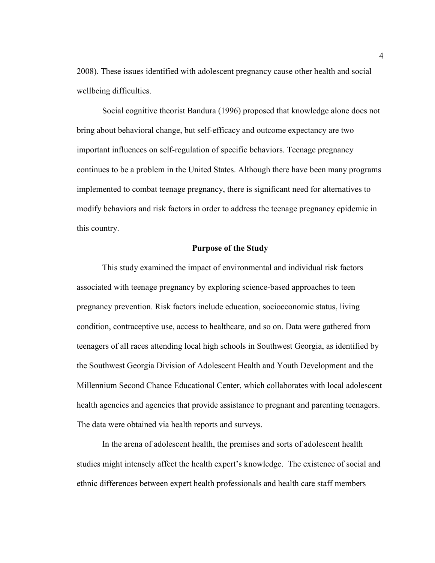2008). These issues identified with adolescent pregnancy cause other health and social wellbeing difficulties.

 Social cognitive theorist Bandura (1996) proposed that knowledge alone does not bring about behavioral change, but self-efficacy and outcome expectancy are two important influences on self-regulation of specific behaviors. Teenage pregnancy continues to be a problem in the United States. Although there have been many programs implemented to combat teenage pregnancy, there is significant need for alternatives to modify behaviors and risk factors in order to address the teenage pregnancy epidemic in this country.

#### **Purpose of the Study**

This study examined the impact of environmental and individual risk factors associated with teenage pregnancy by exploring science-based approaches to teen pregnancy prevention. Risk factors include education, socioeconomic status, living condition, contraceptive use, access to healthcare, and so on. Data were gathered from teenagers of all races attending local high schools in Southwest Georgia, as identified by the Southwest Georgia Division of Adolescent Health and Youth Development and the Millennium Second Chance Educational Center, which collaborates with local adolescent health agencies and agencies that provide assistance to pregnant and parenting teenagers. The data were obtained via health reports and surveys.

In the arena of adolescent health, the premises and sorts of adolescent health studies might intensely affect the health expert's knowledge. The existence of social and ethnic differences between expert health professionals and health care staff members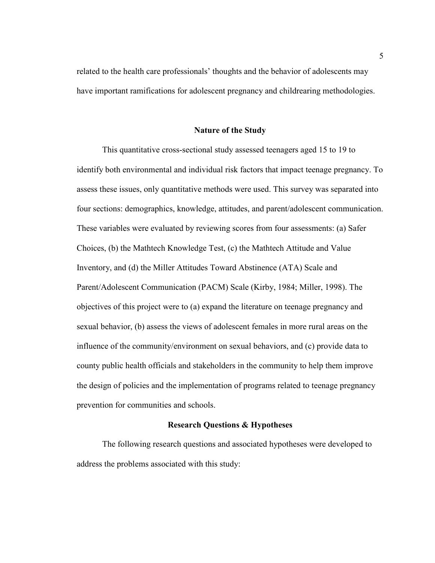related to the health care professionals' thoughts and the behavior of adolescents may have important ramifications for adolescent pregnancy and childrearing methodologies.

#### **Nature of the Study**

This quantitative cross-sectional study assessed teenagers aged 15 to 19 to identify both environmental and individual risk factors that impact teenage pregnancy. To assess these issues, only quantitative methods were used. This survey was separated into four sections: demographics, knowledge, attitudes, and parent/adolescent communication. These variables were evaluated by reviewing scores from four assessments: (a) Safer Choices, (b) the Mathtech Knowledge Test, (c) the Mathtech Attitude and Value Inventory, and (d) the Miller Attitudes Toward Abstinence (ATA) Scale and Parent/Adolescent Communication (PACM) Scale (Kirby, 1984; Miller, 1998). The objectives of this project were to (a) expand the literature on teenage pregnancy and sexual behavior, (b) assess the views of adolescent females in more rural areas on the influence of the community/environment on sexual behaviors, and (c) provide data to county public health officials and stakeholders in the community to help them improve the design of policies and the implementation of programs related to teenage pregnancy prevention for communities and schools.

#### **Research Questions & Hypotheses**

The following research questions and associated hypotheses were developed to address the problems associated with this study: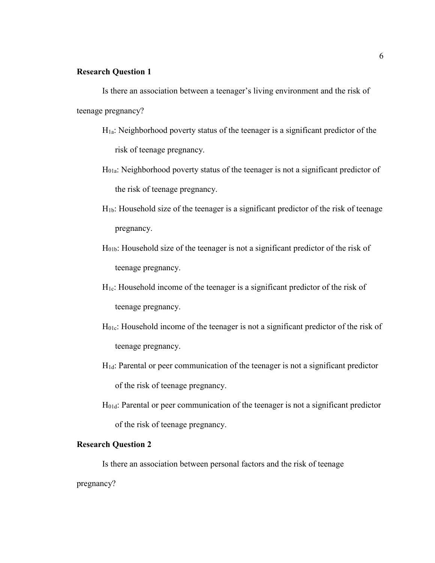#### **Research Question 1**

Is there an association between a teenager's living environment and the risk of teenage pregnancy?

- $H_{1a}$ : Neighborhood poverty status of the teenager is a significant predictor of the risk of teenage pregnancy.
- H01a: Neighborhood poverty status of the teenager is not a significant predictor of the risk of teenage pregnancy.
- H1b: Household size of the teenager is a significant predictor of the risk of teenage pregnancy.
- H01b: Household size of the teenager is not a significant predictor of the risk of teenage pregnancy.
- $H<sub>1c</sub>$ : Household income of the teenager is a significant predictor of the risk of teenage pregnancy.
- H01c: Household income of the teenager is not a significant predictor of the risk of teenage pregnancy.
- H1d: Parental or peer communication of the teenager is not a significant predictor of the risk of teenage pregnancy.
- H01d: Parental or peer communication of the teenager is not a significant predictor of the risk of teenage pregnancy.

#### **Research Question 2**

Is there an association between personal factors and the risk of teenage

pregnancy?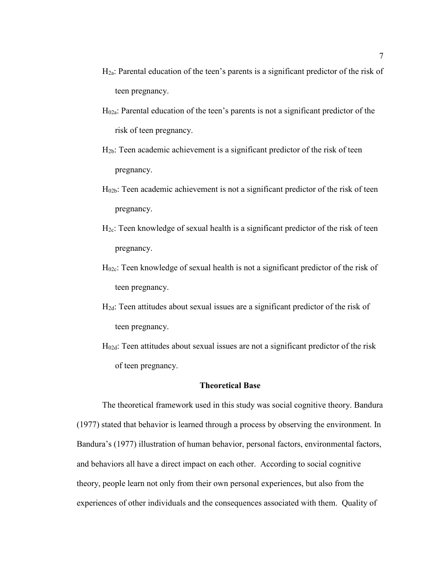- $H_{2a}$ : Parental education of the teen's parents is a significant predictor of the risk of teen pregnancy.
- H02a: Parental education of the teen's parents is not a significant predictor of the risk of teen pregnancy.
- H2b: Teen academic achievement is a significant predictor of the risk of teen pregnancy.
- $H<sub>02b</sub>$ : Teen academic achievement is not a significant predictor of the risk of teen pregnancy.
- $H_{2c}$ : Teen knowledge of sexual health is a significant predictor of the risk of teen pregnancy.
- H02c: Teen knowledge of sexual health is not a significant predictor of the risk of teen pregnancy.
- H2d: Teen attitudes about sexual issues are a significant predictor of the risk of teen pregnancy.
- H02d: Teen attitudes about sexual issues are not a significant predictor of the risk of teen pregnancy.

#### **Theoretical Base**

The theoretical framework used in this study was social cognitive theory. Bandura (1977) stated that behavior is learned through a process by observing the environment. In Bandura's (1977) illustration of human behavior, personal factors, environmental factors, and behaviors all have a direct impact on each other. According to social cognitive theory, people learn not only from their own personal experiences, but also from the experiences of other individuals and the consequences associated with them. Quality of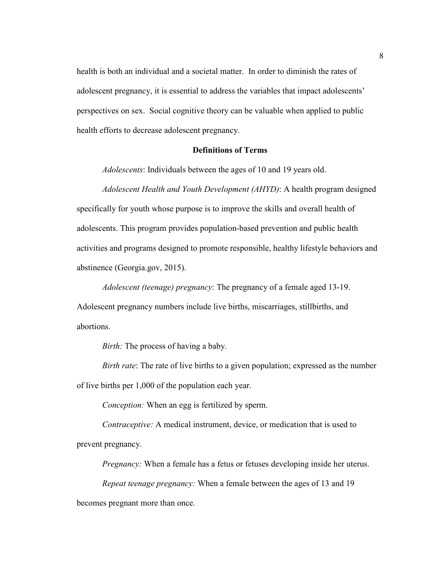health is both an individual and a societal matter. In order to diminish the rates of adolescent pregnancy, it is essential to address the variables that impact adolescents' perspectives on sex. Social cognitive theory can be valuable when applied to public health efforts to decrease adolescent pregnancy.

#### **Definitions of Terms**

*Adolescents*: Individuals between the ages of 10 and 19 years old.

*Adolescent Health and Youth Development (AHYD)*: A health program designed specifically for youth whose purpose is to improve the skills and overall health of adolescents. This program provides population-based prevention and public health activities and programs designed to promote responsible, healthy lifestyle behaviors and abstinence (Georgia.gov, 2015).

*Adolescent (teenage) pregnancy*: The pregnancy of a female aged 13-19. Adolescent pregnancy numbers include live births, miscarriages, stillbirths, and abortions.

*Birth:* The process of having a baby.

*Birth rate*: The rate of live births to a given population; expressed as the number of live births per 1,000 of the population each year.

*Conception:* When an egg is fertilized by sperm.

*Contraceptive:* A medical instrument, device, or medication that is used to prevent pregnancy.

*Pregnancy:* When a female has a fetus or fetuses developing inside her uterus.

*Repeat teenage pregnancy:* When a female between the ages of 13 and 19 becomes pregnant more than once.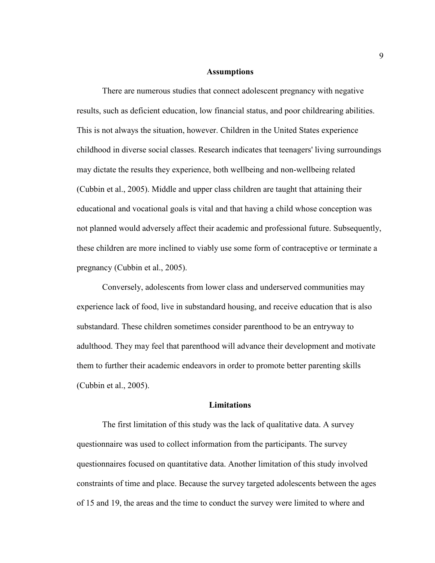#### **Assumptions**

There are numerous studies that connect adolescent pregnancy with negative results, such as deficient education, low financial status, and poor childrearing abilities. This is not always the situation, however. Children in the United States experience childhood in diverse social classes. Research indicates that teenagers' living surroundings may dictate the results they experience, both wellbeing and non-wellbeing related (Cubbin et al., 2005). Middle and upper class children are taught that attaining their educational and vocational goals is vital and that having a child whose conception was not planned would adversely affect their academic and professional future. Subsequently, these children are more inclined to viably use some form of contraceptive or terminate a pregnancy (Cubbin et al., 2005).

Conversely, adolescents from lower class and underserved communities may experience lack of food, live in substandard housing, and receive education that is also substandard. These children sometimes consider parenthood to be an entryway to adulthood. They may feel that parenthood will advance their development and motivate them to further their academic endeavors in order to promote better parenting skills (Cubbin et al., 2005).

#### **Limitations**

The first limitation of this study was the lack of qualitative data. A survey questionnaire was used to collect information from the participants. The survey questionnaires focused on quantitative data. Another limitation of this study involved constraints of time and place. Because the survey targeted adolescents between the ages of 15 and 19, the areas and the time to conduct the survey were limited to where and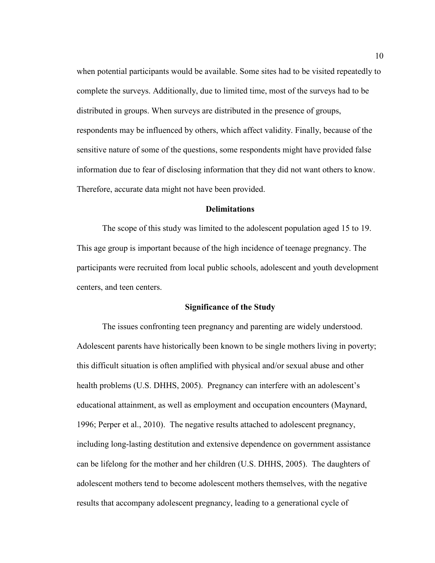when potential participants would be available. Some sites had to be visited repeatedly to complete the surveys. Additionally, due to limited time, most of the surveys had to be distributed in groups. When surveys are distributed in the presence of groups, respondents may be influenced by others, which affect validity. Finally, because of the sensitive nature of some of the questions, some respondents might have provided false information due to fear of disclosing information that they did not want others to know. Therefore, accurate data might not have been provided.

#### **Delimitations**

The scope of this study was limited to the adolescent population aged 15 to 19. This age group is important because of the high incidence of teenage pregnancy. The participants were recruited from local public schools, adolescent and youth development centers, and teen centers.

#### **Significance of the Study**

The issues confronting teen pregnancy and parenting are widely understood. Adolescent parents have historically been known to be single mothers living in poverty; this difficult situation is often amplified with physical and/or sexual abuse and other health problems (U.S. DHHS, 2005). Pregnancy can interfere with an adolescent's educational attainment, as well as employment and occupation encounters (Maynard, 1996; Perper et al., 2010). The negative results attached to adolescent pregnancy, including long-lasting destitution and extensive dependence on government assistance can be lifelong for the mother and her children (U.S. DHHS, 2005). The daughters of adolescent mothers tend to become adolescent mothers themselves, with the negative results that accompany adolescent pregnancy, leading to a generational cycle of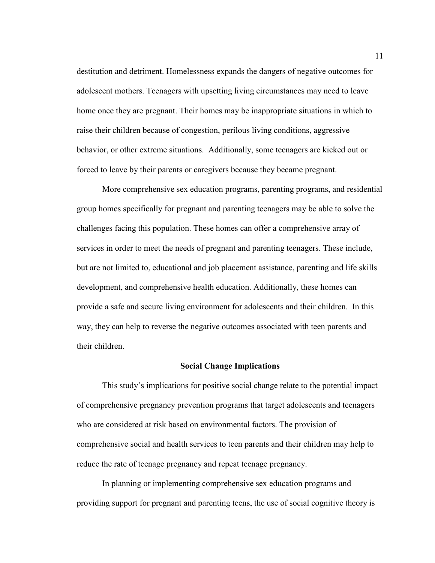destitution and detriment. Homelessness expands the dangers of negative outcomes for adolescent mothers. Teenagers with upsetting living circumstances may need to leave home once they are pregnant. Their homes may be inappropriate situations in which to raise their children because of congestion, perilous living conditions, aggressive behavior, or other extreme situations. Additionally, some teenagers are kicked out or forced to leave by their parents or caregivers because they became pregnant.

 More comprehensive sex education programs, parenting programs, and residential group homes specifically for pregnant and parenting teenagers may be able to solve the challenges facing this population. These homes can offer a comprehensive array of services in order to meet the needs of pregnant and parenting teenagers. These include, but are not limited to, educational and job placement assistance, parenting and life skills development, and comprehensive health education. Additionally, these homes can provide a safe and secure living environment for adolescents and their children. In this way, they can help to reverse the negative outcomes associated with teen parents and their children.

#### **Social Change Implications**

This study's implications for positive social change relate to the potential impact of comprehensive pregnancy prevention programs that target adolescents and teenagers who are considered at risk based on environmental factors. The provision of comprehensive social and health services to teen parents and their children may help to reduce the rate of teenage pregnancy and repeat teenage pregnancy.

In planning or implementing comprehensive sex education programs and providing support for pregnant and parenting teens, the use of social cognitive theory is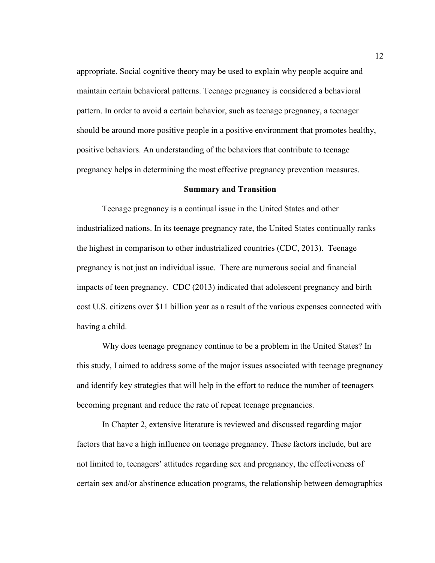appropriate. Social cognitive theory may be used to explain why people acquire and maintain certain behavioral patterns. Teenage pregnancy is considered a behavioral pattern. In order to avoid a certain behavior, such as teenage pregnancy, a teenager should be around more positive people in a positive environment that promotes healthy, positive behaviors. An understanding of the behaviors that contribute to teenage pregnancy helps in determining the most effective pregnancy prevention measures.

#### **Summary and Transition**

Teenage pregnancy is a continual issue in the United States and other industrialized nations. In its teenage pregnancy rate, the United States continually ranks the highest in comparison to other industrialized countries (CDC, 2013). Teenage pregnancy is not just an individual issue. There are numerous social and financial impacts of teen pregnancy. CDC (2013) indicated that adolescent pregnancy and birth cost U.S. citizens over \$11 billion year as a result of the various expenses connected with having a child.

Why does teenage pregnancy continue to be a problem in the United States? In this study, I aimed to address some of the major issues associated with teenage pregnancy and identify key strategies that will help in the effort to reduce the number of teenagers becoming pregnant and reduce the rate of repeat teenage pregnancies.

In Chapter 2, extensive literature is reviewed and discussed regarding major factors that have a high influence on teenage pregnancy. These factors include, but are not limited to, teenagers' attitudes regarding sex and pregnancy, the effectiveness of certain sex and/or abstinence education programs, the relationship between demographics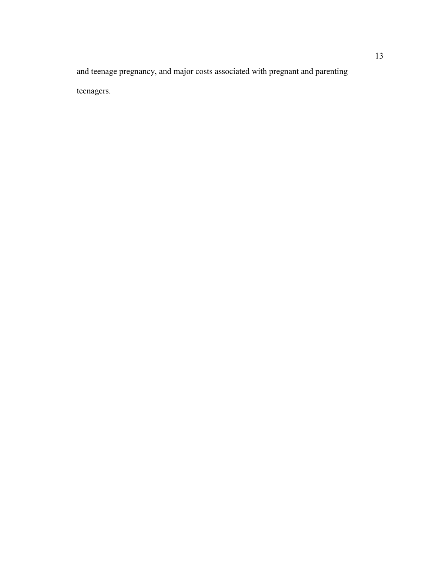and teenage pregnancy, and major costs associated with pregnant and parenting teenagers.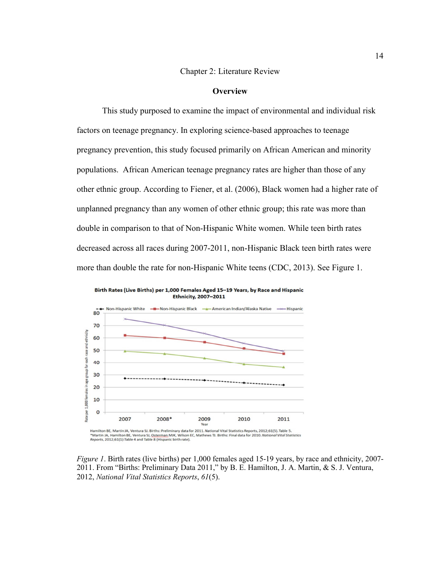#### Chapter 2: Literature Review

#### **Overview**

This study purposed to examine the impact of environmental and individual risk factors on teenage pregnancy. In exploring science-based approaches to teenage pregnancy prevention, this study focused primarily on African American and minority populations. African American teenage pregnancy rates are higher than those of any other ethnic group. According to Fiener, et al. (2006), Black women had a higher rate of unplanned pregnancy than any women of other ethnic group; this rate was more than double in comparison to that of Non-Hispanic White women. While teen birth rates decreased across all races during 2007-2011, non-Hispanic Black teen birth rates were more than double the rate for non-Hispanic White teens (CDC, 2013). See Figure 1.



Birth Rates (Live Births) per 1,000 Females Aged 15-19 Years, by Race and Hispanic **Ethnicity, 2007-2011** 

*Figure 1*. Birth rates (live births) per 1,000 females aged 15-19 years, by race and ethnicity, 2007-2011. From "Births: Preliminary Data 2011," by B. E. Hamilton, J. A. Martin, & S. J. Ventura, 2012, *National Vital Statistics Reports*, *61*(5).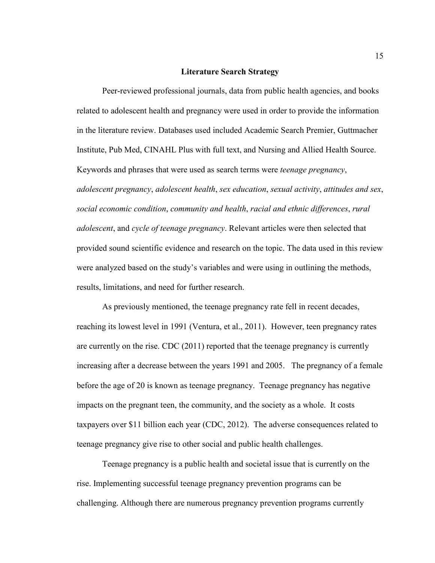#### **Literature Search Strategy**

Peer-reviewed professional journals, data from public health agencies, and books related to adolescent health and pregnancy were used in order to provide the information in the literature review. Databases used included Academic Search Premier, Guttmacher Institute, Pub Med, CINAHL Plus with full text, and Nursing and Allied Health Source. Keywords and phrases that were used as search terms were *teenage pregnancy*, *adolescent pregnancy*, *adolescent health*, *sex education*, *sexual activity*, *attitudes and sex*, *social economic condition*, *community and health*, *racial and ethnic differences*, *rural adolescent*, and *cycle of teenage pregnancy*. Relevant articles were then selected that provided sound scientific evidence and research on the topic. The data used in this review were analyzed based on the study's variables and were using in outlining the methods, results, limitations, and need for further research.

As previously mentioned, the teenage pregnancy rate fell in recent decades, reaching its lowest level in 1991 (Ventura, et al., 2011). However, teen pregnancy rates are currently on the rise. CDC (2011) reported that the teenage pregnancy is currently increasing after a decrease between the years 1991 and 2005. The pregnancy of a female before the age of 20 is known as teenage pregnancy. Teenage pregnancy has negative impacts on the pregnant teen, the community, and the society as a whole. It costs taxpayers over \$11 billion each year (CDC, 2012). The adverse consequences related to teenage pregnancy give rise to other social and public health challenges.

Teenage pregnancy is a public health and societal issue that is currently on the rise. Implementing successful teenage pregnancy prevention programs can be challenging. Although there are numerous pregnancy prevention programs currently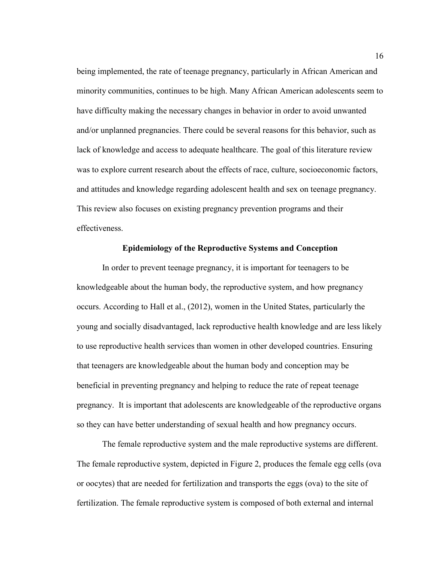being implemented, the rate of teenage pregnancy, particularly in African American and minority communities, continues to be high. Many African American adolescents seem to have difficulty making the necessary changes in behavior in order to avoid unwanted and/or unplanned pregnancies. There could be several reasons for this behavior, such as lack of knowledge and access to adequate healthcare. The goal of this literature review was to explore current research about the effects of race, culture, socioeconomic factors, and attitudes and knowledge regarding adolescent health and sex on teenage pregnancy. This review also focuses on existing pregnancy prevention programs and their effectiveness.

#### **Epidemiology of the Reproductive Systems and Conception**

 In order to prevent teenage pregnancy, it is important for teenagers to be knowledgeable about the human body, the reproductive system, and how pregnancy occurs. According to Hall et al., (2012), women in the United States, particularly the young and socially disadvantaged, lack reproductive health knowledge and are less likely to use reproductive health services than women in other developed countries. Ensuring that teenagers are knowledgeable about the human body and conception may be beneficial in preventing pregnancy and helping to reduce the rate of repeat teenage pregnancy. It is important that adolescents are knowledgeable of the reproductive organs so they can have better understanding of sexual health and how pregnancy occurs.

The female reproductive system and the male reproductive systems are different. The female reproductive system, depicted in Figure 2, produces the female egg cells (ova or oocytes) that are needed for fertilization and transports the eggs (ova) to the site of fertilization. The female reproductive system is composed of both external and internal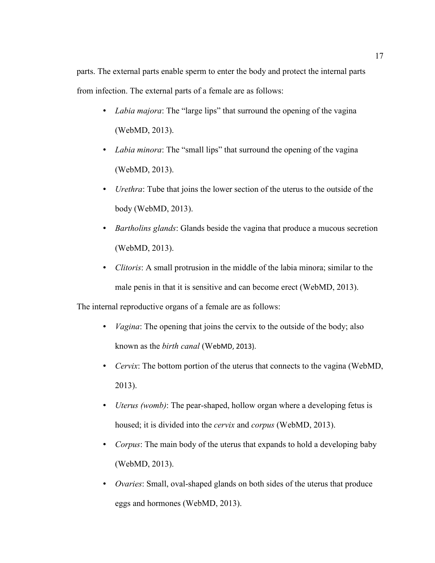parts. The external parts enable sperm to enter the body and protect the internal parts from infection. The external parts of a female are as follows:

- *Labia majora*: The "large lips" that surround the opening of the vagina (WebMD, 2013).
- *Labia minora*: The "small lips" that surround the opening of the vagina (WebMD, 2013).
- *Urethra*: Tube that joins the lower section of the uterus to the outside of the body (WebMD, 2013).
- *Bartholins glands*: Glands beside the vagina that produce a mucous secretion (WebMD, 2013).
- *Clitoris*: A small protrusion in the middle of the labia minora; similar to the male penis in that it is sensitive and can become erect (WebMD, 2013).

The internal reproductive organs of a female are as follows:

- *Vagina*: The opening that joins the cervix to the outside of the body; also known as the *birth canal* (WebMD, 2013).
- *Cervix*: The bottom portion of the uterus that connects to the vagina (WebMD, 2013).
- *Uterus (womb)*: The pear-shaped, hollow organ where a developing fetus is housed; it is divided into the *cervix* and *corpus* (WebMD, 2013).
- *Corpus*: The main body of the uterus that expands to hold a developing baby (WebMD, 2013).
- *Ovaries*: Small, oval-shaped glands on both sides of the uterus that produce eggs and hormones (WebMD, 2013).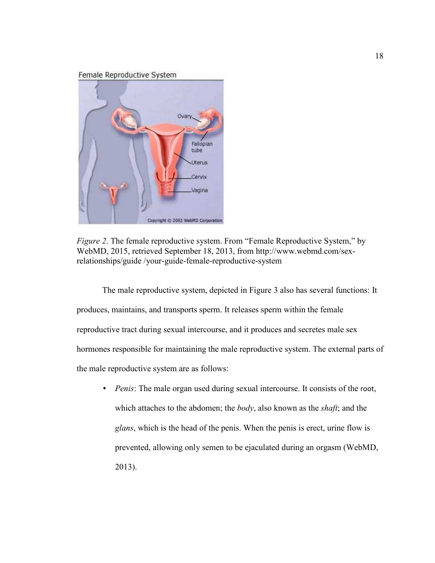Female Reproductive System



*Figure 2.* The female reproductive system. From "Female Reproductive System," by WebMD, 2015, retrieved September 18, 2013, from http://www.webmd.com/sexrelationships/guide /your-guide-female-reproductive-system

The male reproductive system, depicted in Figure 3 also has several functions: It produces, maintains, and transports sperm. It releases sperm within the female reproductive tract during sexual intercourse, and it produces and secretes male sex hormones responsible for maintaining the male reproductive system. The external parts of the male reproductive system are as follows:

*Penis*: The male organ used during sexual intercourse. It consists of the root, which attaches to the abdomen; the *body*, also known as the *shaft*; and the *glans*, which is the head of the penis. When the penis is erect, urine flow is prevented, allowing only semen to be ejaculated during an orgasm (WebMD, 2013).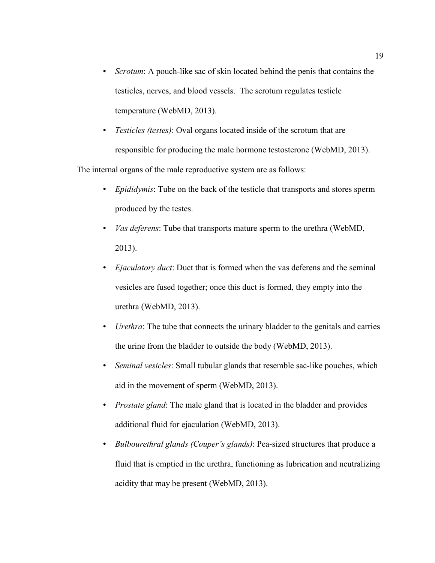- *Scrotum*: A pouch-like sac of skin located behind the penis that contains the testicles, nerves, and blood vessels. The scrotum regulates testicle temperature (WebMD, 2013).
- *Testicles (testes)*: Oval organs located inside of the scrotum that are responsible for producing the male hormone testosterone (WebMD, 2013).

The internal organs of the male reproductive system are as follows:

- *Epididymis*: Tube on the back of the testicle that transports and stores sperm produced by the testes.
- *Vas deferens*: Tube that transports mature sperm to the urethra (WebMD, 2013).
- *Ejaculatory duct*: Duct that is formed when the vas deferens and the seminal vesicles are fused together; once this duct is formed, they empty into the urethra (WebMD, 2013).
- *Urethra*: The tube that connects the urinary bladder to the genitals and carries the urine from the bladder to outside the body (WebMD, 2013).
- *Seminal vesicles*: Small tubular glands that resemble sac-like pouches, which aid in the movement of sperm (WebMD, 2013).
- *Prostate gland*: The male gland that is located in the bladder and provides additional fluid for ejaculation (WebMD, 2013).
- *Bulbourethral glands (Couper's glands)*: Pea-sized structures that produce a fluid that is emptied in the urethra, functioning as lubrication and neutralizing acidity that may be present (WebMD, 2013).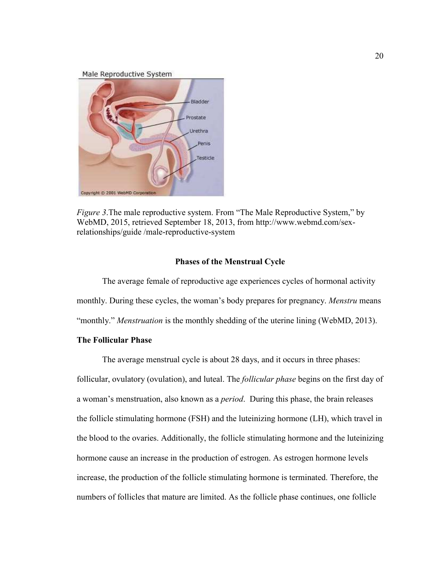Male Reproductive System



*Figure 3*.The male reproductive system. From "The Male Reproductive System," by WebMD, 2015, retrieved September 18, 2013, from http://www.webmd.com/sexrelationships/guide /male-reproductive-system

#### **Phases of the Menstrual Cycle**

The average female of reproductive age experiences cycles of hormonal activity monthly. During these cycles, the woman's body prepares for pregnancy. *Menstru* means "monthly." *Menstruation* is the monthly shedding of the uterine lining (WebMD, 2013).

#### **The Follicular Phase**

 The average menstrual cycle is about 28 days, and it occurs in three phases: follicular, ovulatory (ovulation), and luteal. The *follicular phase* begins on the first day of a woman's menstruation, also known as a *period*. During this phase, the brain releases the follicle stimulating hormone (FSH) and the luteinizing hormone (LH), which travel in the blood to the ovaries. Additionally, the follicle stimulating hormone and the luteinizing hormone cause an increase in the production of estrogen. As estrogen hormone levels increase, the production of the follicle stimulating hormone is terminated. Therefore, the numbers of follicles that mature are limited. As the follicle phase continues, one follicle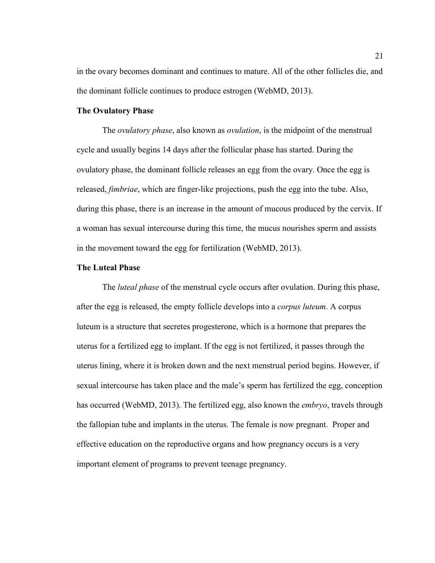in the ovary becomes dominant and continues to mature. All of the other follicles die, and the dominant follicle continues to produce estrogen (WebMD, 2013).

#### **The Ovulatory Phase**

The *ovulatory phase*, also known as *ovulation*, is the midpoint of the menstrual cycle and usually begins 14 days after the follicular phase has started. During the ovulatory phase, the dominant follicle releases an egg from the ovary. Once the egg is released, *fimbriae*, which are finger-like projections, push the egg into the tube. Also, during this phase, there is an increase in the amount of mucous produced by the cervix. If a woman has sexual intercourse during this time, the mucus nourishes sperm and assists in the movement toward the egg for fertilization (WebMD, 2013).

#### **The Luteal Phase**

The *luteal phase* of the menstrual cycle occurs after ovulation. During this phase, after the egg is released, the empty follicle develops into a *corpus luteum*. A corpus luteum is a structure that secretes progesterone, which is a hormone that prepares the uterus for a fertilized egg to implant. If the egg is not fertilized, it passes through the uterus lining, where it is broken down and the next menstrual period begins. However, if sexual intercourse has taken place and the male's sperm has fertilized the egg, conception has occurred (WebMD, 2013). The fertilized egg, also known the *embryo*, travels through the fallopian tube and implants in the uterus. The female is now pregnant. Proper and effective education on the reproductive organs and how pregnancy occurs is a very important element of programs to prevent teenage pregnancy.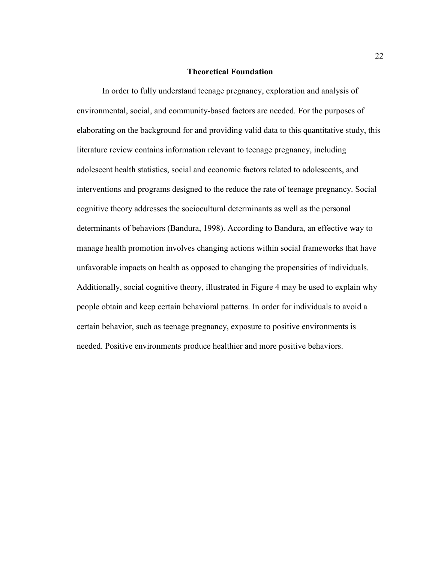#### **Theoretical Foundation**

In order to fully understand teenage pregnancy, exploration and analysis of environmental, social, and community-based factors are needed. For the purposes of elaborating on the background for and providing valid data to this quantitative study, this literature review contains information relevant to teenage pregnancy, including adolescent health statistics, social and economic factors related to adolescents, and interventions and programs designed to the reduce the rate of teenage pregnancy. Social cognitive theory addresses the sociocultural determinants as well as the personal determinants of behaviors (Bandura, 1998). According to Bandura, an effective way to manage health promotion involves changing actions within social frameworks that have unfavorable impacts on health as opposed to changing the propensities of individuals. Additionally, social cognitive theory, illustrated in Figure 4 may be used to explain why people obtain and keep certain behavioral patterns. In order for individuals to avoid a certain behavior, such as teenage pregnancy, exposure to positive environments is needed. Positive environments produce healthier and more positive behaviors.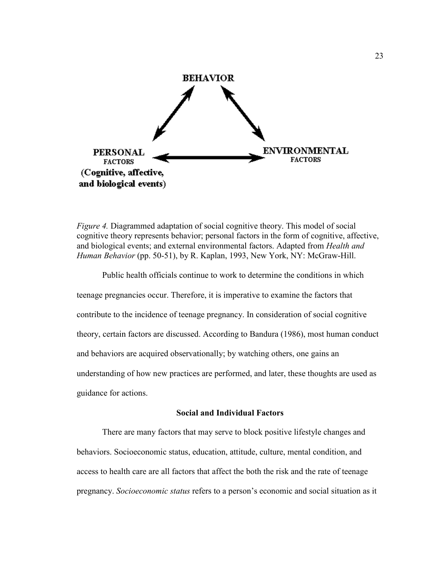

*Figure 4.* Diagrammed adaptation of social cognitive theory. This model of social cognitive theory represents behavior; personal factors in the form of cognitive, affective, and biological events; and external environmental factors. Adapted from *Health and Human Behavior* (pp. 50-51), by R. Kaplan, 1993, New York, NY: McGraw-Hill.

Public health officials continue to work to determine the conditions in which teenage pregnancies occur. Therefore, it is imperative to examine the factors that contribute to the incidence of teenage pregnancy. In consideration of social cognitive theory, certain factors are discussed. According to Bandura (1986), most human conduct and behaviors are acquired observationally; by watching others, one gains an understanding of how new practices are performed, and later, these thoughts are used as guidance for actions.

#### **Social and Individual Factors**

There are many factors that may serve to block positive lifestyle changes and behaviors. Socioeconomic status, education, attitude, culture, mental condition, and access to health care are all factors that affect the both the risk and the rate of teenage pregnancy. *Socioeconomic status* refers to a person's economic and social situation as it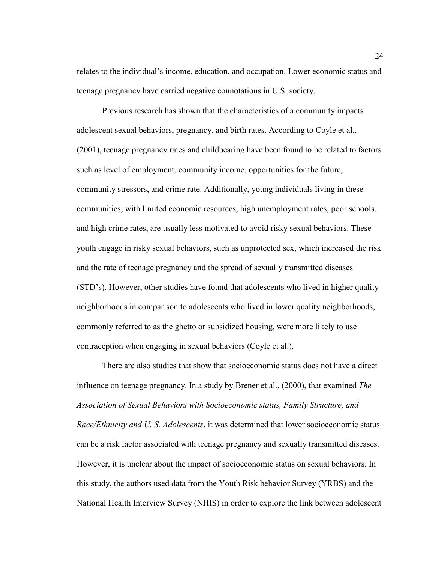relates to the individual's income, education, and occupation. Lower economic status and teenage pregnancy have carried negative connotations in U.S. society.

Previous research has shown that the characteristics of a community impacts adolescent sexual behaviors, pregnancy, and birth rates. According to Coyle et al., (2001), teenage pregnancy rates and childbearing have been found to be related to factors such as level of employment, community income, opportunities for the future, community stressors, and crime rate. Additionally, young individuals living in these communities, with limited economic resources, high unemployment rates, poor schools, and high crime rates, are usually less motivated to avoid risky sexual behaviors. These youth engage in risky sexual behaviors, such as unprotected sex, which increased the risk and the rate of teenage pregnancy and the spread of sexually transmitted diseases (STD's). However, other studies have found that adolescents who lived in higher quality neighborhoods in comparison to adolescents who lived in lower quality neighborhoods, commonly referred to as the ghetto or subsidized housing, were more likely to use contraception when engaging in sexual behaviors (Coyle et al.).

There are also studies that show that socioeconomic status does not have a direct influence on teenage pregnancy. In a study by Brener et al., (2000), that examined *The Association of Sexual Behaviors with Socioeconomic status, Family Structure, and Race/Ethnicity and U. S. Adolescents*, it was determined that lower socioeconomic status can be a risk factor associated with teenage pregnancy and sexually transmitted diseases. However, it is unclear about the impact of socioeconomic status on sexual behaviors. In this study, the authors used data from the Youth Risk behavior Survey (YRBS) and the National Health Interview Survey (NHIS) in order to explore the link between adolescent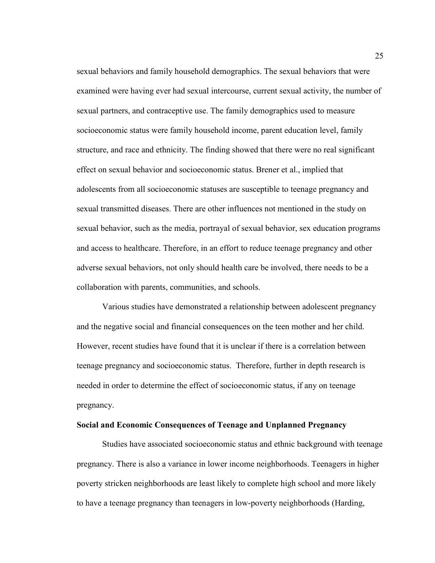sexual behaviors and family household demographics. The sexual behaviors that were examined were having ever had sexual intercourse, current sexual activity, the number of sexual partners, and contraceptive use. The family demographics used to measure socioeconomic status were family household income, parent education level, family structure, and race and ethnicity. The finding showed that there were no real significant effect on sexual behavior and socioeconomic status. Brener et al., implied that adolescents from all socioeconomic statuses are susceptible to teenage pregnancy and sexual transmitted diseases. There are other influences not mentioned in the study on sexual behavior, such as the media, portrayal of sexual behavior, sex education programs and access to healthcare. Therefore, in an effort to reduce teenage pregnancy and other adverse sexual behaviors, not only should health care be involved, there needs to be a collaboration with parents, communities, and schools.

 Various studies have demonstrated a relationship between adolescent pregnancy and the negative social and financial consequences on the teen mother and her child. However, recent studies have found that it is unclear if there is a correlation between teenage pregnancy and socioeconomic status. Therefore, further in depth research is needed in order to determine the effect of socioeconomic status, if any on teenage pregnancy.

# **Social and Economic Consequences of Teenage and Unplanned Pregnancy**

Studies have associated socioeconomic status and ethnic background with teenage pregnancy. There is also a variance in lower income neighborhoods. Teenagers in higher poverty stricken neighborhoods are least likely to complete high school and more likely to have a teenage pregnancy than teenagers in low-poverty neighborhoods (Harding,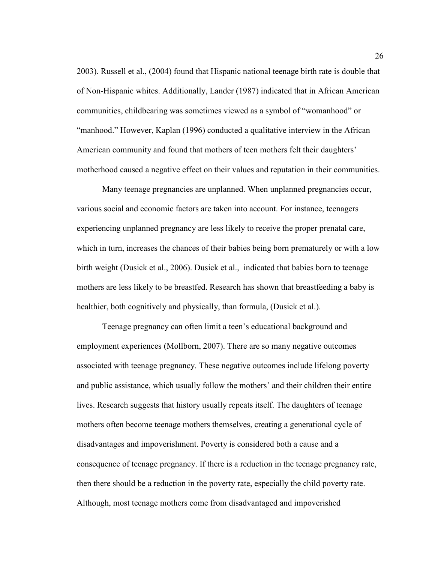2003). Russell et al., (2004) found that Hispanic national teenage birth rate is double that of Non-Hispanic whites. Additionally, Lander (1987) indicated that in African American communities, childbearing was sometimes viewed as a symbol of "womanhood" or "manhood." However, Kaplan (1996) conducted a qualitative interview in the African American community and found that mothers of teen mothers felt their daughters' motherhood caused a negative effect on their values and reputation in their communities.

Many teenage pregnancies are unplanned. When unplanned pregnancies occur, various social and economic factors are taken into account. For instance, teenagers experiencing unplanned pregnancy are less likely to receive the proper prenatal care, which in turn, increases the chances of their babies being born prematurely or with a low birth weight (Dusick et al., 2006). Dusick et al., indicated that babies born to teenage mothers are less likely to be breastfed. Research has shown that breastfeeding a baby is healthier, both cognitively and physically, than formula, (Dusick et al.).

Teenage pregnancy can often limit a teen's educational background and employment experiences (Mollborn, 2007). There are so many negative outcomes associated with teenage pregnancy. These negative outcomes include lifelong poverty and public assistance, which usually follow the mothers' and their children their entire lives. Research suggests that history usually repeats itself. The daughters of teenage mothers often become teenage mothers themselves, creating a generational cycle of disadvantages and impoverishment. Poverty is considered both a cause and a consequence of teenage pregnancy. If there is a reduction in the teenage pregnancy rate, then there should be a reduction in the poverty rate, especially the child poverty rate. Although, most teenage mothers come from disadvantaged and impoverished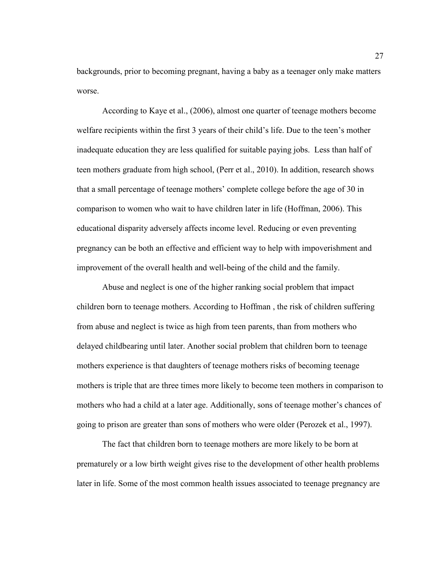backgrounds, prior to becoming pregnant, having a baby as a teenager only make matters worse.

According to Kaye et al., (2006), almost one quarter of teenage mothers become welfare recipients within the first 3 years of their child's life. Due to the teen's mother inadequate education they are less qualified for suitable paying jobs. Less than half of teen mothers graduate from high school, (Perr et al., 2010). In addition, research shows that a small percentage of teenage mothers' complete college before the age of 30 in comparison to women who wait to have children later in life (Hoffman, 2006). This educational disparity adversely affects income level. Reducing or even preventing pregnancy can be both an effective and efficient way to help with impoverishment and improvement of the overall health and well-being of the child and the family.

Abuse and neglect is one of the higher ranking social problem that impact children born to teenage mothers. According to Hoffman , the risk of children suffering from abuse and neglect is twice as high from teen parents, than from mothers who delayed childbearing until later. Another social problem that children born to teenage mothers experience is that daughters of teenage mothers risks of becoming teenage mothers is triple that are three times more likely to become teen mothers in comparison to mothers who had a child at a later age. Additionally, sons of teenage mother's chances of going to prison are greater than sons of mothers who were older (Perozek et al., 1997).

The fact that children born to teenage mothers are more likely to be born at prematurely or a low birth weight gives rise to the development of other health problems later in life. Some of the most common health issues associated to teenage pregnancy are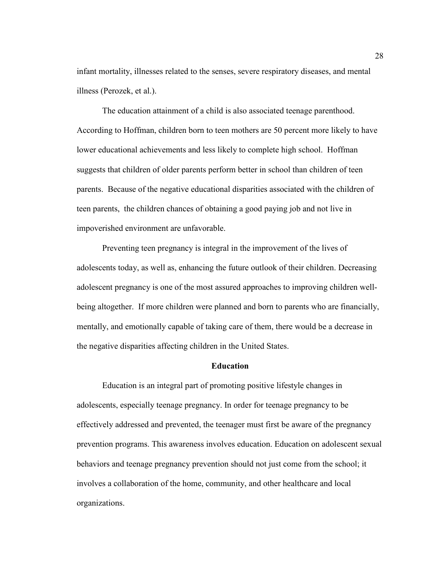infant mortality, illnesses related to the senses, severe respiratory diseases, and mental illness (Perozek, et al.).

The education attainment of a child is also associated teenage parenthood. According to Hoffman, children born to teen mothers are 50 percent more likely to have lower educational achievements and less likely to complete high school. Hoffman suggests that children of older parents perform better in school than children of teen parents. Because of the negative educational disparities associated with the children of teen parents, the children chances of obtaining a good paying job and not live in impoverished environment are unfavorable.

Preventing teen pregnancy is integral in the improvement of the lives of adolescents today, as well as, enhancing the future outlook of their children. Decreasing adolescent pregnancy is one of the most assured approaches to improving children wellbeing altogether. If more children were planned and born to parents who are financially, mentally, and emotionally capable of taking care of them, there would be a decrease in the negative disparities affecting children in the United States.

#### **Education**

Education is an integral part of promoting positive lifestyle changes in adolescents, especially teenage pregnancy. In order for teenage pregnancy to be effectively addressed and prevented, the teenager must first be aware of the pregnancy prevention programs. This awareness involves education. Education on adolescent sexual behaviors and teenage pregnancy prevention should not just come from the school; it involves a collaboration of the home, community, and other healthcare and local organizations.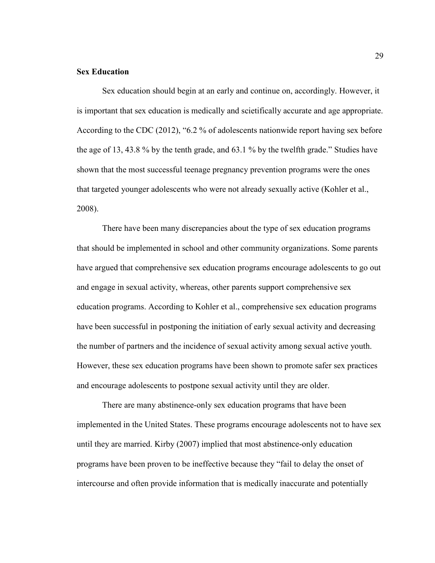# **Sex Education**

Sex education should begin at an early and continue on, accordingly. However, it is important that sex education is medically and scietifically accurate and age appropriate. According to the CDC (2012), "6.2 % of adolescents nationwide report having sex before the age of 13, 43.8 % by the tenth grade, and 63.1 % by the twelfth grade." Studies have shown that the most successful teenage pregnancy prevention programs were the ones that targeted younger adolescents who were not already sexually active (Kohler et al., 2008).

 There have been many discrepancies about the type of sex education programs that should be implemented in school and other community organizations. Some parents have argued that comprehensive sex education programs encourage adolescents to go out and engage in sexual activity, whereas, other parents support comprehensive sex education programs. According to Kohler et al., comprehensive sex education programs have been successful in postponing the initiation of early sexual activity and decreasing the number of partners and the incidence of sexual activity among sexual active youth. However, these sex education programs have been shown to promote safer sex practices and encourage adolescents to postpone sexual activity until they are older.

 There are many abstinence-only sex education programs that have been implemented in the United States. These programs encourage adolescents not to have sex until they are married. Kirby (2007) implied that most abstinence-only education programs have been proven to be ineffective because they "fail to delay the onset of intercourse and often provide information that is medically inaccurate and potentially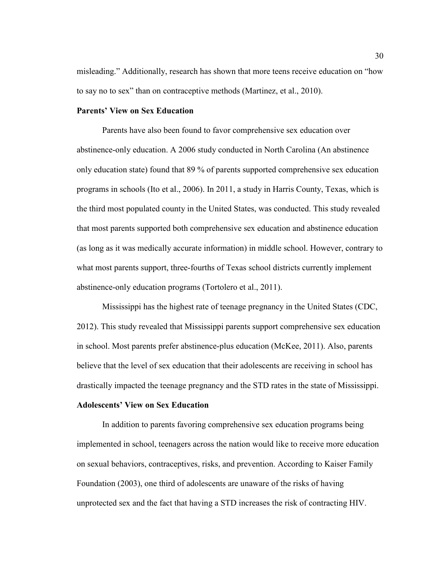misleading." Additionally, research has shown that more teens receive education on "how to say no to sex" than on contraceptive methods (Martinez, et al., 2010).

# **Parents' View on Sex Education**

Parents have also been found to favor comprehensive sex education over abstinence-only education. A 2006 study conducted in North Carolina (An abstinence only education state) found that 89 % of parents supported comprehensive sex education programs in schools (Ito et al., 2006). In 2011, a study in Harris County, Texas, which is the third most populated county in the United States, was conducted. This study revealed that most parents supported both comprehensive sex education and abstinence education (as long as it was medically accurate information) in middle school. However, contrary to what most parents support, three-fourths of Texas school districts currently implement abstinence-only education programs (Tortolero et al., 2011).

Mississippi has the highest rate of teenage pregnancy in the United States (CDC, 2012). This study revealed that Mississippi parents support comprehensive sex education in school. Most parents prefer abstinence-plus education (McKee, 2011). Also, parents believe that the level of sex education that their adolescents are receiving in school has drastically impacted the teenage pregnancy and the STD rates in the state of Mississippi.

# **Adolescents' View on Sex Education**

In addition to parents favoring comprehensive sex education programs being implemented in school, teenagers across the nation would like to receive more education on sexual behaviors, contraceptives, risks, and prevention. According to Kaiser Family Foundation (2003), one third of adolescents are unaware of the risks of having unprotected sex and the fact that having a STD increases the risk of contracting HIV.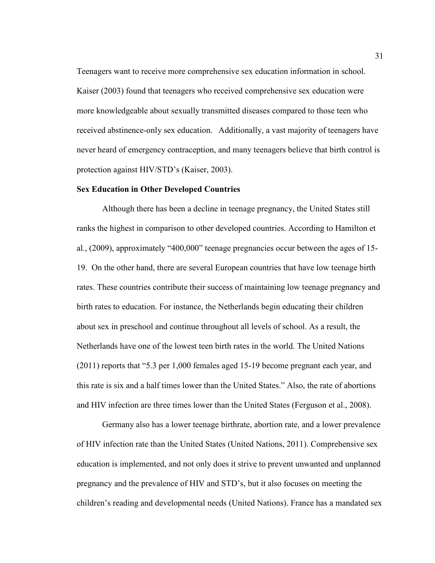Teenagers want to receive more comprehensive sex education information in school. Kaiser (2003) found that teenagers who received comprehensive sex education were more knowledgeable about sexually transmitted diseases compared to those teen who received abstinence-only sex education. Additionally, a vast majority of teenagers have never heard of emergency contraception, and many teenagers believe that birth control is protection against HIV/STD's (Kaiser, 2003).

#### **Sex Education in Other Developed Countries**

Although there has been a decline in teenage pregnancy, the United States still ranks the highest in comparison to other developed countries. According to Hamilton et al., (2009), approximately "400,000" teenage pregnancies occur between the ages of 15- 19. On the other hand, there are several European countries that have low teenage birth rates. These countries contribute their success of maintaining low teenage pregnancy and birth rates to education. For instance, the Netherlands begin educating their children about sex in preschool and continue throughout all levels of school. As a result, the Netherlands have one of the lowest teen birth rates in the world. The United Nations (2011) reports that "5.3 per 1,000 females aged 15-19 become pregnant each year, and this rate is six and a half times lower than the United States." Also, the rate of abortions and HIV infection are three times lower than the United States (Ferguson et al., 2008).

 Germany also has a lower teenage birthrate, abortion rate, and a lower prevalence of HIV infection rate than the United States (United Nations, 2011). Comprehensive sex education is implemented, and not only does it strive to prevent unwanted and unplanned pregnancy and the prevalence of HIV and STD's, but it also focuses on meeting the children's reading and developmental needs (United Nations). France has a mandated sex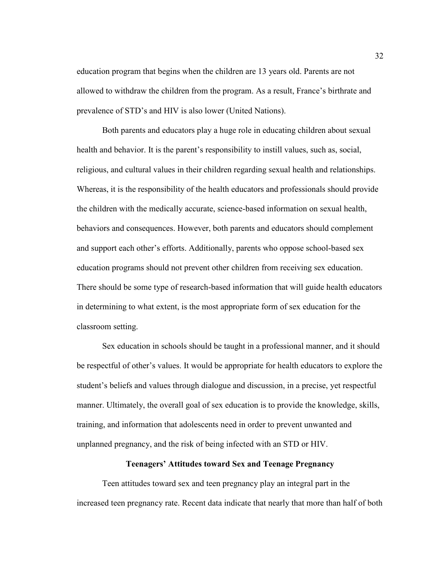education program that begins when the children are 13 years old. Parents are not allowed to withdraw the children from the program. As a result, France's birthrate and prevalence of STD's and HIV is also lower (United Nations).

 Both parents and educators play a huge role in educating children about sexual health and behavior. It is the parent's responsibility to instill values, such as, social, religious, and cultural values in their children regarding sexual health and relationships. Whereas, it is the responsibility of the health educators and professionals should provide the children with the medically accurate, science-based information on sexual health, behaviors and consequences. However, both parents and educators should complement and support each other's efforts. Additionally, parents who oppose school-based sex education programs should not prevent other children from receiving sex education. There should be some type of research-based information that will guide health educators in determining to what extent, is the most appropriate form of sex education for the classroom setting.

 Sex education in schools should be taught in a professional manner, and it should be respectful of other's values. It would be appropriate for health educators to explore the student's beliefs and values through dialogue and discussion, in a precise, yet respectful manner. Ultimately, the overall goal of sex education is to provide the knowledge, skills, training, and information that adolescents need in order to prevent unwanted and unplanned pregnancy, and the risk of being infected with an STD or HIV.

# **Teenagers' Attitudes toward Sex and Teenage Pregnancy**

Teen attitudes toward sex and teen pregnancy play an integral part in the increased teen pregnancy rate. Recent data indicate that nearly that more than half of both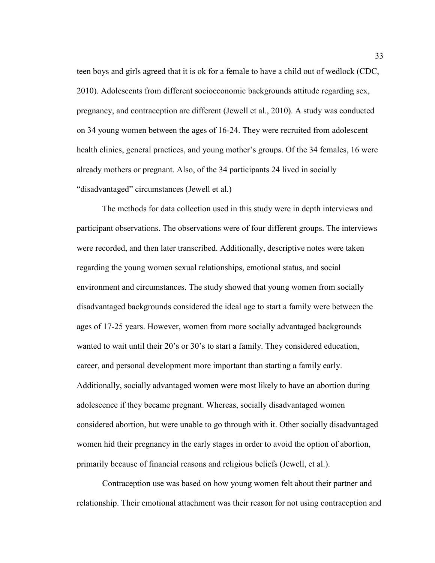teen boys and girls agreed that it is ok for a female to have a child out of wedlock (CDC, 2010). Adolescents from different socioeconomic backgrounds attitude regarding sex, pregnancy, and contraception are different (Jewell et al., 2010). A study was conducted on 34 young women between the ages of 16-24. They were recruited from adolescent health clinics, general practices, and young mother's groups. Of the 34 females, 16 were already mothers or pregnant. Also, of the 34 participants 24 lived in socially "disadvantaged" circumstances (Jewell et al.)

The methods for data collection used in this study were in depth interviews and participant observations. The observations were of four different groups. The interviews were recorded, and then later transcribed. Additionally, descriptive notes were taken regarding the young women sexual relationships, emotional status, and social environment and circumstances. The study showed that young women from socially disadvantaged backgrounds considered the ideal age to start a family were between the ages of 17-25 years. However, women from more socially advantaged backgrounds wanted to wait until their 20's or 30's to start a family. They considered education, career, and personal development more important than starting a family early. Additionally, socially advantaged women were most likely to have an abortion during adolescence if they became pregnant. Whereas, socially disadvantaged women considered abortion, but were unable to go through with it. Other socially disadvantaged women hid their pregnancy in the early stages in order to avoid the option of abortion, primarily because of financial reasons and religious beliefs (Jewell, et al.).

Contraception use was based on how young women felt about their partner and relationship. Their emotional attachment was their reason for not using contraception and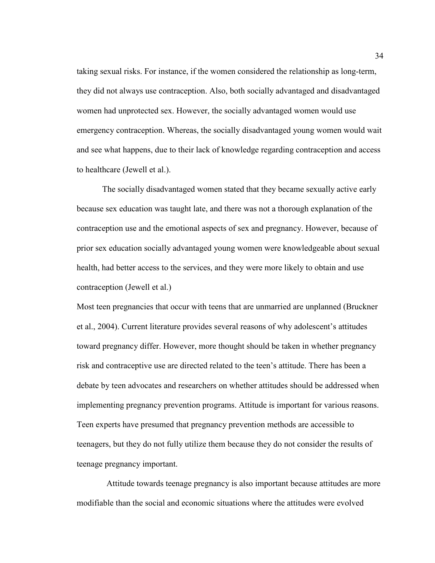taking sexual risks. For instance, if the women considered the relationship as long-term, they did not always use contraception. Also, both socially advantaged and disadvantaged women had unprotected sex. However, the socially advantaged women would use emergency contraception. Whereas, the socially disadvantaged young women would wait and see what happens, due to their lack of knowledge regarding contraception and access to healthcare (Jewell et al.).

The socially disadvantaged women stated that they became sexually active early because sex education was taught late, and there was not a thorough explanation of the contraception use and the emotional aspects of sex and pregnancy. However, because of prior sex education socially advantaged young women were knowledgeable about sexual health, had better access to the services, and they were more likely to obtain and use contraception (Jewell et al.)

Most teen pregnancies that occur with teens that are unmarried are unplanned (Bruckner et al., 2004). Current literature provides several reasons of why adolescent's attitudes toward pregnancy differ. However, more thought should be taken in whether pregnancy risk and contraceptive use are directed related to the teen's attitude. There has been a debate by teen advocates and researchers on whether attitudes should be addressed when implementing pregnancy prevention programs. Attitude is important for various reasons. Teen experts have presumed that pregnancy prevention methods are accessible to teenagers, but they do not fully utilize them because they do not consider the results of teenage pregnancy important.

 Attitude towards teenage pregnancy is also important because attitudes are more modifiable than the social and economic situations where the attitudes were evolved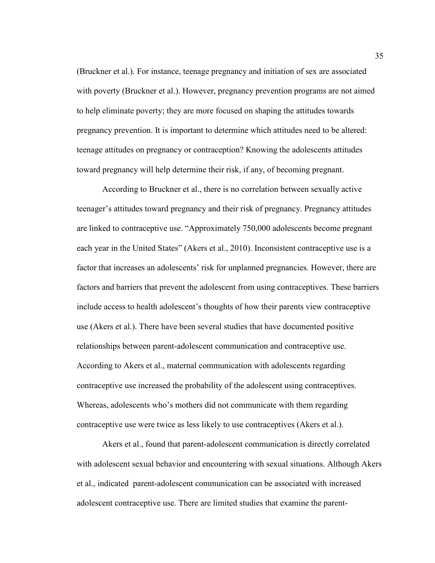(Bruckner et al.). For instance, teenage pregnancy and initiation of sex are associated with poverty (Bruckner et al.). However, pregnancy prevention programs are not aimed to help eliminate poverty; they are more focused on shaping the attitudes towards pregnancy prevention. It is important to determine which attitudes need to be altered: teenage attitudes on pregnancy or contraception? Knowing the adolescents attitudes toward pregnancy will help determine their risk, if any, of becoming pregnant.

According to Bruckner et al., there is no correlation between sexually active teenager's attitudes toward pregnancy and their risk of pregnancy. Pregnancy attitudes are linked to contraceptive use. "Approximately 750,000 adolescents become pregnant each year in the United States" (Akers et al., 2010). Inconsistent contraceptive use is a factor that increases an adolescents' risk for unplanned pregnancies. However, there are factors and barriers that prevent the adolescent from using contraceptives. These barriers include access to health adolescent's thoughts of how their parents view contraceptive use (Akers et al.). There have been several studies that have documented positive relationships between parent-adolescent communication and contraceptive use. According to Akers et al., maternal communication with adolescents regarding contraceptive use increased the probability of the adolescent using contraceptives. Whereas, adolescents who's mothers did not communicate with them regarding contraceptive use were twice as less likely to use contraceptives (Akers et al.).

Akers et al., found that parent-adolescent communication is directly correlated with adolescent sexual behavior and encountering with sexual situations. Although Akers et al., indicated parent-adolescent communication can be associated with increased adolescent contraceptive use. There are limited studies that examine the parent-

35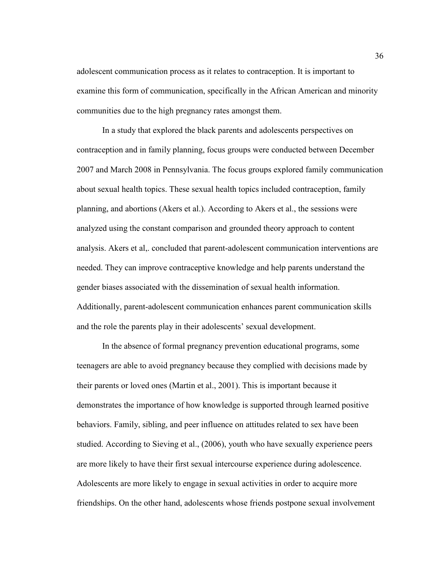adolescent communication process as it relates to contraception. It is important to examine this form of communication, specifically in the African American and minority communities due to the high pregnancy rates amongst them.

In a study that explored the black parents and adolescents perspectives on contraception and in family planning, focus groups were conducted between December 2007 and March 2008 in Pennsylvania. The focus groups explored family communication about sexual health topics. These sexual health topics included contraception, family planning, and abortions (Akers et al.). According to Akers et al., the sessions were analyzed using the constant comparison and grounded theory approach to content analysis. Akers et al,. concluded that parent-adolescent communication interventions are needed. They can improve contraceptive knowledge and help parents understand the gender biases associated with the dissemination of sexual health information. Additionally, parent-adolescent communication enhances parent communication skills and the role the parents play in their adolescents' sexual development.

In the absence of formal pregnancy prevention educational programs, some teenagers are able to avoid pregnancy because they complied with decisions made by their parents or loved ones (Martin et al., 2001). This is important because it demonstrates the importance of how knowledge is supported through learned positive behaviors. Family, sibling, and peer influence on attitudes related to sex have been studied. According to Sieving et al., (2006), youth who have sexually experience peers are more likely to have their first sexual intercourse experience during adolescence. Adolescents are more likely to engage in sexual activities in order to acquire more friendships. On the other hand, adolescents whose friends postpone sexual involvement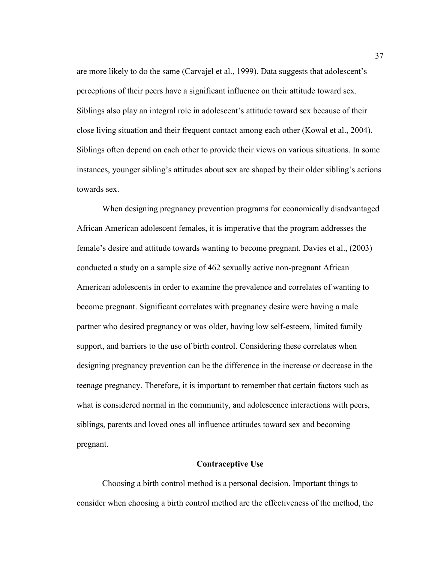are more likely to do the same (Carvajel et al., 1999). Data suggests that adolescent's perceptions of their peers have a significant influence on their attitude toward sex. Siblings also play an integral role in adolescent's attitude toward sex because of their close living situation and their frequent contact among each other (Kowal et al., 2004). Siblings often depend on each other to provide their views on various situations. In some instances, younger sibling's attitudes about sex are shaped by their older sibling's actions towards sex.

When designing pregnancy prevention programs for economically disadvantaged African American adolescent females, it is imperative that the program addresses the female's desire and attitude towards wanting to become pregnant. Davies et al., (2003) conducted a study on a sample size of 462 sexually active non-pregnant African American adolescents in order to examine the prevalence and correlates of wanting to become pregnant. Significant correlates with pregnancy desire were having a male partner who desired pregnancy or was older, having low self-esteem, limited family support, and barriers to the use of birth control. Considering these correlates when designing pregnancy prevention can be the difference in the increase or decrease in the teenage pregnancy. Therefore, it is important to remember that certain factors such as what is considered normal in the community, and adolescence interactions with peers, siblings, parents and loved ones all influence attitudes toward sex and becoming pregnant.

# **Contraceptive Use**

Choosing a birth control method is a personal decision. Important things to consider when choosing a birth control method are the effectiveness of the method, the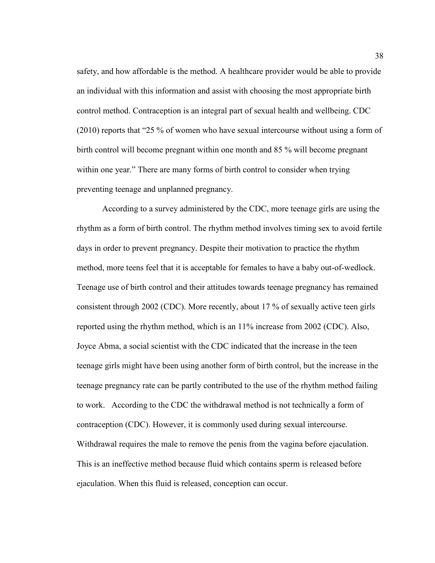safety, and how affordable is the method. A healthcare provider would be able to provide an individual with this information and assist with choosing the most appropriate birth control method. Contraception is an integral part of sexual health and wellbeing. CDC (2010) reports that "25 % of women who have sexual intercourse without using a form of birth control will become pregnant within one month and 85 % will become pregnant within one year." There are many forms of birth control to consider when trying preventing teenage and unplanned pregnancy.

According to a survey administered by the CDC, more teenage girls are using the rhythm as a form of birth control. The rhythm method involves timing sex to avoid fertile days in order to prevent pregnancy. Despite their motivation to practice the rhythm method, more teens feel that it is acceptable for females to have a baby out-of-wedlock. Teenage use of birth control and their attitudes towards teenage pregnancy has remained consistent through 2002 (CDC). More recently, about 17 % of sexually active teen girls reported using the rhythm method, which is an 11% increase from 2002 (CDC). Also, Joyce Abma, a social scientist with the CDC indicated that the increase in the teen teenage girls might have been using another form of birth control, but the increase in the teenage pregnancy rate can be partly contributed to the use of the rhythm method failing to work. According to the CDC the withdrawal method is not technically a form of contraception (CDC). However, it is commonly used during sexual intercourse. Withdrawal requires the male to remove the penis from the vagina before ejaculation. This is an ineffective method because fluid which contains sperm is released before ejaculation. When this fluid is released, conception can occur.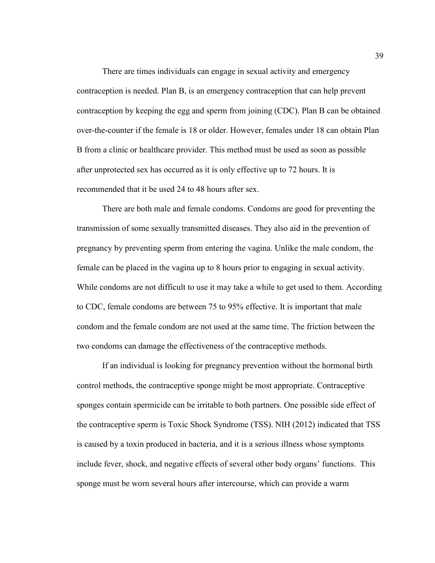There are times individuals can engage in sexual activity and emergency contraception is needed. Plan B, is an emergency contraception that can help prevent contraception by keeping the egg and sperm from joining (CDC). Plan B can be obtained over-the-counter if the female is 18 or older. However, females under 18 can obtain Plan B from a clinic or healthcare provider. This method must be used as soon as possible after unprotected sex has occurred as it is only effective up to 72 hours. It is recommended that it be used 24 to 48 hours after sex.

There are both male and female condoms. Condoms are good for preventing the transmission of some sexually transmitted diseases. They also aid in the prevention of pregnancy by preventing sperm from entering the vagina. Unlike the male condom, the female can be placed in the vagina up to 8 hours prior to engaging in sexual activity. While condoms are not difficult to use it may take a while to get used to them. According to CDC, female condoms are between 75 to 95% effective. It is important that male condom and the female condom are not used at the same time. The friction between the two condoms can damage the effectiveness of the contraceptive methods.

If an individual is looking for pregnancy prevention without the hormonal birth control methods, the contraceptive sponge might be most appropriate. Contraceptive sponges contain spermicide can be irritable to both partners. One possible side effect of the contraceptive sperm is Toxic Shock Syndrome (TSS). NIH (2012) indicated that TSS is caused by a toxin produced in bacteria, and it is a serious illness whose symptoms include fever, shock, and negative effects of several other body organs' functions. This sponge must be worn several hours after intercourse, which can provide a warm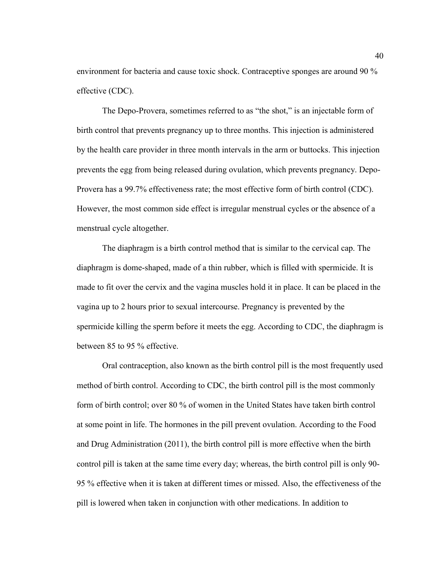environment for bacteria and cause toxic shock. Contraceptive sponges are around 90 % effective (CDC).

The Depo-Provera, sometimes referred to as "the shot," is an injectable form of birth control that prevents pregnancy up to three months. This injection is administered by the health care provider in three month intervals in the arm or buttocks. This injection prevents the egg from being released during ovulation, which prevents pregnancy. Depo-Provera has a 99.7% effectiveness rate; the most effective form of birth control (CDC). However, the most common side effect is irregular menstrual cycles or the absence of a menstrual cycle altogether.

The diaphragm is a birth control method that is similar to the cervical cap. The diaphragm is dome-shaped, made of a thin rubber, which is filled with spermicide. It is made to fit over the cervix and the vagina muscles hold it in place. It can be placed in the vagina up to 2 hours prior to sexual intercourse. Pregnancy is prevented by the spermicide killing the sperm before it meets the egg. According to CDC, the diaphragm is between 85 to 95 % effective.

Oral contraception, also known as the birth control pill is the most frequently used method of birth control. According to CDC, the birth control pill is the most commonly form of birth control; over 80 % of women in the United States have taken birth control at some point in life. The hormones in the pill prevent ovulation. According to the Food and Drug Administration (2011), the birth control pill is more effective when the birth control pill is taken at the same time every day; whereas, the birth control pill is only 90- 95 % effective when it is taken at different times or missed. Also, the effectiveness of the pill is lowered when taken in conjunction with other medications. In addition to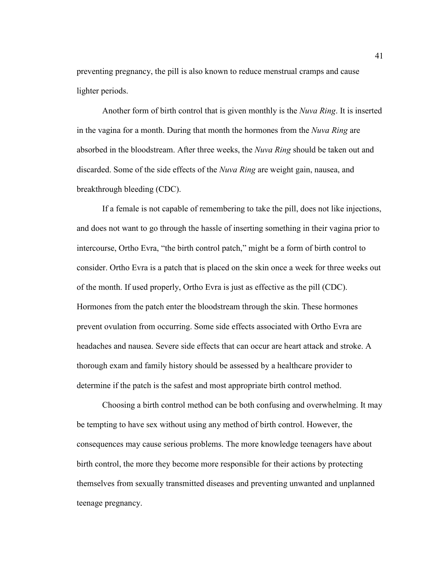preventing pregnancy, the pill is also known to reduce menstrual cramps and cause lighter periods.

Another form of birth control that is given monthly is the *Nuva Ring*. It is inserted in the vagina for a month. During that month the hormones from the *Nuva Ring* are absorbed in the bloodstream. After three weeks, the *Nuva Ring* should be taken out and discarded. Some of the side effects of the *Nuva Ring* are weight gain, nausea, and breakthrough bleeding (CDC).

If a female is not capable of remembering to take the pill, does not like injections, and does not want to go through the hassle of inserting something in their vagina prior to intercourse, Ortho Evra, "the birth control patch," might be a form of birth control to consider. Ortho Evra is a patch that is placed on the skin once a week for three weeks out of the month. If used properly, Ortho Evra is just as effective as the pill (CDC). Hormones from the patch enter the bloodstream through the skin. These hormones prevent ovulation from occurring. Some side effects associated with Ortho Evra are headaches and nausea. Severe side effects that can occur are heart attack and stroke. A thorough exam and family history should be assessed by a healthcare provider to determine if the patch is the safest and most appropriate birth control method.

Choosing a birth control method can be both confusing and overwhelming. It may be tempting to have sex without using any method of birth control. However, the consequences may cause serious problems. The more knowledge teenagers have about birth control, the more they become more responsible for their actions by protecting themselves from sexually transmitted diseases and preventing unwanted and unplanned teenage pregnancy.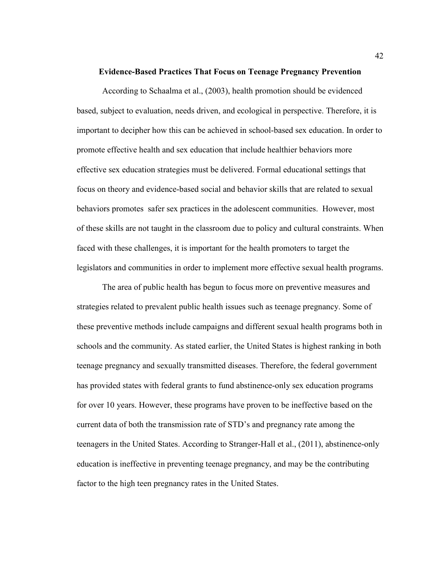#### **Evidence-Based Practices That Focus on Teenage Pregnancy Prevention**

According to Schaalma et al., (2003), health promotion should be evidenced based, subject to evaluation, needs driven, and ecological in perspective. Therefore, it is important to decipher how this can be achieved in school-based sex education. In order to promote effective health and sex education that include healthier behaviors more effective sex education strategies must be delivered. Formal educational settings that focus on theory and evidence-based social and behavior skills that are related to sexual behaviors promotes safer sex practices in the adolescent communities. However, most of these skills are not taught in the classroom due to policy and cultural constraints. When faced with these challenges, it is important for the health promoters to target the legislators and communities in order to implement more effective sexual health programs.

The area of public health has begun to focus more on preventive measures and strategies related to prevalent public health issues such as teenage pregnancy. Some of these preventive methods include campaigns and different sexual health programs both in schools and the community. As stated earlier, the United States is highest ranking in both teenage pregnancy and sexually transmitted diseases. Therefore, the federal government has provided states with federal grants to fund abstinence-only sex education programs for over 10 years. However, these programs have proven to be ineffective based on the current data of both the transmission rate of STD's and pregnancy rate among the teenagers in the United States. According to Stranger-Hall et al., (2011), abstinence-only education is ineffective in preventing teenage pregnancy, and may be the contributing factor to the high teen pregnancy rates in the United States.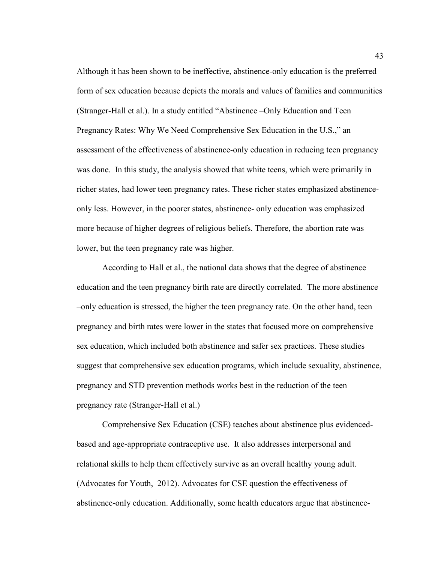Although it has been shown to be ineffective, abstinence-only education is the preferred form of sex education because depicts the morals and values of families and communities (Stranger-Hall et al.). In a study entitled "Abstinence –Only Education and Teen Pregnancy Rates: Why We Need Comprehensive Sex Education in the U.S.," an assessment of the effectiveness of abstinence-only education in reducing teen pregnancy was done. In this study, the analysis showed that white teens, which were primarily in richer states, had lower teen pregnancy rates. These richer states emphasized abstinenceonly less. However, in the poorer states, abstinence- only education was emphasized more because of higher degrees of religious beliefs. Therefore, the abortion rate was lower, but the teen pregnancy rate was higher.

According to Hall et al., the national data shows that the degree of abstinence education and the teen pregnancy birth rate are directly correlated. The more abstinence –only education is stressed, the higher the teen pregnancy rate. On the other hand, teen pregnancy and birth rates were lower in the states that focused more on comprehensive sex education, which included both abstinence and safer sex practices. These studies suggest that comprehensive sex education programs, which include sexuality, abstinence, pregnancy and STD prevention methods works best in the reduction of the teen pregnancy rate (Stranger-Hall et al.)

 Comprehensive Sex Education (CSE) teaches about abstinence plus evidencedbased and age-appropriate contraceptive use. It also addresses interpersonal and relational skills to help them effectively survive as an overall healthy young adult. (Advocates for Youth, 2012). Advocates for CSE question the effectiveness of abstinence-only education. Additionally, some health educators argue that abstinence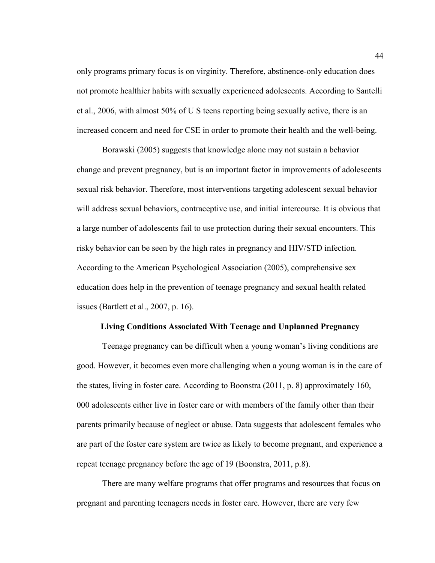only programs primary focus is on virginity. Therefore, abstinence-only education does not promote healthier habits with sexually experienced adolescents. According to Santelli et al., 2006, with almost 50% of U S teens reporting being sexually active, there is an increased concern and need for CSE in order to promote their health and the well-being.

 Borawski (2005) suggests that knowledge alone may not sustain a behavior change and prevent pregnancy, but is an important factor in improvements of adolescents sexual risk behavior. Therefore, most interventions targeting adolescent sexual behavior will address sexual behaviors, contraceptive use, and initial intercourse. It is obvious that a large number of adolescents fail to use protection during their sexual encounters. This risky behavior can be seen by the high rates in pregnancy and HIV/STD infection. According to the American Psychological Association (2005), comprehensive sex education does help in the prevention of teenage pregnancy and sexual health related issues (Bartlett et al., 2007, p. 16).

#### **Living Conditions Associated With Teenage and Unplanned Pregnancy**

Teenage pregnancy can be difficult when a young woman's living conditions are good. However, it becomes even more challenging when a young woman is in the care of the states, living in foster care. According to Boonstra (2011, p. 8) approximately 160, 000 adolescents either live in foster care or with members of the family other than their parents primarily because of neglect or abuse. Data suggests that adolescent females who are part of the foster care system are twice as likely to become pregnant, and experience a repeat teenage pregnancy before the age of 19 (Boonstra, 2011, p.8).

There are many welfare programs that offer programs and resources that focus on pregnant and parenting teenagers needs in foster care. However, there are very few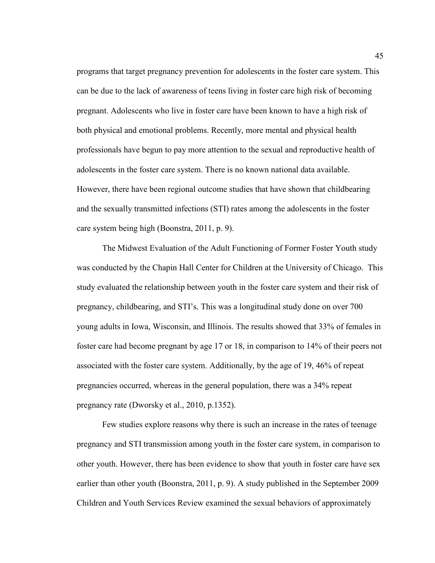programs that target pregnancy prevention for adolescents in the foster care system. This can be due to the lack of awareness of teens living in foster care high risk of becoming pregnant. Adolescents who live in foster care have been known to have a high risk of both physical and emotional problems. Recently, more mental and physical health professionals have begun to pay more attention to the sexual and reproductive health of adolescents in the foster care system. There is no known national data available. However, there have been regional outcome studies that have shown that childbearing and the sexually transmitted infections (STI) rates among the adolescents in the foster care system being high (Boonstra, 2011, p. 9).

 The Midwest Evaluation of the Adult Functioning of Former Foster Youth study was conducted by the Chapin Hall Center for Children at the University of Chicago. This study evaluated the relationship between youth in the foster care system and their risk of pregnancy, childbearing, and STI's. This was a longitudinal study done on over 700 young adults in Iowa, Wisconsin, and Illinois. The results showed that 33% of females in foster care had become pregnant by age 17 or 18, in comparison to 14% of their peers not associated with the foster care system. Additionally, by the age of 19, 46% of repeat pregnancies occurred, whereas in the general population, there was a 34% repeat pregnancy rate (Dworsky et al., 2010, p.1352).

Few studies explore reasons why there is such an increase in the rates of teenage pregnancy and STI transmission among youth in the foster care system, in comparison to other youth. However, there has been evidence to show that youth in foster care have sex earlier than other youth (Boonstra, 2011, p. 9). A study published in the September 2009 Children and Youth Services Review examined the sexual behaviors of approximately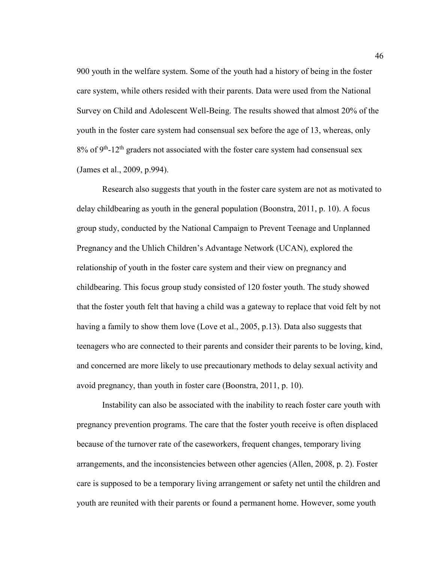900 youth in the welfare system. Some of the youth had a history of being in the foster care system, while others resided with their parents. Data were used from the National Survey on Child and Adolescent Well-Being. The results showed that almost 20% of the youth in the foster care system had consensual sex before the age of 13, whereas, only  $8\%$  of  $9<sup>th</sup>$ -12<sup>th</sup> graders not associated with the foster care system had consensual sex (James et al., 2009, p.994).

Research also suggests that youth in the foster care system are not as motivated to delay childbearing as youth in the general population (Boonstra, 2011, p. 10). A focus group study, conducted by the National Campaign to Prevent Teenage and Unplanned Pregnancy and the Uhlich Children's Advantage Network (UCAN), explored the relationship of youth in the foster care system and their view on pregnancy and childbearing. This focus group study consisted of 120 foster youth. The study showed that the foster youth felt that having a child was a gateway to replace that void felt by not having a family to show them love (Love et al., 2005, p.13). Data also suggests that teenagers who are connected to their parents and consider their parents to be loving, kind, and concerned are more likely to use precautionary methods to delay sexual activity and avoid pregnancy, than youth in foster care (Boonstra, 2011, p. 10).

Instability can also be associated with the inability to reach foster care youth with pregnancy prevention programs. The care that the foster youth receive is often displaced because of the turnover rate of the caseworkers, frequent changes, temporary living arrangements, and the inconsistencies between other agencies (Allen, 2008, p. 2). Foster care is supposed to be a temporary living arrangement or safety net until the children and youth are reunited with their parents or found a permanent home. However, some youth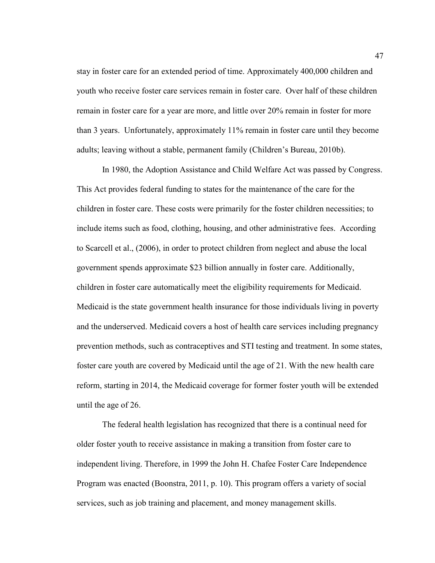stay in foster care for an extended period of time. Approximately 400,000 children and youth who receive foster care services remain in foster care. Over half of these children remain in foster care for a year are more, and little over 20% remain in foster for more than 3 years. Unfortunately, approximately 11% remain in foster care until they become adults; leaving without a stable, permanent family (Children's Bureau, 2010b).

In 1980, the Adoption Assistance and Child Welfare Act was passed by Congress. This Act provides federal funding to states for the maintenance of the care for the children in foster care. These costs were primarily for the foster children necessities; to include items such as food, clothing, housing, and other administrative fees. According to Scarcell et al., (2006), in order to protect children from neglect and abuse the local government spends approximate \$23 billion annually in foster care. Additionally, children in foster care automatically meet the eligibility requirements for Medicaid. Medicaid is the state government health insurance for those individuals living in poverty and the underserved. Medicaid covers a host of health care services including pregnancy prevention methods, such as contraceptives and STI testing and treatment. In some states, foster care youth are covered by Medicaid until the age of 21. With the new health care reform, starting in 2014, the Medicaid coverage for former foster youth will be extended until the age of 26.

The federal health legislation has recognized that there is a continual need for older foster youth to receive assistance in making a transition from foster care to independent living. Therefore, in 1999 the John H. Chafee Foster Care Independence Program was enacted (Boonstra, 2011, p. 10). This program offers a variety of social services, such as job training and placement, and money management skills.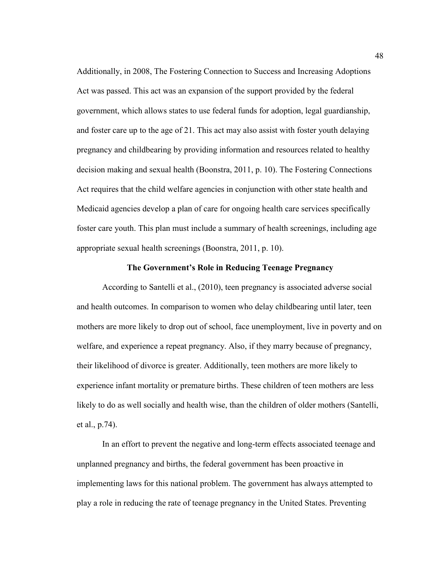Additionally, in 2008, The Fostering Connection to Success and Increasing Adoptions Act was passed. This act was an expansion of the support provided by the federal government, which allows states to use federal funds for adoption, legal guardianship, and foster care up to the age of 21. This act may also assist with foster youth delaying pregnancy and childbearing by providing information and resources related to healthy decision making and sexual health (Boonstra, 2011, p. 10). The Fostering Connections Act requires that the child welfare agencies in conjunction with other state health and Medicaid agencies develop a plan of care for ongoing health care services specifically foster care youth. This plan must include a summary of health screenings, including age appropriate sexual health screenings (Boonstra, 2011, p. 10).

# **The Government's Role in Reducing Teenage Pregnancy**

According to Santelli et al., (2010), teen pregnancy is associated adverse social and health outcomes. In comparison to women who delay childbearing until later, teen mothers are more likely to drop out of school, face unemployment, live in poverty and on welfare, and experience a repeat pregnancy. Also, if they marry because of pregnancy, their likelihood of divorce is greater. Additionally, teen mothers are more likely to experience infant mortality or premature births. These children of teen mothers are less likely to do as well socially and health wise, than the children of older mothers (Santelli, et al., p.74).

In an effort to prevent the negative and long-term effects associated teenage and unplanned pregnancy and births, the federal government has been proactive in implementing laws for this national problem. The government has always attempted to play a role in reducing the rate of teenage pregnancy in the United States. Preventing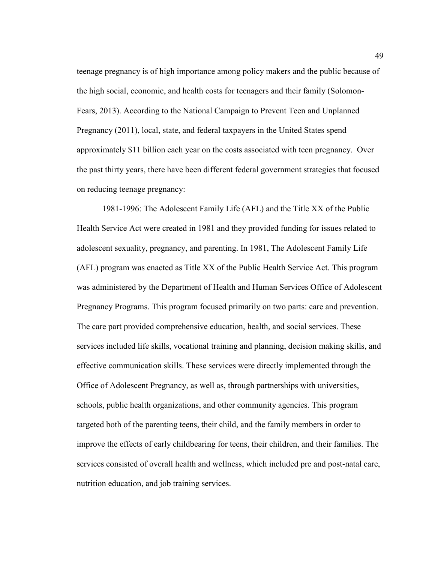teenage pregnancy is of high importance among policy makers and the public because of the high social, economic, and health costs for teenagers and their family (Solomon-Fears, 2013). According to the National Campaign to Prevent Teen and Unplanned Pregnancy (2011), local, state, and federal taxpayers in the United States spend approximately \$11 billion each year on the costs associated with teen pregnancy. Over the past thirty years, there have been different federal government strategies that focused on reducing teenage pregnancy:

1981-1996: The Adolescent Family Life (AFL) and the Title XX of the Public Health Service Act were created in 1981 and they provided funding for issues related to adolescent sexuality, pregnancy, and parenting. In 1981, The Adolescent Family Life (AFL) program was enacted as Title XX of the Public Health Service Act. This program was administered by the Department of Health and Human Services Office of Adolescent Pregnancy Programs. This program focused primarily on two parts: care and prevention. The care part provided comprehensive education, health, and social services. These services included life skills, vocational training and planning, decision making skills, and effective communication skills. These services were directly implemented through the Office of Adolescent Pregnancy, as well as, through partnerships with universities, schools, public health organizations, and other community agencies. This program targeted both of the parenting teens, their child, and the family members in order to improve the effects of early childbearing for teens, their children, and their families. The services consisted of overall health and wellness, which included pre and post-natal care, nutrition education, and job training services.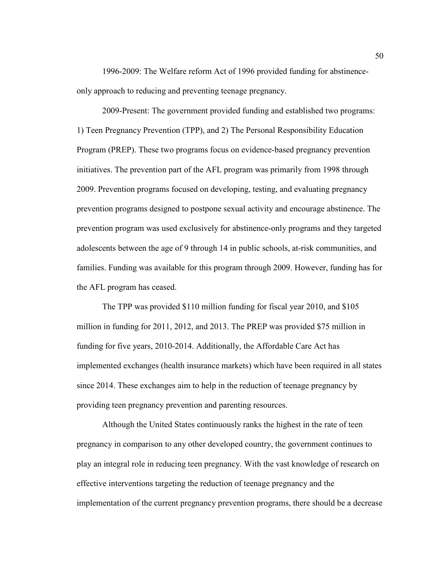1996-2009: The Welfare reform Act of 1996 provided funding for abstinenceonly approach to reducing and preventing teenage pregnancy.

2009-Present: The government provided funding and established two programs: 1) Teen Pregnancy Prevention (TPP), and 2) The Personal Responsibility Education Program (PREP). These two programs focus on evidence-based pregnancy prevention initiatives. The prevention part of the AFL program was primarily from 1998 through 2009. Prevention programs focused on developing, testing, and evaluating pregnancy prevention programs designed to postpone sexual activity and encourage abstinence. The prevention program was used exclusively for abstinence-only programs and they targeted adolescents between the age of 9 through 14 in public schools, at-risk communities, and families. Funding was available for this program through 2009. However, funding has for the AFL program has ceased.

The TPP was provided \$110 million funding for fiscal year 2010, and \$105 million in funding for 2011, 2012, and 2013. The PREP was provided \$75 million in funding for five years, 2010-2014. Additionally, the Affordable Care Act has implemented exchanges (health insurance markets) which have been required in all states since 2014. These exchanges aim to help in the reduction of teenage pregnancy by providing teen pregnancy prevention and parenting resources.

Although the United States continuously ranks the highest in the rate of teen pregnancy in comparison to any other developed country, the government continues to play an integral role in reducing teen pregnancy. With the vast knowledge of research on effective interventions targeting the reduction of teenage pregnancy and the implementation of the current pregnancy prevention programs, there should be a decrease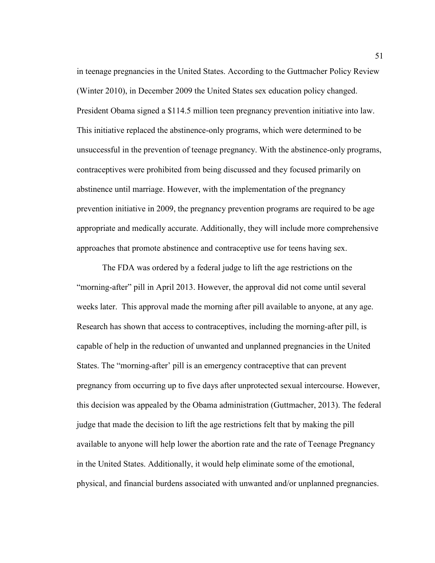in teenage pregnancies in the United States. According to the Guttmacher Policy Review (Winter 2010), in December 2009 the United States sex education policy changed. President Obama signed a \$114.5 million teen pregnancy prevention initiative into law. This initiative replaced the abstinence-only programs, which were determined to be unsuccessful in the prevention of teenage pregnancy. With the abstinence-only programs, contraceptives were prohibited from being discussed and they focused primarily on abstinence until marriage. However, with the implementation of the pregnancy prevention initiative in 2009, the pregnancy prevention programs are required to be age appropriate and medically accurate. Additionally, they will include more comprehensive approaches that promote abstinence and contraceptive use for teens having sex.

The FDA was ordered by a federal judge to lift the age restrictions on the "morning-after" pill in April 2013. However, the approval did not come until several weeks later. This approval made the morning after pill available to anyone, at any age. Research has shown that access to contraceptives, including the morning-after pill, is capable of help in the reduction of unwanted and unplanned pregnancies in the United States. The "morning-after' pill is an emergency contraceptive that can prevent pregnancy from occurring up to five days after unprotected sexual intercourse. However, this decision was appealed by the Obama administration (Guttmacher, 2013). The federal judge that made the decision to lift the age restrictions felt that by making the pill available to anyone will help lower the abortion rate and the rate of Teenage Pregnancy in the United States. Additionally, it would help eliminate some of the emotional, physical, and financial burdens associated with unwanted and/or unplanned pregnancies.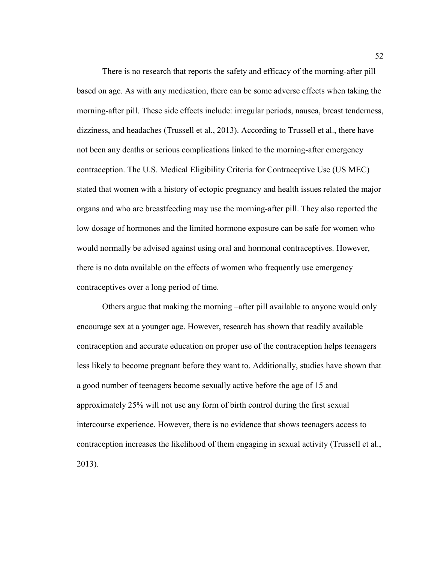There is no research that reports the safety and efficacy of the morning-after pill based on age. As with any medication, there can be some adverse effects when taking the morning-after pill. These side effects include: irregular periods, nausea, breast tenderness, dizziness, and headaches (Trussell et al., 2013). According to Trussell et al., there have not been any deaths or serious complications linked to the morning-after emergency contraception. The U.S. Medical Eligibility Criteria for Contraceptive Use (US MEC) stated that women with a history of ectopic pregnancy and health issues related the major organs and who are breastfeeding may use the morning-after pill. They also reported the low dosage of hormones and the limited hormone exposure can be safe for women who would normally be advised against using oral and hormonal contraceptives. However, there is no data available on the effects of women who frequently use emergency contraceptives over a long period of time.

Others argue that making the morning –after pill available to anyone would only encourage sex at a younger age. However, research has shown that readily available contraception and accurate education on proper use of the contraception helps teenagers less likely to become pregnant before they want to. Additionally, studies have shown that a good number of teenagers become sexually active before the age of 15 and approximately 25% will not use any form of birth control during the first sexual intercourse experience. However, there is no evidence that shows teenagers access to contraception increases the likelihood of them engaging in sexual activity (Trussell et al., 2013).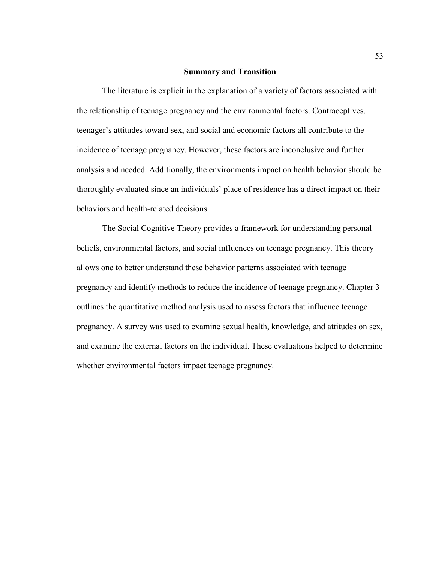#### **Summary and Transition**

 The literature is explicit in the explanation of a variety of factors associated with the relationship of teenage pregnancy and the environmental factors. Contraceptives, teenager's attitudes toward sex, and social and economic factors all contribute to the incidence of teenage pregnancy. However, these factors are inconclusive and further analysis and needed. Additionally, the environments impact on health behavior should be thoroughly evaluated since an individuals' place of residence has a direct impact on their behaviors and health-related decisions.

 The Social Cognitive Theory provides a framework for understanding personal beliefs, environmental factors, and social influences on teenage pregnancy. This theory allows one to better understand these behavior patterns associated with teenage pregnancy and identify methods to reduce the incidence of teenage pregnancy. Chapter 3 outlines the quantitative method analysis used to assess factors that influence teenage pregnancy. A survey was used to examine sexual health, knowledge, and attitudes on sex, and examine the external factors on the individual. These evaluations helped to determine whether environmental factors impact teenage pregnancy.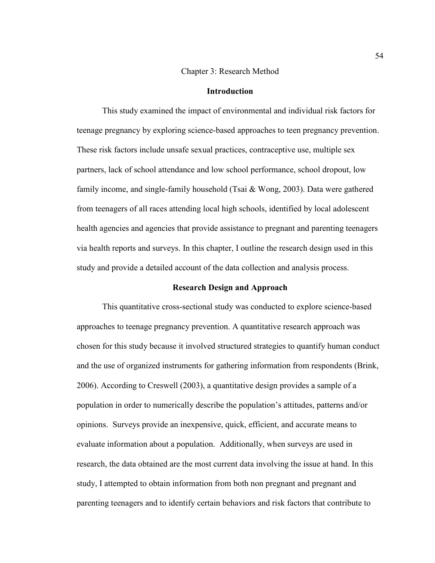#### Chapter 3: Research Method

# **Introduction**

This study examined the impact of environmental and individual risk factors for teenage pregnancy by exploring science-based approaches to teen pregnancy prevention. These risk factors include unsafe sexual practices, contraceptive use, multiple sex partners, lack of school attendance and low school performance, school dropout, low family income, and single-family household (Tsai & Wong, 2003). Data were gathered from teenagers of all races attending local high schools, identified by local adolescent health agencies and agencies that provide assistance to pregnant and parenting teenagers via health reports and surveys. In this chapter, I outline the research design used in this study and provide a detailed account of the data collection and analysis process.

# **Research Design and Approach**

This quantitative cross-sectional study was conducted to explore science-based approaches to teenage pregnancy prevention. A quantitative research approach was chosen for this study because it involved structured strategies to quantify human conduct and the use of organized instruments for gathering information from respondents (Brink, 2006). According to Creswell (2003), a quantitative design provides a sample of a population in order to numerically describe the population's attitudes, patterns and/or opinions. Surveys provide an inexpensive, quick, efficient, and accurate means to evaluate information about a population. Additionally, when surveys are used in research, the data obtained are the most current data involving the issue at hand. In this study, I attempted to obtain information from both non pregnant and pregnant and parenting teenagers and to identify certain behaviors and risk factors that contribute to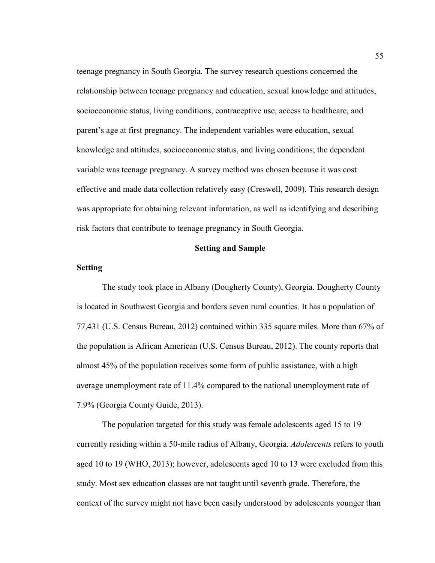teenage pregnancy in South Georgia. The survey research questions concerned the relationship between teenage pregnancy and education, sexual knowledge and attitudes, socioeconomic status, living conditions, contraceptive use, access to healthcare, and parent's age at first pregnancy. The independent variables were education, sexual knowledge and attitudes, socioeconomic status, and living conditions; the dependent variable was teenage pregnancy. A survey method was chosen because it was cost effective and made data collection relatively easy (Creswell, 2009). This research design was appropriate for obtaining relevant information, as well as identifying and describing risk factors that contribute to teenage pregnancy in South Georgia.

# **Setting and Sample**

# **Setting**

The study took place in Albany (Dougherty County), Georgia. Dougherty County is located in Southwest Georgia and borders seven rural counties. It has a population of 77,431 (U.S. Census Bureau, 2012) contained within 335 square miles. More than 67% of the population is African American (U.S. Census Bureau, 2012). The county reports that almost 45% of the population receives some form of public assistance, with a high average unemployment rate of 11.4% compared to the national unemployment rate of 7.9% (Georgia County Guide, 2013).

 The population targeted for this study was female adolescents aged 15 to 19 currently residing within a 50-mile radius of Albany, Georgia. *Adolescents* refers to youth aged 10 to 19 (WHO, 2013); however, adolescents aged 10 to 13 were excluded from this study. Most sex education classes are not taught until seventh grade. Therefore, the context of the survey might not have been easily understood by adolescents younger than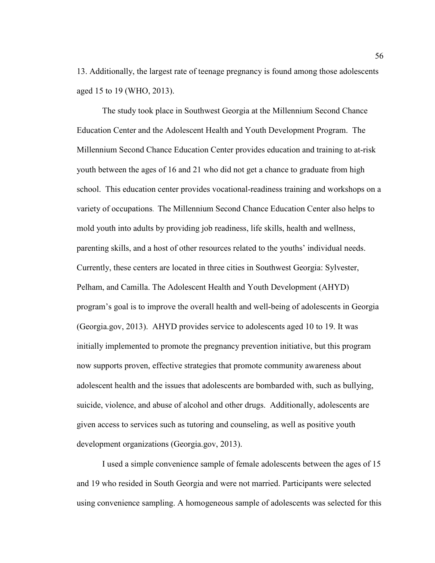13. Additionally, the largest rate of teenage pregnancy is found among those adolescents aged 15 to 19 (WHO, 2013).

The study took place in Southwest Georgia at the Millennium Second Chance Education Center and the Adolescent Health and Youth Development Program. The Millennium Second Chance Education Center provides education and training to at-risk youth between the ages of 16 and 21 who did not get a chance to graduate from high school. This education center provides vocational-readiness training and workshops on a variety of occupations. The Millennium Second Chance Education Center also helps to mold youth into adults by providing job readiness, life skills, health and wellness, parenting skills, and a host of other resources related to the youths' individual needs. Currently, these centers are located in three cities in Southwest Georgia: Sylvester, Pelham, and Camilla. The Adolescent Health and Youth Development (AHYD) program's goal is to improve the overall health and well-being of adolescents in Georgia (Georgia.gov, 2013). AHYD provides service to adolescents aged 10 to 19. It was initially implemented to promote the pregnancy prevention initiative, but this program now supports proven, effective strategies that promote community awareness about adolescent health and the issues that adolescents are bombarded with, such as bullying, suicide, violence, and abuse of alcohol and other drugs. Additionally, adolescents are given access to services such as tutoring and counseling, as well as positive youth development organizations (Georgia.gov, 2013).

I used a simple convenience sample of female adolescents between the ages of 15 and 19 who resided in South Georgia and were not married. Participants were selected using convenience sampling. A homogeneous sample of adolescents was selected for this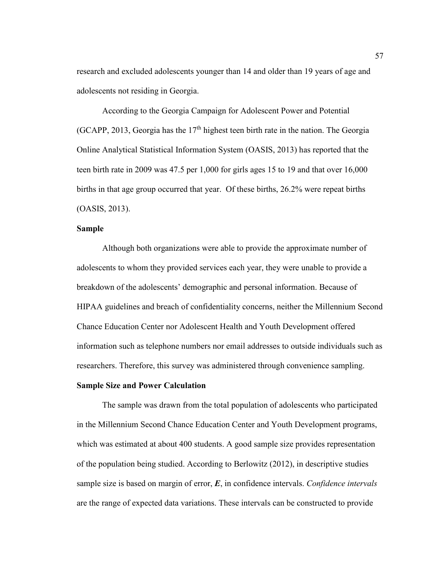research and excluded adolescents younger than 14 and older than 19 years of age and adolescents not residing in Georgia.

According to the Georgia Campaign for Adolescent Power and Potential (GCAPP, 2013, Georgia has the  $17<sup>th</sup>$  highest teen birth rate in the nation. The Georgia Online Analytical Statistical Information System (OASIS, 2013) has reported that the teen birth rate in 2009 was 47.5 per 1,000 for girls ages 15 to 19 and that over 16,000 births in that age group occurred that year. Of these births, 26.2% were repeat births (OASIS, 2013).

# **Sample**

Although both organizations were able to provide the approximate number of adolescents to whom they provided services each year, they were unable to provide a breakdown of the adolescents' demographic and personal information. Because of HIPAA guidelines and breach of confidentiality concerns, neither the Millennium Second Chance Education Center nor Adolescent Health and Youth Development offered information such as telephone numbers nor email addresses to outside individuals such as researchers. Therefore, this survey was administered through convenience sampling.

# **Sample Size and Power Calculation**

The sample was drawn from the total population of adolescents who participated in the Millennium Second Chance Education Center and Youth Development programs, which was estimated at about 400 students. A good sample size provides representation of the population being studied. According to Berlowitz (2012), in descriptive studies sample size is based on margin of error, *E*, in confidence intervals. *Confidence intervals* are the range of expected data variations. These intervals can be constructed to provide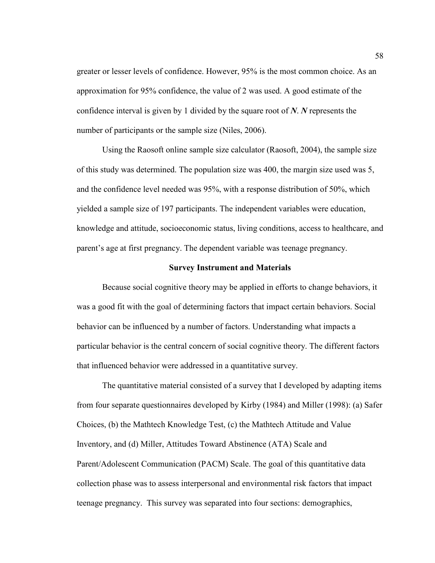greater or lesser levels of confidence. However, 95% is the most common choice. As an approximation for 95% confidence, the value of 2 was used. A good estimate of the confidence interval is given by 1 divided by the square root of *N*. *N* represents the number of participants or the sample size (Niles, 2006).

 Using the Raosoft online sample size calculator (Raosoft, 2004), the sample size of this study was determined. The population size was 400, the margin size used was 5, and the confidence level needed was 95%, with a response distribution of 50%, which yielded a sample size of 197 participants. The independent variables were education, knowledge and attitude, socioeconomic status, living conditions, access to healthcare, and parent's age at first pregnancy. The dependent variable was teenage pregnancy.

#### **Survey Instrument and Materials**

Because social cognitive theory may be applied in efforts to change behaviors, it was a good fit with the goal of determining factors that impact certain behaviors. Social behavior can be influenced by a number of factors. Understanding what impacts a particular behavior is the central concern of social cognitive theory. The different factors that influenced behavior were addressed in a quantitative survey.

 The quantitative material consisted of a survey that I developed by adapting items from four separate questionnaires developed by Kirby (1984) and Miller (1998): (a) Safer Choices, (b) the Mathtech Knowledge Test, (c) the Mathtech Attitude and Value Inventory, and (d) Miller, Attitudes Toward Abstinence (ATA) Scale and Parent/Adolescent Communication (PACM) Scale. The goal of this quantitative data collection phase was to assess interpersonal and environmental risk factors that impact teenage pregnancy. This survey was separated into four sections: demographics,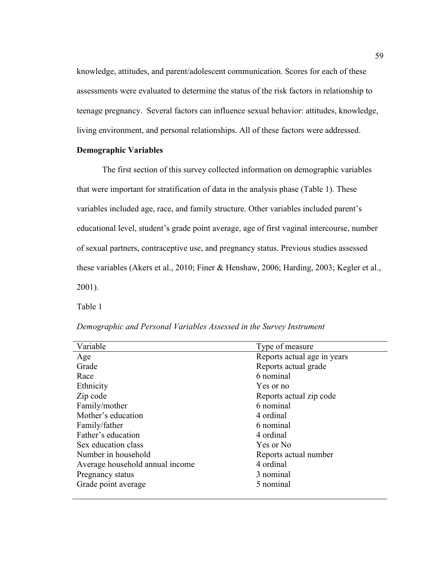knowledge, attitudes, and parent/adolescent communication. Scores for each of these assessments were evaluated to determine the status of the risk factors in relationship to teenage pregnancy. Several factors can influence sexual behavior: attitudes, knowledge, living environment, and personal relationships. All of these factors were addressed.

# **Demographic Variables**

 The first section of this survey collected information on demographic variables that were important for stratification of data in the analysis phase (Table 1). These variables included age, race, and family structure. Other variables included parent's educational level, student's grade point average, age of first vaginal intercourse, number of sexual partners, contraceptive use, and pregnancy status. Previous studies assessed these variables (Akers et al., 2010; Finer & Henshaw, 2006; Harding, 2003; Kegler et al., 2001).

Table 1

|  | Demographic and Personal Variables Assessed in the Survey Instrument |
|--|----------------------------------------------------------------------|
|--|----------------------------------------------------------------------|

| Variable                        | Type of measure             |
|---------------------------------|-----------------------------|
| Age                             | Reports actual age in years |
| Grade                           | Reports actual grade        |
| Race                            | 6 nominal                   |
| Ethnicity                       | Yes or no                   |
| Zip code                        | Reports actual zip code     |
| Family/mother                   | 6 nominal                   |
| Mother's education              | 4 ordinal                   |
| Family/father                   | 6 nominal                   |
| Father's education              | 4 ordinal                   |
| Sex education class             | Yes or No                   |
| Number in household             | Reports actual number       |
| Average household annual income | 4 ordinal                   |
| Pregnancy status                | 3 nominal                   |
| Grade point average             | 5 nominal                   |
|                                 |                             |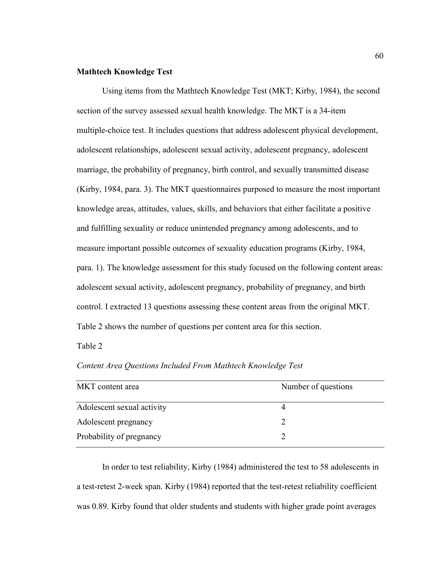# **Mathtech Knowledge Test**

Using items from the Mathtech Knowledge Test (MKT; Kirby, 1984), the second section of the survey assessed sexual health knowledge. The MKT is a 34-item multiple-choice test. It includes questions that address adolescent physical development, adolescent relationships, adolescent sexual activity, adolescent pregnancy, adolescent marriage, the probability of pregnancy, birth control, and sexually transmitted disease (Kirby, 1984, para. 3). The MKT questionnaires purposed to measure the most important knowledge areas, attitudes, values, skills, and behaviors that either facilitate a positive and fulfilling sexuality or reduce unintended pregnancy among adolescents, and to measure important possible outcomes of sexuality education programs (Kirby, 1984, para. 1). The knowledge assessment for this study focused on the following content areas: adolescent sexual activity, adolescent pregnancy, probability of pregnancy, and birth control. I extracted 13 questions assessing these content areas from the original MKT. Table 2 shows the number of questions per content area for this section.

Table 2

| MKT content area           | Number of questions |
|----------------------------|---------------------|
| Adolescent sexual activity |                     |
| Adolescent pregnancy       |                     |
| Probability of pregnancy   |                     |

*Content Area Questions Included From Mathtech Knowledge Test* 

In order to test reliability, Kirby (1984) administered the test to 58 adolescents in a test-retest 2-week span. Kirby (1984) reported that the test-retest reliability coefficient was 0.89. Kirby found that older students and students with higher grade point averages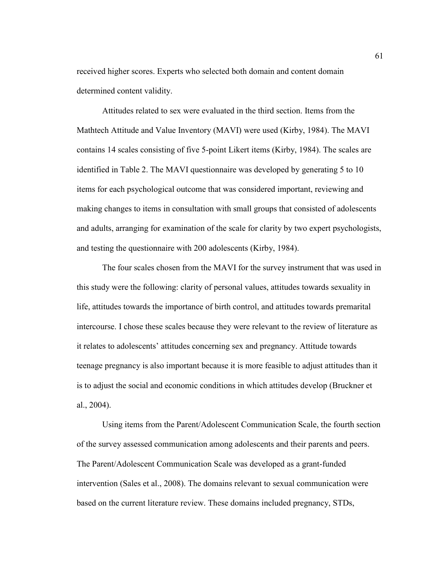received higher scores. Experts who selected both domain and content domain determined content validity.

Attitudes related to sex were evaluated in the third section. Items from the Mathtech Attitude and Value Inventory (MAVI) were used (Kirby, 1984). The MAVI contains 14 scales consisting of five 5-point Likert items (Kirby, 1984). The scales are identified in Table 2. The MAVI questionnaire was developed by generating 5 to 10 items for each psychological outcome that was considered important, reviewing and making changes to items in consultation with small groups that consisted of adolescents and adults, arranging for examination of the scale for clarity by two expert psychologists, and testing the questionnaire with 200 adolescents (Kirby, 1984).

 The four scales chosen from the MAVI for the survey instrument that was used in this study were the following: clarity of personal values, attitudes towards sexuality in life, attitudes towards the importance of birth control, and attitudes towards premarital intercourse. I chose these scales because they were relevant to the review of literature as it relates to adolescents' attitudes concerning sex and pregnancy. Attitude towards teenage pregnancy is also important because it is more feasible to adjust attitudes than it is to adjust the social and economic conditions in which attitudes develop (Bruckner et al., 2004).

 Using items from the Parent/Adolescent Communication Scale, the fourth section of the survey assessed communication among adolescents and their parents and peers. The Parent/Adolescent Communication Scale was developed as a grant-funded intervention (Sales et al., 2008). The domains relevant to sexual communication were based on the current literature review. These domains included pregnancy, STDs,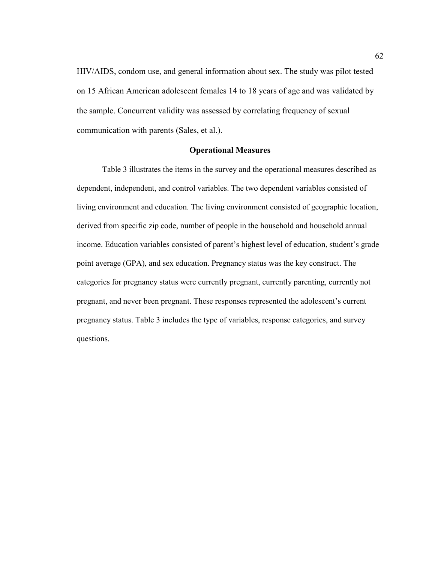HIV/AIDS, condom use, and general information about sex. The study was pilot tested on 15 African American adolescent females 14 to 18 years of age and was validated by the sample. Concurrent validity was assessed by correlating frequency of sexual communication with parents (Sales, et al.).

#### **Operational Measures**

Table 3 illustrates the items in the survey and the operational measures described as dependent, independent, and control variables. The two dependent variables consisted of living environment and education. The living environment consisted of geographic location, derived from specific zip code, number of people in the household and household annual income. Education variables consisted of parent's highest level of education, student's grade point average (GPA), and sex education. Pregnancy status was the key construct. The categories for pregnancy status were currently pregnant, currently parenting, currently not pregnant, and never been pregnant. These responses represented the adolescent's current pregnancy status. Table 3 includes the type of variables, response categories, and survey questions.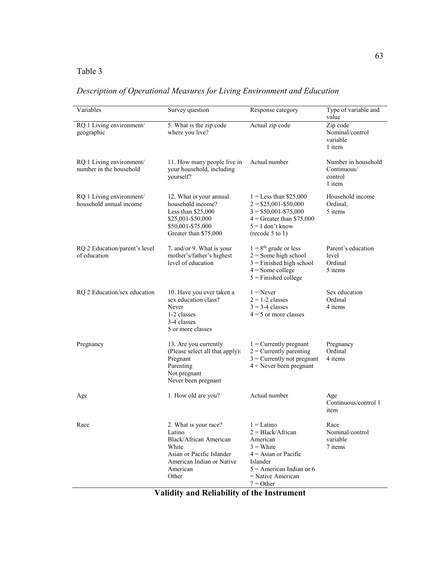# Table 3

# *Description of Operational Measures for Living Environment and Education*

| Variables                                           | Survey question                                                                                                                                   | Response category                                                                                                                                                        | Type of variable and<br>value                           |
|-----------------------------------------------------|---------------------------------------------------------------------------------------------------------------------------------------------------|--------------------------------------------------------------------------------------------------------------------------------------------------------------------------|---------------------------------------------------------|
| RQ 1 Living environment/<br>geographic              | 5. What is the zip code<br>where you live?                                                                                                        | Actual zip code                                                                                                                                                          | Zip code<br>Nominal/control<br>variable<br>1 item       |
| RQ 1 Living environment/<br>number in the household | 11. How many people live in<br>your household, including<br>yourself?                                                                             | Actual number                                                                                                                                                            | Number in household<br>Continuous/<br>control<br>1 item |
| RQ 1 Living environment/<br>household annual income | 12. What is your annual<br>household income?<br>Less than \$25,000<br>\$25,001-\$50,000<br>\$50,001-\$75,000<br>Greater than \$75,000             | $1 =$ Less than \$25,000<br>$2 = $25,001 - $50,000$<br>$3 = $50,001 - $75,000$<br>$4 =$ Greater than \$75,000<br>$5 = I$ don't know<br>(recode 5 to 1)                   | Household income<br>Ordinal,<br>5 items                 |
| RQ 2 Education/parent's level<br>of education       | 7. and/or 9. What is your<br>mother's/father's highest<br>level of education                                                                      | $1 = 8$ <sup>th</sup> grade or less<br>$2 =$ Some high school<br>$3$ = Finished high school<br>$4 = Some college$<br>$5$ = Finished college                              | Parent's education<br>level<br>Ordinal<br>5 items       |
| RQ 2 Education/sex education                        | 10. Have you ever taken a<br>sex education class?<br>Never<br>1-2 classes<br>3-4 classes<br>5 or more classes                                     | $1 =$ Never<br>$2 = 1-2$ classes<br>$3 = 3-4$ classes<br>$4 = 5$ or more classes                                                                                         | Sex education<br>Ordinal<br>4 items                     |
| Pregnancy                                           | 13. Are you currently<br>(Please select all that apply):<br>Pregnant<br>Parenting<br>Not pregnant<br>Never been pregnant                          | $1$ = Currently pregnant<br>$2$ = Currently parenting<br>$3$ = Currently not pregnant<br>$4$ = Never been pregnant                                                       | Pregnancy<br>Ordinal<br>4 items                         |
| Age                                                 | 1. How old are you?                                                                                                                               | Actual number                                                                                                                                                            | Age<br>Continuous/control 1<br>item                     |
| Race                                                | 2. What is your race?<br>Latino<br>Black/African American<br>White<br>Asian or Pacific Islander<br>American Indian or Native<br>American<br>Other | $1 =$ Latino<br>$2 = Black/African$<br>American<br>$3$ = White<br>$4 =$ Asian or Pacific<br>Islander<br>$5$ = American Indian or 6<br>$=$ Native American<br>$7 = Other$ | Race<br>Nominal/control<br>variable<br>7 items          |

**Validity and Reliability of the Instrument**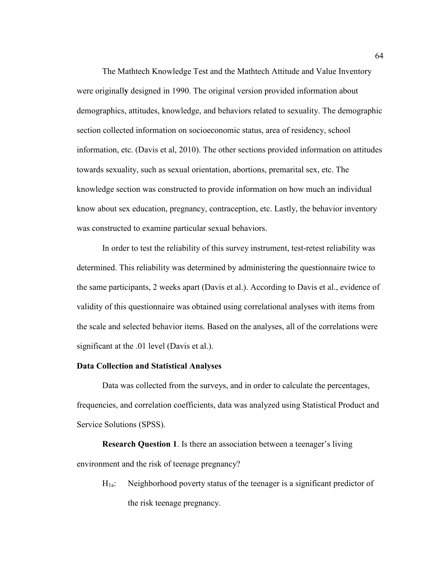The Mathtech Knowledge Test and the Mathtech Attitude and Value Inventory were originall**y** designed in 1990. The original version provided information about demographics, attitudes, knowledge, and behaviors related to sexuality. The demographic section collected information on socioeconomic status, area of residency, school information, etc. (Davis et al, 2010). The other sections provided information on attitudes towards sexuality, such as sexual orientation, abortions, premarital sex, etc. The knowledge section was constructed to provide information on how much an individual know about sex education, pregnancy, contraception, etc. Lastly, the behavior inventory was constructed to examine particular sexual behaviors.

 In order to test the reliability of this survey instrument, test-retest reliability was determined. This reliability was determined by administering the questionnaire twice to the same participants, 2 weeks apart (Davis et al.). According to Davis et al., evidence of validity of this questionnaire was obtained using correlational analyses with items from the scale and selected behavior items. Based on the analyses, all of the correlations were significant at the .01 level (Davis et al.).

#### **Data Collection and Statistical Analyses**

 Data was collected from the surveys, and in order to calculate the percentages, frequencies, and correlation coefficients, data was analyzed using Statistical Product and Service Solutions (SPSS).

**Research Question 1**. Is there an association between a teenager's living environment and the risk of teenage pregnancy?

H1a: Neighborhood poverty status of the teenager is a significant predictor of the risk teenage pregnancy.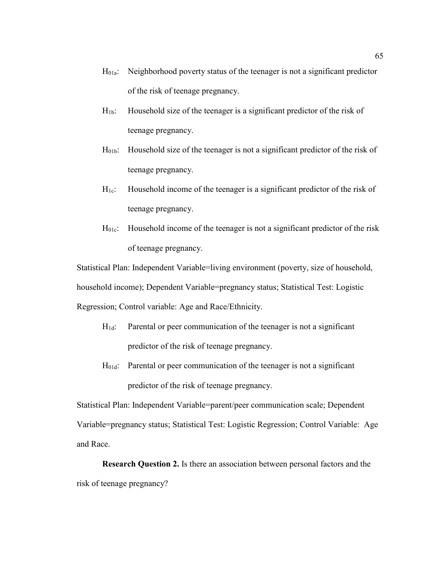- $H<sub>01a</sub>$ : Neighborhood poverty status of the teenager is not a significant predictor of the risk of teenage pregnancy.
- $H_{1b}$ : Household size of the teenager is a significant predictor of the risk of teenage pregnancy.
- H01b: Household size of the teenager is not a significant predictor of the risk of teenage pregnancy.
- $H<sub>1c</sub>$ : Household income of the teenager is a significant predictor of the risk of teenage pregnancy.
- H<sub>01c</sub>: Household income of the teenager is not a significant predictor of the risk of teenage pregnancy.

Statistical Plan: Independent Variable=living environment (poverty, size of household, household income); Dependent Variable=pregnancy status; Statistical Test: Logistic Regression; Control variable: Age and Race/Ethnicity.

- $H_{1d}$ : Parental or peer communication of the teenager is not a significant predictor of the risk of teenage pregnancy.
- H01d: Parental or peer communication of the teenager is not a significant predictor of the risk of teenage pregnancy.

Statistical Plan: Independent Variable=parent/peer communication scale; Dependent Variable=pregnancy status; Statistical Test: Logistic Regression; Control Variable: Age and Race.

**Research Question 2.** Is there an association between personal factors and the risk of teenage pregnancy?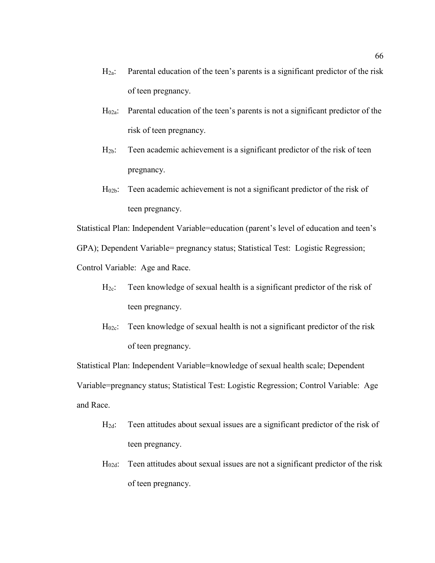- $H_{2a}$ : Parental education of the teen's parents is a significant predictor of the risk of teen pregnancy.
- H02a: Parental education of the teen's parents is not a significant predictor of the risk of teen pregnancy.
- H2b: Teen academic achievement is a significant predictor of the risk of teen pregnancy.
- $H<sub>02b</sub>$ : Teen academic achievement is not a significant predictor of the risk of teen pregnancy.

Statistical Plan: Independent Variable=education (parent's level of education and teen's

GPA); Dependent Variable= pregnancy status; Statistical Test: Logistic Regression;

Control Variable: Age and Race.

- $H_{2c}$ : Teen knowledge of sexual health is a significant predictor of the risk of teen pregnancy.
- H<sub>02c</sub>: Teen knowledge of sexual health is not a significant predictor of the risk of teen pregnancy.

Statistical Plan: Independent Variable=knowledge of sexual health scale; Dependent Variable=pregnancy status; Statistical Test: Logistic Regression; Control Variable: Age and Race.

- H2d: Teen attitudes about sexual issues are a significant predictor of the risk of teen pregnancy.
- H02d: Teen attitudes about sexual issues are not a significant predictor of the risk of teen pregnancy.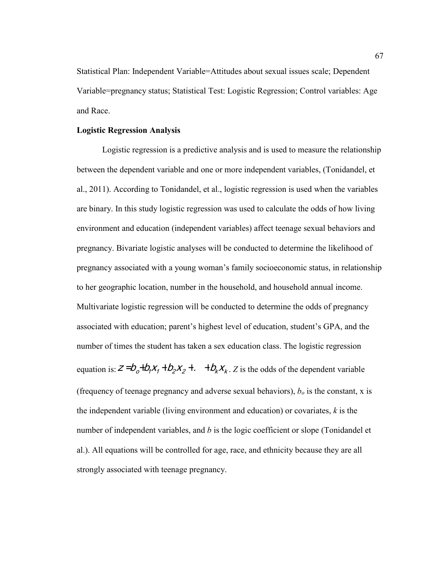Statistical Plan: Independent Variable=Attitudes about sexual issues scale; Dependent Variable=pregnancy status; Statistical Test: Logistic Regression; Control variables: Age and Race.

## **Logistic Regression Analysis**

Logistic regression is a predictive analysis and is used to measure the relationship between the dependent variable and one or more independent variables, (Tonidandel, et al., 2011). According to Tonidandel, et al., logistic regression is used when the variables are binary. In this study logistic regression was used to calculate the odds of how living environment and education (independent variables) affect teenage sexual behaviors and pregnancy. Bivariate logistic analyses will be conducted to determine the likelihood of pregnancy associated with a young woman's family socioeconomic status, in relationship to her geographic location, number in the household, and household annual income. Multivariate logistic regression will be conducted to determine the odds of pregnancy associated with education; parent's highest level of education, student's GPA, and the number of times the student has taken a sex education class. The logistic regression equation is:  $z = b_o + b_i x_i + b_2 x_2 + \ldots + b_k x_k$ . Z is the odds of the dependent variable . (frequency of teenage pregnancy and adverse sexual behaviors), *bo* is the constant, x is the independent variable (living environment and education) or covariates, *k* is the number of independent variables, and *b* is the logic coefficient or slope (Tonidandel et al.). All equations will be controlled for age, race, and ethnicity because they are all strongly associated with teenage pregnancy.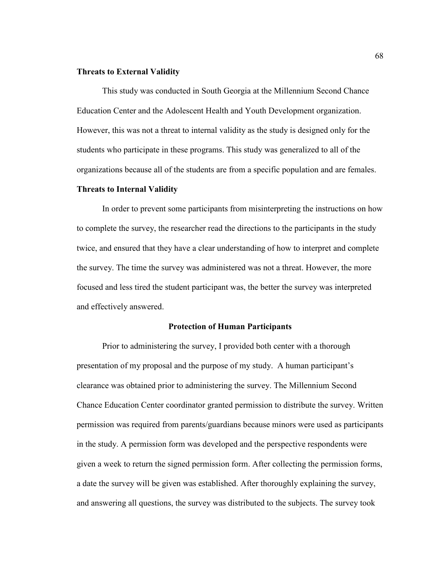## **Threats to External Validity**

This study was conducted in South Georgia at the Millennium Second Chance Education Center and the Adolescent Health and Youth Development organization. However, this was not a threat to internal validity as the study is designed only for the students who participate in these programs. This study was generalized to all of the organizations because all of the students are from a specific population and are females.

## **Threats to Internal Validity**

In order to prevent some participants from misinterpreting the instructions on how to complete the survey, the researcher read the directions to the participants in the study twice, and ensured that they have a clear understanding of how to interpret and complete the survey. The time the survey was administered was not a threat. However, the more focused and less tired the student participant was, the better the survey was interpreted and effectively answered.

## **Protection of Human Participants**

 Prior to administering the survey, I provided both center with a thorough presentation of my proposal and the purpose of my study. A human participant's clearance was obtained prior to administering the survey. The Millennium Second Chance Education Center coordinator granted permission to distribute the survey. Written permission was required from parents/guardians because minors were used as participants in the study. A permission form was developed and the perspective respondents were given a week to return the signed permission form. After collecting the permission forms, a date the survey will be given was established. After thoroughly explaining the survey, and answering all questions, the survey was distributed to the subjects. The survey took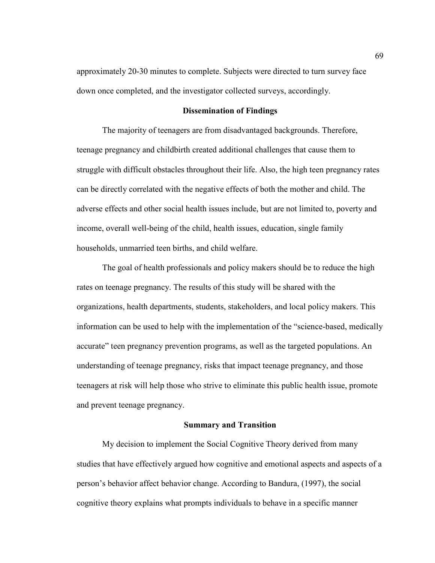approximately 20-30 minutes to complete. Subjects were directed to turn survey face down once completed, and the investigator collected surveys, accordingly.

#### **Dissemination of Findings**

The majority of teenagers are from disadvantaged backgrounds. Therefore, teenage pregnancy and childbirth created additional challenges that cause them to struggle with difficult obstacles throughout their life. Also, the high teen pregnancy rates can be directly correlated with the negative effects of both the mother and child. The adverse effects and other social health issues include, but are not limited to, poverty and income, overall well-being of the child, health issues, education, single family households, unmarried teen births, and child welfare.

The goal of health professionals and policy makers should be to reduce the high rates on teenage pregnancy. The results of this study will be shared with the organizations, health departments, students, stakeholders, and local policy makers. This information can be used to help with the implementation of the "science-based, medically accurate" teen pregnancy prevention programs, as well as the targeted populations. An understanding of teenage pregnancy, risks that impact teenage pregnancy, and those teenagers at risk will help those who strive to eliminate this public health issue, promote and prevent teenage pregnancy.

#### **Summary and Transition**

My decision to implement the Social Cognitive Theory derived from many studies that have effectively argued how cognitive and emotional aspects and aspects of a person's behavior affect behavior change. According to Bandura, (1997), the social cognitive theory explains what prompts individuals to behave in a specific manner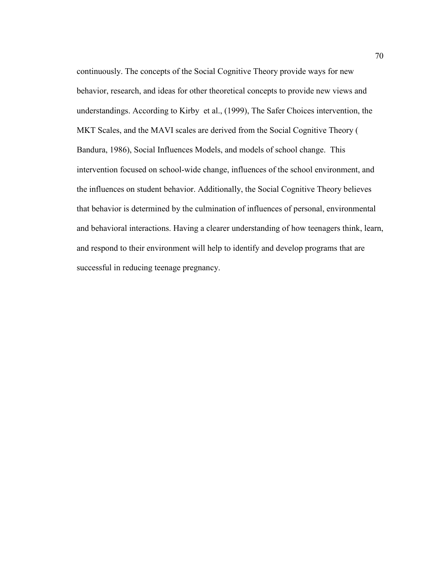continuously. The concepts of the Social Cognitive Theory provide ways for new behavior, research, and ideas for other theoretical concepts to provide new views and understandings. According to Kirby et al., (1999), The Safer Choices intervention, the MKT Scales, and the MAVI scales are derived from the Social Cognitive Theory ( Bandura, 1986), Social Influences Models, and models of school change. This intervention focused on school-wide change, influences of the school environment, and the influences on student behavior. Additionally, the Social Cognitive Theory believes that behavior is determined by the culmination of influences of personal, environmental and behavioral interactions. Having a clearer understanding of how teenagers think, learn, and respond to their environment will help to identify and develop programs that are successful in reducing teenage pregnancy.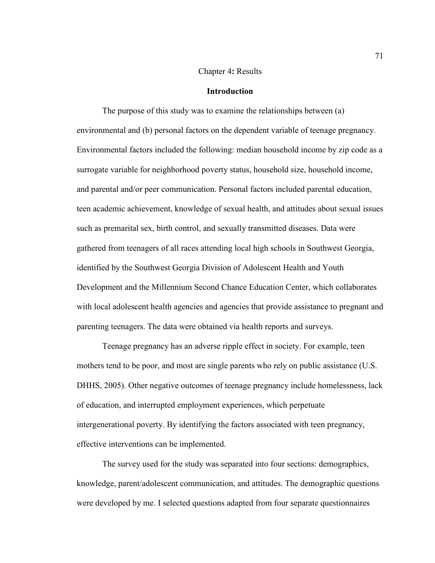## Chapter 4**:** Results

## **Introduction**

The purpose of this study was to examine the relationships between (a) environmental and (b) personal factors on the dependent variable of teenage pregnancy. Environmental factors included the following: median household income by zip code as a surrogate variable for neighborhood poverty status, household size, household income, and parental and/or peer communication. Personal factors included parental education, teen academic achievement, knowledge of sexual health, and attitudes about sexual issues such as premarital sex, birth control, and sexually transmitted diseases. Data were gathered from teenagers of all races attending local high schools in Southwest Georgia, identified by the Southwest Georgia Division of Adolescent Health and Youth Development and the Millennium Second Chance Education Center, which collaborates with local adolescent health agencies and agencies that provide assistance to pregnant and parenting teenagers. The data were obtained via health reports and surveys.

Teenage pregnancy has an adverse ripple effect in society. For example, teen mothers tend to be poor, and most are single parents who rely on public assistance (U.S. DHHS, 2005). Other negative outcomes of teenage pregnancy include homelessness, lack of education, and interrupted employment experiences, which perpetuate intergenerational poverty. By identifying the factors associated with teen pregnancy, effective interventions can be implemented.

The survey used for the study was separated into four sections: demographics, knowledge, parent/adolescent communication, and attitudes. The demographic questions were developed by me. I selected questions adapted from four separate questionnaires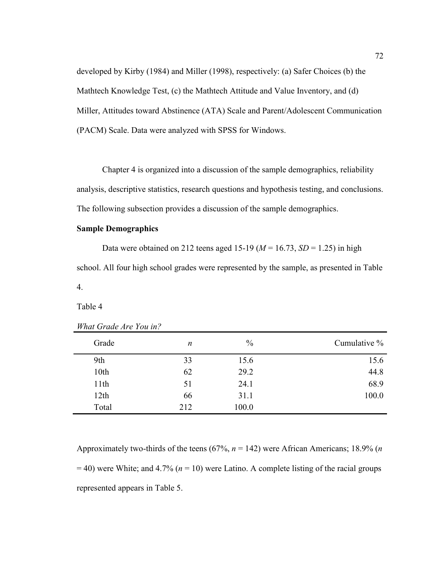developed by Kirby (1984) and Miller (1998), respectively: (a) Safer Choices (b) the Mathtech Knowledge Test, (c) the Mathtech Attitude and Value Inventory, and (d) Miller, Attitudes toward Abstinence (ATA) Scale and Parent/Adolescent Communication (PACM) Scale. Data were analyzed with SPSS for Windows.

Chapter 4 is organized into a discussion of the sample demographics, reliability analysis, descriptive statistics, research questions and hypothesis testing, and conclusions. The following subsection provides a discussion of the sample demographics.

## **Sample Demographics**

Data were obtained on 212 teens aged 15-19 ( $M = 16.73$ ,  $SD = 1.25$ ) in high school. All four high school grades were represented by the sample, as presented in Table 4.

Table 4

| Grade | n   | $\%$  | Cumulative % |
|-------|-----|-------|--------------|
| 9th   | 33  | 15.6  | 15.6         |
| 10th  | 62  | 29.2  | 44.8         |
| 11th  | 51  | 24.1  | 68.9         |
| 12th  | 66  | 31.1  | 100.0        |
| Total | 212 | 100.0 |              |

*What Grade Are You in?* 

Approximately two-thirds of the teens (67%, *n* = 142) were African Americans; 18.9% (*n*  $=$  40) were White; and 4.7% ( $n = 10$ ) were Latino. A complete listing of the racial groups represented appears in Table 5.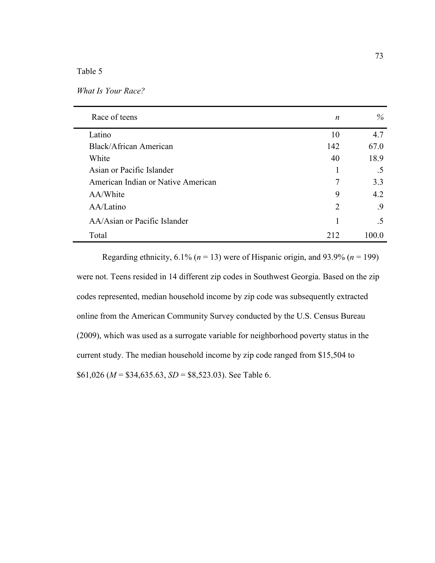## Table 5

| What Is Your Race? |  |  |  |  |
|--------------------|--|--|--|--|
|--------------------|--|--|--|--|

| Race of teens                      | n   | $\%$  |
|------------------------------------|-----|-------|
| Latino                             | 10  | 4.7   |
| Black/African American             | 142 | 67.0  |
| White                              | 40  | 18.9  |
| Asian or Pacific Islander          |     | .5    |
| American Indian or Native American | 7   | 3.3   |
| AA/White                           | 9   | 4.2   |
| AA/Latino                          | 2   | .9    |
| AA/Asian or Pacific Islander       |     | .5    |
| Total                              | 212 | 100 0 |

Regarding ethnicity,  $6.1\%$  ( $n = 13$ ) were of Hispanic origin, and  $93.9\%$  ( $n = 199$ ) were not. Teens resided in 14 different zip codes in Southwest Georgia. Based on the zip codes represented, median household income by zip code was subsequently extracted online from the American Community Survey conducted by the U.S. Census Bureau (2009), which was used as a surrogate variable for neighborhood poverty status in the current study. The median household income by zip code ranged from \$15,504 to \$61,026 (*M* = \$34,635.63, *SD* = \$8,523.03). See Table 6.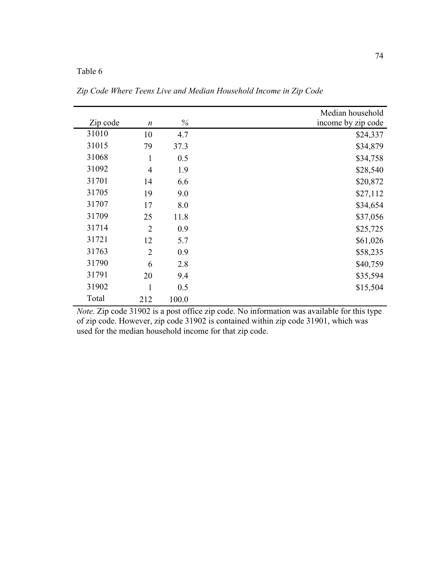## Table 6

|          |                  |       | Median household   |
|----------|------------------|-------|--------------------|
| Zip code | $\boldsymbol{n}$ | %     | income by zip code |
| 31010    | 10               | 4.7   | \$24,337           |
| 31015    | 79               | 37.3  | \$34,879           |
| 31068    | $\mathbf{1}$     | 0.5   | \$34,758           |
| 31092    | $\overline{4}$   | 1.9   | \$28,540           |
| 31701    | 14               | 6.6   | \$20,872           |
| 31705    | 19               | 9.0   | \$27,112           |
| 31707    | 17               | 8.0   | \$34,654           |
| 31709    | 25               | 11.8  | \$37,056           |
| 31714    | $\overline{2}$   | 0.9   | \$25,725           |
| 31721    | 12               | 5.7   | \$61,026           |
| 31763    | $\overline{2}$   | 0.9   | \$58,235           |
| 31790    | 6                | 2.8   | \$40,759           |
| 31791    | 20               | 9.4   | \$35,594           |
| 31902    | $\mathbf{1}$     | 0.5   | \$15,504           |
| Total    | 212              | 100.0 |                    |

*Zip Code Where Teens Live and Median Household Income in Zip Code* 

*Note*. Zip code 31902 is a post office zip code. No information was available for this type of zip code. However, zip code 31902 is contained within zip code 31901, which was used for the median household income for that zip code.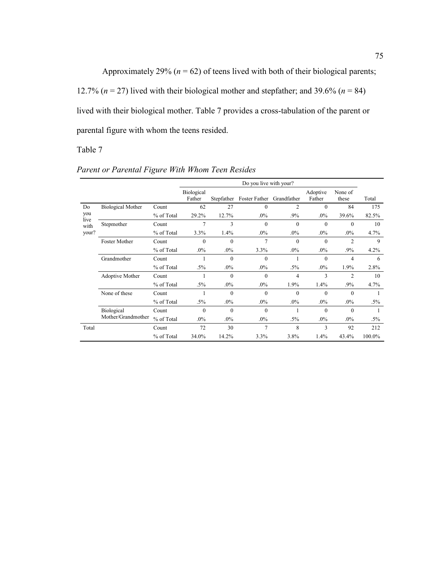Approximately 29%  $(n = 62)$  of teens lived with both of their biological parents; 12.7% ( $n = 27$ ) lived with their biological mother and stepfather; and 39.6% ( $n = 84$ ) lived with their biological mother. Table 7 provides a cross-tabulation of the parent or parental figure with whom the teens resided.

Table 7

|             |                          |            | Do you live with your?      |              |                           |          |                    |                  |        |
|-------------|--------------------------|------------|-----------------------------|--------------|---------------------------|----------|--------------------|------------------|--------|
|             |                          |            | <b>Biological</b><br>Father | Stepfather   | Foster Father Grandfather |          | Adoptive<br>Father | None of<br>these | Total  |
| Do          | <b>Biological Mother</b> | Count      | 62                          | 27           | $\mathbf{0}$              | 2        | $\mathbf{0}$       | 84               | 175    |
| you<br>live |                          | % of Total | 29.2%                       | 12.7%        | $.0\%$                    | .9%      | $.0\%$             | 39.6%            | 82.5%  |
| with        | Stepmother               | Count      | 7                           | 3            | $\theta$                  | $\theta$ | $\mathbf{0}$       | $\theta$         | 10     |
| your?       |                          | % of Total | 3.3%                        | 1.4%         | $.0\%$                    | $.0\%$   | $.0\%$             | $.0\%$           | 4.7%   |
|             | Foster Mother            | Count      | $\mathbf{0}$                | $\theta$     | $\overline{7}$            | $\theta$ | $\mathbf{0}$       | $\overline{2}$   | 9      |
|             |                          | % of Total | .0%                         | $.0\%$       | 3.3%                      | $.0\%$   | .0%                | .9%              | 4.2%   |
|             | Grandmother              | Count      |                             | $\theta$     | $\mathbf{0}$              |          | $\theta$           | 4                | 6      |
|             |                          | % of Total | $.5\%$                      | $.0\%$       | $.0\%$                    | $.5\%$   | $.0\%$             | 1.9%             | 2.8%   |
|             | Adoptive Mother          | Count      |                             | $\mathbf{0}$ | $\mathbf{0}$              | 4        | 3                  | $\overline{2}$   | 10     |
|             |                          | % of Total | $.5\%$                      | $.0\%$       | $.0\%$                    | 1.9%     | 1.4%               | .9%              | 4.7%   |
|             | None of these            | Count      |                             | $\theta$     | $\mathbf{0}$              | $\theta$ | $\theta$           | $\theta$         |        |
|             |                          | % of Total | $.5\%$                      | $.0\%$       | $.0\%$                    | $.0\%$   | $.0\%$             | $.0\%$           | .5%    |
|             | Biological               | Count      | $\theta$                    | $\theta$     | $\mathbf{0}$              |          | $\theta$           | $\Omega$         |        |
|             | Mother/Grandmother       | % of Total | .0%                         | $.0\%$       | $.0\%$                    | $.5\%$   | $.0\%$             | $.0\%$           | $.5\%$ |
| Total       |                          | Count      | 72                          | 30           | $\overline{7}$            | 8        | 3                  | 92               | 212    |
|             |                          | % of Total | 34.0%                       | 14.2%        | 3.3%                      | 3.8%     | 1.4%               | 43.4%            | 100.0% |

*Parent or Parental Figure With Whom Teen Resides*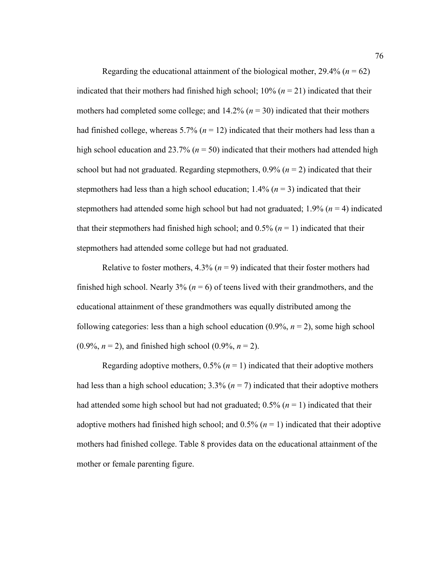Regarding the educational attainment of the biological mother,  $29.4\%$  ( $n = 62$ ) indicated that their mothers had finished high school;  $10\%$  ( $n = 21$ ) indicated that their mothers had completed some college; and  $14.2\%$  ( $n = 30$ ) indicated that their mothers had finished college, whereas  $5.7\%$  ( $n = 12$ ) indicated that their mothers had less than a high school education and 23.7% ( $n = 50$ ) indicated that their mothers had attended high school but had not graduated. Regarding stepmothers,  $0.9\%$  ( $n = 2$ ) indicated that their stepmothers had less than a high school education;  $1.4\%$  ( $n = 3$ ) indicated that their stepmothers had attended some high school but had not graduated; 1.9% (*n* = 4) indicated that their stepmothers had finished high school; and  $0.5\%$  ( $n = 1$ ) indicated that their stepmothers had attended some college but had not graduated.

Relative to foster mothers,  $4.3\%$  ( $n = 9$ ) indicated that their foster mothers had finished high school. Nearly 3% ( $n = 6$ ) of teens lived with their grandmothers, and the educational attainment of these grandmothers was equally distributed among the following categories: less than a high school education (0.9%, *n* = 2), some high school  $(0.9\%, n = 2)$ , and finished high school  $(0.9\%, n = 2)$ .

Regarding adoptive mothers,  $0.5\%$  ( $n = 1$ ) indicated that their adoptive mothers had less than a high school education;  $3.3\%$  ( $n = 7$ ) indicated that their adoptive mothers had attended some high school but had not graduated;  $0.5\%$  ( $n = 1$ ) indicated that their adoptive mothers had finished high school; and  $0.5\%$  ( $n = 1$ ) indicated that their adoptive mothers had finished college. Table 8 provides data on the educational attainment of the mother or female parenting figure.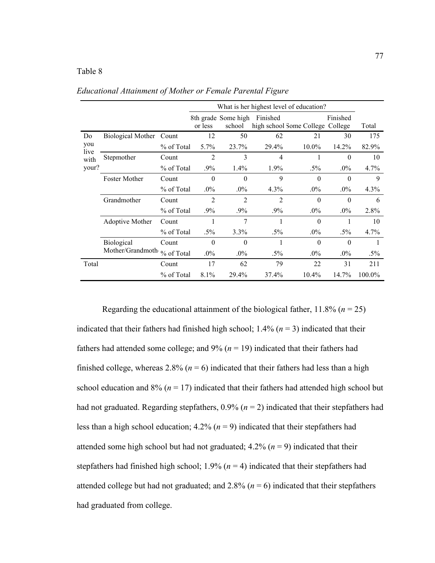## Table 8

|              |                             |            | What is her highest level of education? |                               |                |                                  |                  |        |
|--------------|-----------------------------|------------|-----------------------------------------|-------------------------------|----------------|----------------------------------|------------------|--------|
|              |                             |            | or less                                 | 8th grade Some high<br>school | Finished       | high school Some College College | Finished         | Total  |
| Do           | Biological Mother           | Count      | 12                                      | 50                            | 62             | 21                               | 30               | 175    |
| you          |                             | % of Total | $5.7\%$                                 | 23.7%                         | 29.4%          | $10.0\%$                         | 14.2%            | 82.9%  |
| live<br>with | Stepmother                  | Count      | 2                                       | 3                             | $\overline{4}$ |                                  | $\theta$         | 10     |
| your?        |                             | % of Total | $.9\%$                                  | $1.4\%$                       | $1.9\%$        | $.5\%$                           | $.0\%$           | 4.7%   |
|              | <b>Foster Mother</b>        | Count      | $\theta$                                | $\theta$                      | 9              | $\theta$                         | $\theta$         | 9      |
|              |                             | % of Total | $.0\%$                                  | $.0\%$                        | 4.3%           | $.0\%$                           | $.0\%$           | 4.3%   |
|              | Grandmother                 | Count      | 2                                       | $\overline{2}$                | 2              | $\boldsymbol{0}$                 | $\boldsymbol{0}$ | 6      |
|              |                             | % of Total | $.9\%$                                  | $.9\%$                        | $.9\%$         | $.0\%$                           | $.0\%$           | 2.8%   |
|              | Adoptive Mother             | Count      | 1                                       | 7                             | 1              | $\theta$                         | 1                | 10     |
|              |                             | % of Total | $.5\%$                                  | 3.3%                          | $.5\%$         | $.0\%$                           | $.5\%$           | 4.7%   |
|              | <b>Biological</b>           | Count      | $\theta$                                | $\theta$                      |                | $\theta$                         | $\theta$         |        |
|              | Mother/Grandmoth % of Total |            | $.0\%$                                  | $.0\%$                        | $.5\%$         | $.0\%$                           | $.0\%$           | $.5\%$ |
| Total        |                             | Count      | 17                                      | 62                            | 79             | 22                               | 31               | 211    |
|              |                             | % of Total | 8.1%                                    | 29.4%                         | 37.4%          | $10.4\%$                         | 14.7%            | 100.0% |

*Educational Attainment of Mother or Female Parental Figure* 

Regarding the educational attainment of the biological father,  $11.8\%$  ( $n = 25$ ) indicated that their fathers had finished high school;  $1.4\%$  ( $n = 3$ ) indicated that their fathers had attended some college; and  $9\%$  ( $n = 19$ ) indicated that their fathers had finished college, whereas 2.8% ( $n = 6$ ) indicated that their fathers had less than a high school education and  $8\%$  ( $n = 17$ ) indicated that their fathers had attended high school but had not graduated. Regarding stepfathers, 0.9% (*n* = 2) indicated that their stepfathers had less than a high school education; 4.2% (*n* = 9) indicated that their stepfathers had attended some high school but had not graduated;  $4.2\%$  ( $n = 9$ ) indicated that their stepfathers had finished high school;  $1.9\%$  ( $n = 4$ ) indicated that their stepfathers had attended college but had not graduated; and  $2.8\%$  ( $n = 6$ ) indicated that their stepfathers had graduated from college.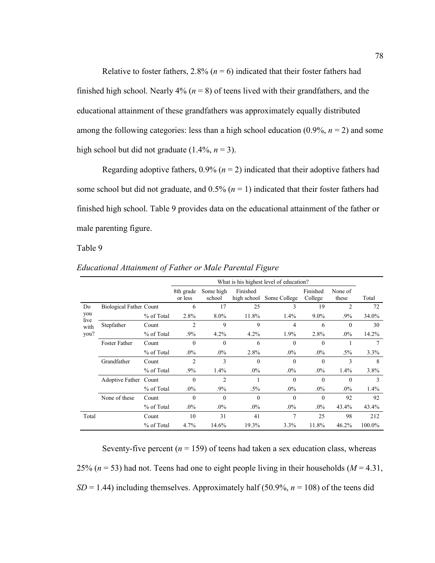Relative to foster fathers,  $2.8\%$  ( $n = 6$ ) indicated that their foster fathers had finished high school. Nearly  $4\%$  ( $n = 8$ ) of teens lived with their grandfathers, and the educational attainment of these grandfathers was approximately equally distributed among the following categories: less than a high school education  $(0.9\%, n=2)$  and some high school but did not graduate  $(1.4\%, n=3)$ .

Regarding adoptive fathers,  $0.9\%$  ( $n = 2$ ) indicated that their adoptive fathers had some school but did not graduate, and  $0.5\%$  ( $n = 1$ ) indicated that their foster fathers had finished high school. Table 9 provides data on the educational attainment of the father or male parenting figure.

Table 9

|              |                                |            | What is his highest level of education? |                     |                         |              |                     |                  |        |
|--------------|--------------------------------|------------|-----------------------------------------|---------------------|-------------------------|--------------|---------------------|------------------|--------|
|              |                                |            | 8th grade<br>or less                    | Some high<br>school | Finished<br>high school | Some College | Finished<br>College | None of<br>these | Total  |
| Do           | <b>Biological Father Count</b> |            | 6                                       | 17                  | 25                      | 3            | 19                  | $\overline{c}$   | 72     |
| you          |                                | % of Total | 2.8%                                    | $8.0\%$             | 11.8%                   | $1.4\%$      | $9.0\%$             | $.9\%$           | 34.0%  |
| live<br>with | Stepfather                     | Count      | 2                                       | 9                   | 9                       | 4            | 6                   | $\Omega$         | 30     |
| you?         |                                | % of Total | $.9\%$                                  | $4.2\%$             | 4.2%                    | 1.9%         | 2.8%                | $.0\%$           | 14.2%  |
|              | <b>Foster Father</b>           | Count      | $\theta$                                | $\Omega$            | 6                       | $\Omega$     | $\Omega$            |                  | 7      |
|              |                                | % of Total | $.0\%$                                  | $.0\%$              | 2.8%                    | $.0\%$       | $.0\%$              | $.5\%$           | 3.3%   |
|              | Grandfather                    | Count      | $\overline{c}$                          | 3                   | $\theta$                | $\Omega$     | $\theta$            | 3                | 8      |
|              |                                | % of Total | $.9\%$                                  | $1.4\%$             | $.0\%$                  | $.0\%$       | $.0\%$              | 1.4%             | 3.8%   |
|              | Adoptive Father Count          |            | $\theta$                                | $\overline{c}$      |                         | $\Omega$     | $\theta$            | $\Omega$         | 3      |
|              |                                | % of Total | $.0\%$                                  | $.9\%$              | $.5\%$                  | $.0\%$       | $.0\%$              | $.0\%$           | 1.4%   |
|              | None of these                  | Count      | $\mathbf{0}$                            | $\theta$            | $\mathbf{0}$            | $\theta$     | $\theta$            | 92               | 92     |
|              |                                | % of Total | $.0\%$                                  | $.0\%$              | $.0\%$                  | $.0\%$       | $.0\%$              | 43.4%            | 43.4%  |
| Total        |                                | Count      | 10                                      | 31                  | 41                      | 7            | 25                  | 98               | 212    |
|              |                                | % of Total | 4.7%                                    | 14.6%               | 19.3%                   | 3.3%         | 11.8%               | 46.2%            | 100.0% |

*Educational Attainment of Father or Male Parental Figure* 

Seventy-five percent  $(n = 159)$  of teens had taken a sex education class, whereas 25% ( $n = 53$ ) had not. Teens had one to eight people living in their households ( $M = 4.31$ ,  $SD = 1.44$ ) including themselves. Approximately half (50.9%,  $n = 108$ ) of the teens did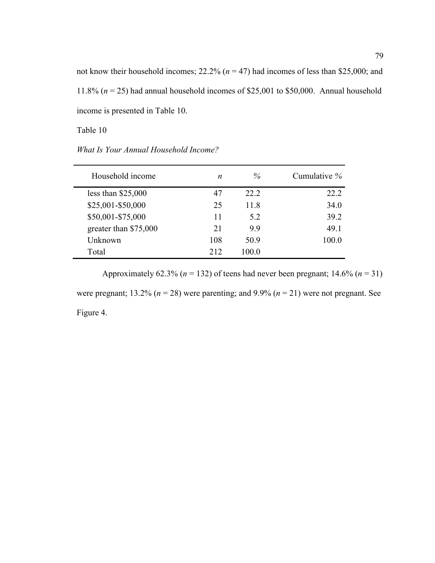not know their household incomes; 22.2% (*n* = 47) had incomes of less than \$25,000; and 11.8% (*n* = 25) had annual household incomes of \$25,001 to \$50,000. Annual household income is presented in Table 10.

Table 10

| What Is Your Annual Household Income? |  |
|---------------------------------------|--|
|---------------------------------------|--|

| Household income      | n   | $\%$  | Cumulative % |
|-----------------------|-----|-------|--------------|
| less than $$25,000$   | 47  | 22.2  | 22.2         |
| \$25,001-\$50,000     | 25  | 11.8  | 34.0         |
| \$50,001-\$75,000     | 11  | 52    | 39.2         |
| greater than \$75,000 | 21  | 9.9   | 49.1         |
| Unknown               | 108 | 50.9  | 100.0        |
| Total                 | 212 | 100.0 |              |

Approximately 62.3% ( $n = 132$ ) of teens had never been pregnant; 14.6% ( $n = 31$ )

were pregnant;  $13.2\%$  ( $n = 28$ ) were parenting; and  $9.9\%$  ( $n = 21$ ) were not pregnant. See Figure 4.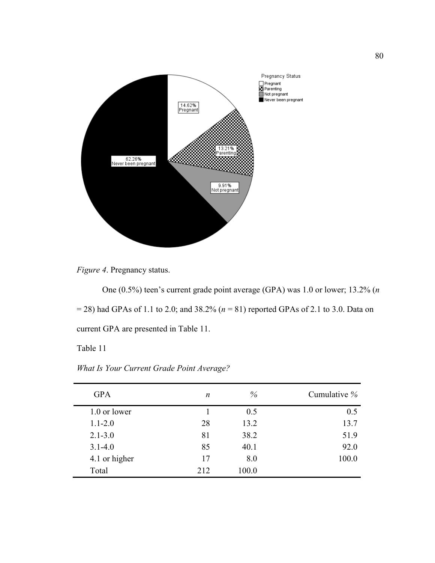



One (0.5%) teen's current grade point average (GPA) was 1.0 or lower; 13.2% (*n* = 28) had GPAs of 1.1 to 2.0; and 38.2% (*n* = 81) reported GPAs of 2.1 to 3.0. Data on current GPA are presented in Table 11.

Table 11

| <b>GPA</b>    | n   | $\%$  | Cumulative % |
|---------------|-----|-------|--------------|
| 1.0 or lower  |     | 0.5   | 0.5          |
| $1.1 - 2.0$   | 28  | 13.2  | 13.7         |
| $2.1 - 3.0$   | 81  | 38.2  | 51.9         |
| $3.1 - 4.0$   | 85  | 40.1  | 92.0         |
| 4.1 or higher | 17  | 8.0   | 100.0        |
| Total         | 212 | 100.0 |              |

*What Is Your Current Grade Point Average?*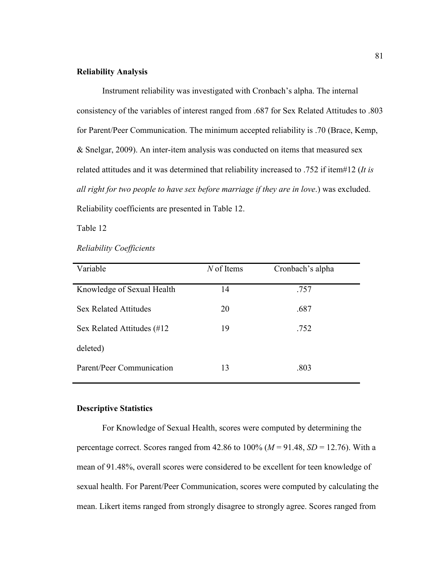## **Reliability Analysis**

 Instrument reliability was investigated with Cronbach's alpha. The internal consistency of the variables of interest ranged from .687 for Sex Related Attitudes to .803 for Parent/Peer Communication. The minimum accepted reliability is .70 (Brace, Kemp, & Snelgar, 2009). An inter-item analysis was conducted on items that measured sex related attitudes and it was determined that reliability increased to .752 if item#12 (*It is all right for two people to have sex before marriage if they are in love*.) was excluded. Reliability coefficients are presented in Table 12.

Table 12

| Variable                     | $N$ of Items | Cronbach's alpha |
|------------------------------|--------------|------------------|
| Knowledge of Sexual Health   | 14           | .757             |
| <b>Sex Related Attitudes</b> | 20           | .687             |
| Sex Related Attitudes (#12   | 19           | .752             |
| deleted)                     |              |                  |
| Parent/Peer Communication    | 13           | .803             |

*Reliability Coefficients* 

## **Descriptive Statistics**

 For Knowledge of Sexual Health, scores were computed by determining the percentage correct. Scores ranged from  $42.86$  to  $100\%$  ( $M = 91.48$ ,  $SD = 12.76$ ). With a mean of 91.48%, overall scores were considered to be excellent for teen knowledge of sexual health. For Parent/Peer Communication, scores were computed by calculating the mean. Likert items ranged from strongly disagree to strongly agree. Scores ranged from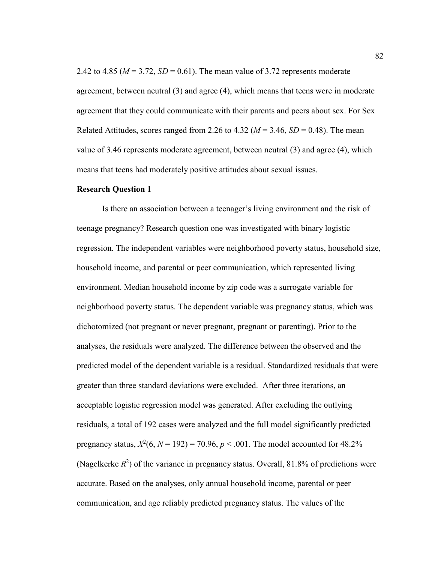2.42 to 4.85 ( $M = 3.72$ ,  $SD = 0.61$ ). The mean value of 3.72 represents moderate agreement, between neutral (3) and agree (4), which means that teens were in moderate agreement that they could communicate with their parents and peers about sex. For Sex Related Attitudes, scores ranged from 2.26 to 4.32 ( $M = 3.46$ ,  $SD = 0.48$ ). The mean value of 3.46 represents moderate agreement, between neutral (3) and agree (4), which means that teens had moderately positive attitudes about sexual issues.

## **Research Question 1**

 Is there an association between a teenager's living environment and the risk of teenage pregnancy? Research question one was investigated with binary logistic regression. The independent variables were neighborhood poverty status, household size, household income, and parental or peer communication, which represented living environment. Median household income by zip code was a surrogate variable for neighborhood poverty status. The dependent variable was pregnancy status, which was dichotomized (not pregnant or never pregnant, pregnant or parenting). Prior to the analyses, the residuals were analyzed. The difference between the observed and the predicted model of the dependent variable is a residual. Standardized residuals that were greater than three standard deviations were excluded. After three iterations, an acceptable logistic regression model was generated. After excluding the outlying residuals, a total of 192 cases were analyzed and the full model significantly predicted pregnancy status,  $X^2(6, N = 192) = 70.96, p < .001$ . The model accounted for 48.2% (Nagelkerke  $R^2$ ) of the variance in pregnancy status. Overall, 81.8% of predictions were accurate. Based on the analyses, only annual household income, parental or peer communication, and age reliably predicted pregnancy status. The values of the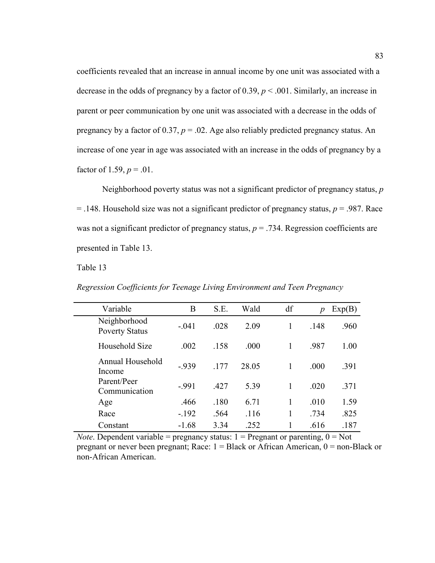coefficients revealed that an increase in annual income by one unit was associated with a decrease in the odds of pregnancy by a factor of  $0.39$ ,  $p < .001$ . Similarly, an increase in parent or peer communication by one unit was associated with a decrease in the odds of pregnancy by a factor of  $0.37$ ,  $p = .02$ . Age also reliably predicted pregnancy status. An increase of one year in age was associated with an increase in the odds of pregnancy by a factor of 1.59,  $p = .01$ .

Neighborhood poverty status was not a significant predictor of pregnancy status, *p*  $=$  .148. Household size was not a significant predictor of pregnancy status,  $p = .987$ . Race was not a significant predictor of pregnancy status,  $p = .734$ . Regression coefficients are presented in Table 13.

Table 13

*Regression Coefficients for Teenage Living Environment and Teen Pregnancy* 

| Variable                              | B       | S.E. | Wald  | df | p    | Exp(B) |
|---------------------------------------|---------|------|-------|----|------|--------|
| Neighborhood<br><b>Poverty Status</b> | $-041$  | .028 | 2.09  |    | .148 | .960   |
| Household Size                        | .002    | .158 | .000  |    | .987 | 1.00   |
| Annual Household<br>Income            | $-939$  | .177 | 28.05 |    | .000 | .391   |
| Parent/Peer<br>Communication          | $-991$  | .427 | 5.39  |    | .020 | .371   |
| Age                                   | .466    | .180 | 6.71  |    | .010 | 1.59   |
| Race                                  | $-.192$ | .564 | .116  |    | .734 | .825   |
| Constant                              | $-1.68$ | 3.34 | .252  |    | .616 | .187   |

*Note*. Dependent variable = pregnancy status:  $1 =$  Pregnant or parenting,  $0 =$  Not pregnant or never been pregnant; Race:  $1 = Black$  or African American,  $0 = non-Black$  or non-African American.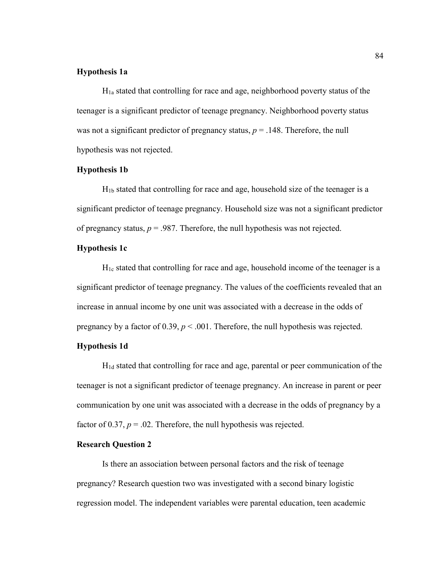## **Hypothesis 1a**

 $H<sub>1a</sub>$  stated that controlling for race and age, neighborhood poverty status of the teenager is a significant predictor of teenage pregnancy. Neighborhood poverty status was not a significant predictor of pregnancy status,  $p = .148$ . Therefore, the null hypothesis was not rejected.

## **Hypothesis 1b**

H1b stated that controlling for race and age, household size of the teenager is a significant predictor of teenage pregnancy. Household size was not a significant predictor of pregnancy status,  $p = 0.987$ . Therefore, the null hypothesis was not rejected.

## **Hypothesis 1c**

 $H_{1c}$  stated that controlling for race and age, household income of the teenager is a significant predictor of teenage pregnancy. The values of the coefficients revealed that an increase in annual income by one unit was associated with a decrease in the odds of pregnancy by a factor of  $0.39$ ,  $p < .001$ . Therefore, the null hypothesis was rejected.

## **Hypothesis 1d**

H1d stated that controlling for race and age, parental or peer communication of the teenager is not a significant predictor of teenage pregnancy. An increase in parent or peer communication by one unit was associated with a decrease in the odds of pregnancy by a factor of 0.37,  $p = 0.02$ . Therefore, the null hypothesis was rejected.

## **Research Question 2**

 Is there an association between personal factors and the risk of teenage pregnancy? Research question two was investigated with a second binary logistic regression model. The independent variables were parental education, teen academic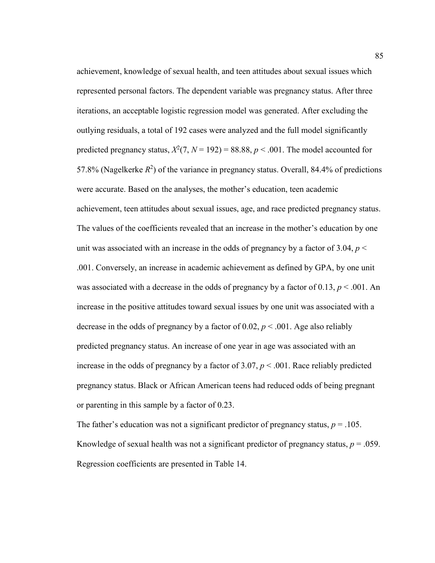achievement, knowledge of sexual health, and teen attitudes about sexual issues which represented personal factors. The dependent variable was pregnancy status. After three iterations, an acceptable logistic regression model was generated. After excluding the outlying residuals, a total of 192 cases were analyzed and the full model significantly predicted pregnancy status,  $X^2(7, N = 192) = 88.88, p < .001$ . The model accounted for 57.8% (Nagelkerke  $R^2$ ) of the variance in pregnancy status. Overall, 84.4% of predictions were accurate. Based on the analyses, the mother's education, teen academic achievement, teen attitudes about sexual issues, age, and race predicted pregnancy status. The values of the coefficients revealed that an increase in the mother's education by one unit was associated with an increase in the odds of pregnancy by a factor of 3.04,  $p <$ .001. Conversely, an increase in academic achievement as defined by GPA, by one unit was associated with a decrease in the odds of pregnancy by a factor of 0.13,  $p < .001$ . An increase in the positive attitudes toward sexual issues by one unit was associated with a decrease in the odds of pregnancy by a factor of  $0.02$ ,  $p < .001$ . Age also reliably predicted pregnancy status. An increase of one year in age was associated with an increase in the odds of pregnancy by a factor of  $3.07, p < .001$ . Race reliably predicted pregnancy status. Black or African American teens had reduced odds of being pregnant or parenting in this sample by a factor of 0.23.

The father's education was not a significant predictor of pregnancy status,  $p = .105$ . Knowledge of sexual health was not a significant predictor of pregnancy status,  $p = .059$ . Regression coefficients are presented in Table 14.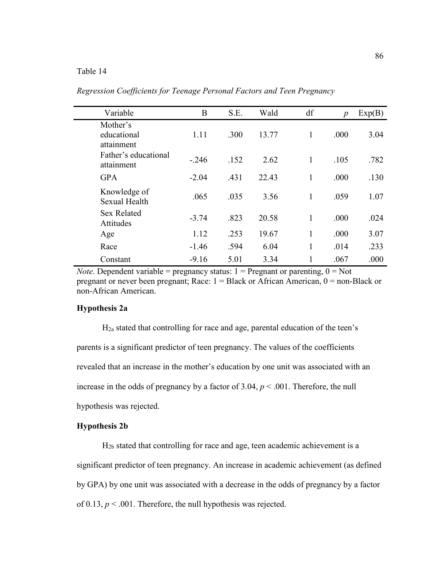## Table 14

| Variable                              | B       | S.E. | Wald  | df | $\boldsymbol{p}$ | Exp(B) |
|---------------------------------------|---------|------|-------|----|------------------|--------|
| Mother's<br>educational<br>attainment | 1.11    | .300 | 13.77 | 1  | .000             | 3.04   |
| Father's educational<br>attainment    | $-.246$ | .152 | 2.62  | 1  | .105             | .782   |
| <b>GPA</b>                            | $-2.04$ | .431 | 22.43 | 1  | .000             | .130   |
| Knowledge of<br>Sexual Health         | .065    | .035 | 3.56  | 1  | .059             | 1.07   |
| <b>Sex Related</b><br>Attitudes       | $-3.74$ | .823 | 20.58 | 1  | .000             | .024   |
| Age                                   | 1.12    | .253 | 19.67 | 1  | .000             | 3.07   |
| Race                                  | $-1.46$ | .594 | 6.04  | 1  | .014             | .233   |
| Constant                              | $-9.16$ | 5.01 | 3.34  | 1  | .067             | .000   |

*Regression Coefficients for Teenage Personal Factors and Teen Pregnancy* 

*Note*. Dependent variable = pregnancy status:  $1 =$  Pregnant or parenting,  $0 =$  Not pregnant or never been pregnant; Race:  $1 = Black$  or African American,  $0 = non-Black$  or non-African American.

#### **Hypothesis 2a**

H2a stated that controlling for race and age, parental education of the teen's parents is a significant predictor of teen pregnancy. The values of the coefficients revealed that an increase in the mother's education by one unit was associated with an increase in the odds of pregnancy by a factor of  $3.04$ ,  $p < .001$ . Therefore, the null hypothesis was rejected.

## **Hypothesis 2b**

H2b stated that controlling for race and age, teen academic achievement is a significant predictor of teen pregnancy. An increase in academic achievement (as defined by GPA) by one unit was associated with a decrease in the odds of pregnancy by a factor of 0.13,  $p < .001$ . Therefore, the null hypothesis was rejected.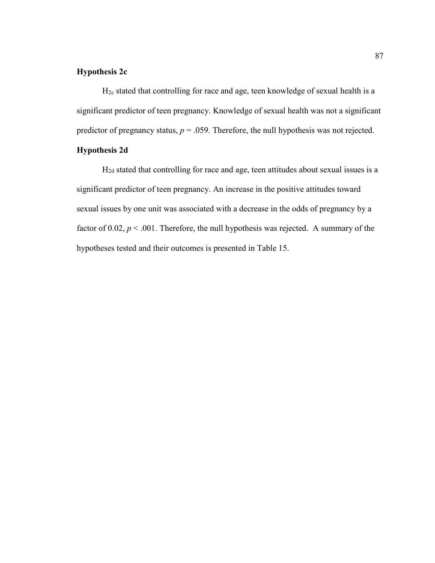## **Hypothesis 2c**

 $H<sub>2c</sub>$  stated that controlling for race and age, teen knowledge of sexual health is a significant predictor of teen pregnancy. Knowledge of sexual health was not a significant predictor of pregnancy status,  $p = 0.059$ . Therefore, the null hypothesis was not rejected.

## **Hypothesis 2d**

H2d stated that controlling for race and age, teen attitudes about sexual issues is a significant predictor of teen pregnancy. An increase in the positive attitudes toward sexual issues by one unit was associated with a decrease in the odds of pregnancy by a factor of 0.02,  $p < .001$ . Therefore, the null hypothesis was rejected. A summary of the hypotheses tested and their outcomes is presented in Table 15.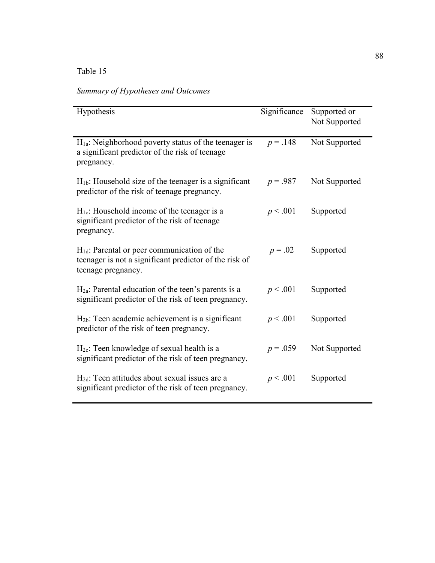# Table 15

*Summary of Hypotheses and Outcomes* 

| Hypothesis                                                                                                                       | Significance | Supported or<br>Not Supported |
|----------------------------------------------------------------------------------------------------------------------------------|--------------|-------------------------------|
| $H1a$ : Neighborhood poverty status of the teenager is<br>a significant predictor of the risk of teenage<br>pregnancy.           | $p = .148$   | Not Supported                 |
| $H_{1b}$ : Household size of the teenager is a significant<br>predictor of the risk of teenage pregnancy.                        | $p = .987$   | Not Supported                 |
| H <sub>1c</sub> : Household income of the teenager is a<br>significant predictor of the risk of teenage<br>pregnancy.            | p < .001     | Supported                     |
| $H_{1d}$ : Parental or peer communication of the<br>teenager is not a significant predictor of the risk of<br>teenage pregnancy. | $p = .02$    | Supported                     |
| $H2a$ : Parental education of the teen's parents is a<br>significant predictor of the risk of teen pregnancy.                    | p < .001     | Supported                     |
| $H_{2b}$ : Teen academic achievement is a significant<br>predictor of the risk of teen pregnancy.                                | p < .001     | Supported                     |
| H <sub>2c</sub> : Teen knowledge of sexual health is a<br>significant predictor of the risk of teen pregnancy.                   | $p = .059$   | Not Supported                 |
| $H_{2d}$ : Teen attitudes about sexual issues are a<br>significant predictor of the risk of teen pregnancy.                      | p < .001     | Supported                     |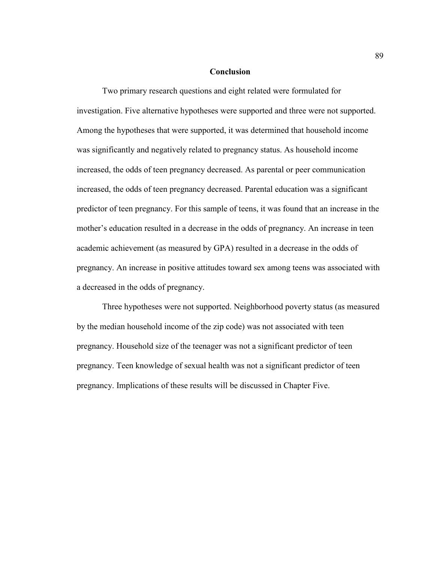## **Conclusion**

 Two primary research questions and eight related were formulated for investigation. Five alternative hypotheses were supported and three were not supported. Among the hypotheses that were supported, it was determined that household income was significantly and negatively related to pregnancy status. As household income increased, the odds of teen pregnancy decreased. As parental or peer communication increased, the odds of teen pregnancy decreased. Parental education was a significant predictor of teen pregnancy. For this sample of teens, it was found that an increase in the mother's education resulted in a decrease in the odds of pregnancy. An increase in teen academic achievement (as measured by GPA) resulted in a decrease in the odds of pregnancy. An increase in positive attitudes toward sex among teens was associated with a decreased in the odds of pregnancy.

 Three hypotheses were not supported. Neighborhood poverty status (as measured by the median household income of the zip code) was not associated with teen pregnancy. Household size of the teenager was not a significant predictor of teen pregnancy. Teen knowledge of sexual health was not a significant predictor of teen pregnancy. Implications of these results will be discussed in Chapter Five.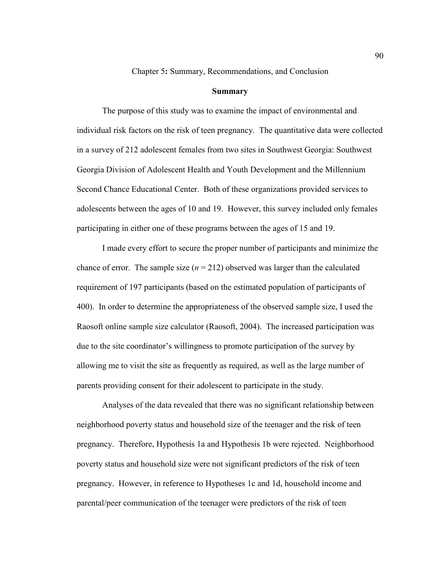Chapter 5**:** Summary, Recommendations, and Conclusion

#### **Summary**

The purpose of this study was to examine the impact of environmental and individual risk factors on the risk of teen pregnancy. The quantitative data were collected in a survey of 212 adolescent females from two sites in Southwest Georgia: Southwest Georgia Division of Adolescent Health and Youth Development and the Millennium Second Chance Educational Center. Both of these organizations provided services to adolescents between the ages of 10 and 19. However, this survey included only females participating in either one of these programs between the ages of 15 and 19.

I made every effort to secure the proper number of participants and minimize the chance of error. The sample size  $(n = 212)$  observed was larger than the calculated requirement of 197 participants (based on the estimated population of participants of 400). In order to determine the appropriateness of the observed sample size, I used the Raosoft online sample size calculator (Raosoft, 2004). The increased participation was due to the site coordinator's willingness to promote participation of the survey by allowing me to visit the site as frequently as required, as well as the large number of parents providing consent for their adolescent to participate in the study.

Analyses of the data revealed that there was no significant relationship between neighborhood poverty status and household size of the teenager and the risk of teen pregnancy. Therefore, Hypothesis 1a and Hypothesis 1b were rejected. Neighborhood poverty status and household size were not significant predictors of the risk of teen pregnancy. However, in reference to Hypotheses 1c and 1d, household income and parental/peer communication of the teenager were predictors of the risk of teen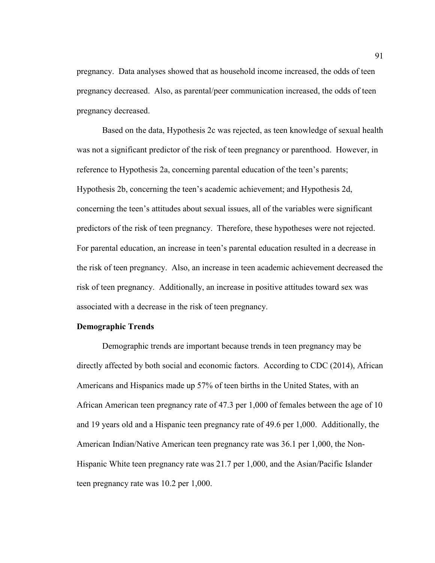pregnancy. Data analyses showed that as household income increased, the odds of teen pregnancy decreased. Also, as parental/peer communication increased, the odds of teen pregnancy decreased.

 Based on the data, Hypothesis 2c was rejected, as teen knowledge of sexual health was not a significant predictor of the risk of teen pregnancy or parenthood. However, in reference to Hypothesis 2a, concerning parental education of the teen's parents; Hypothesis 2b, concerning the teen's academic achievement; and Hypothesis 2d, concerning the teen's attitudes about sexual issues, all of the variables were significant predictors of the risk of teen pregnancy. Therefore, these hypotheses were not rejected. For parental education, an increase in teen's parental education resulted in a decrease in the risk of teen pregnancy. Also, an increase in teen academic achievement decreased the risk of teen pregnancy. Additionally, an increase in positive attitudes toward sex was associated with a decrease in the risk of teen pregnancy.

## **Demographic Trends**

 Demographic trends are important because trends in teen pregnancy may be directly affected by both social and economic factors. According to CDC (2014), African Americans and Hispanics made up 57% of teen births in the United States, with an African American teen pregnancy rate of 47.3 per 1,000 of females between the age of 10 and 19 years old and a Hispanic teen pregnancy rate of 49.6 per 1,000. Additionally, the American Indian/Native American teen pregnancy rate was 36.1 per 1,000, the Non-Hispanic White teen pregnancy rate was 21.7 per 1,000, and the Asian/Pacific Islander teen pregnancy rate was 10.2 per 1,000.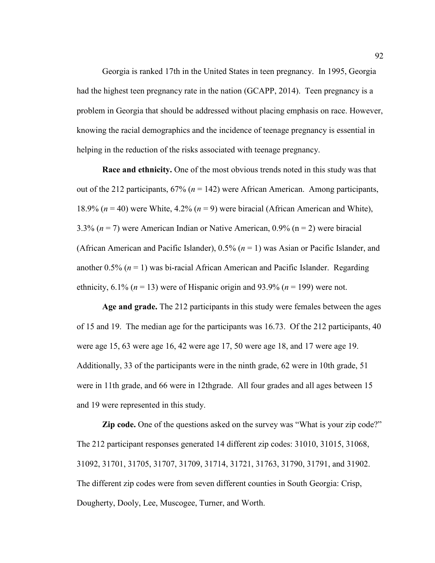Georgia is ranked 17th in the United States in teen pregnancy. In 1995, Georgia had the highest teen pregnancy rate in the nation (GCAPP, 2014). Teen pregnancy is a problem in Georgia that should be addressed without placing emphasis on race. However, knowing the racial demographics and the incidence of teenage pregnancy is essential in helping in the reduction of the risks associated with teenage pregnancy.

**Race and ethnicity.** One of the most obvious trends noted in this study was that out of the 212 participants,  $67\%$  ( $n = 142$ ) were African American. Among participants, 18.9% (*n* = 40) were White, 4.2% (*n* = 9) were biracial (African American and White), 3.3% (*n* = 7) were American Indian or Native American, 0.9% (n = 2) were biracial (African American and Pacific Islander), 0.5% (*n* = 1) was Asian or Pacific Islander, and another  $0.5\%$  ( $n = 1$ ) was bi-racial African American and Pacific Islander. Regarding ethnicity,  $6.1\%$  ( $n = 13$ ) were of Hispanic origin and 93.9% ( $n = 199$ ) were not.

**Age and grade.** The 212 participants in this study were females between the ages of 15 and 19. The median age for the participants was 16.73. Of the 212 participants, 40 were age 15, 63 were age 16, 42 were age 17, 50 were age 18, and 17 were age 19. Additionally, 33 of the participants were in the ninth grade, 62 were in 10th grade, 51 were in 11th grade, and 66 were in 12thgrade. All four grades and all ages between 15 and 19 were represented in this study.

**Zip code.** One of the questions asked on the survey was "What is your zip code?" The 212 participant responses generated 14 different zip codes: 31010, 31015, 31068, 31092, 31701, 31705, 31707, 31709, 31714, 31721, 31763, 31790, 31791, and 31902. The different zip codes were from seven different counties in South Georgia: Crisp, Dougherty, Dooly, Lee, Muscogee, Turner, and Worth.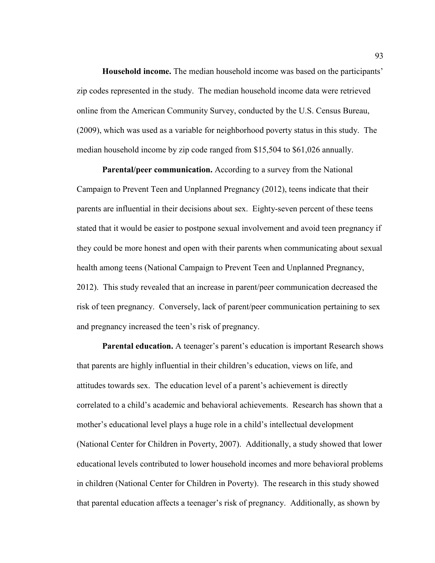**Household income.** The median household income was based on the participants' zip codes represented in the study. The median household income data were retrieved online from the American Community Survey, conducted by the U.S. Census Bureau, (2009), which was used as a variable for neighborhood poverty status in this study. The median household income by zip code ranged from \$15,504 to \$61,026 annually.

**Parental/peer communication.** According to a survey from the National Campaign to Prevent Teen and Unplanned Pregnancy (2012), teens indicate that their parents are influential in their decisions about sex. Eighty-seven percent of these teens stated that it would be easier to postpone sexual involvement and avoid teen pregnancy if they could be more honest and open with their parents when communicating about sexual health among teens (National Campaign to Prevent Teen and Unplanned Pregnancy, 2012). This study revealed that an increase in parent/peer communication decreased the risk of teen pregnancy. Conversely, lack of parent/peer communication pertaining to sex and pregnancy increased the teen's risk of pregnancy.

**Parental education.** A teenager's parent's education is important Research shows that parents are highly influential in their children's education, views on life, and attitudes towards sex. The education level of a parent's achievement is directly correlated to a child's academic and behavioral achievements. Research has shown that a mother's educational level plays a huge role in a child's intellectual development (National Center for Children in Poverty, 2007). Additionally, a study showed that lower educational levels contributed to lower household incomes and more behavioral problems in children (National Center for Children in Poverty). The research in this study showed that parental education affects a teenager's risk of pregnancy. Additionally, as shown by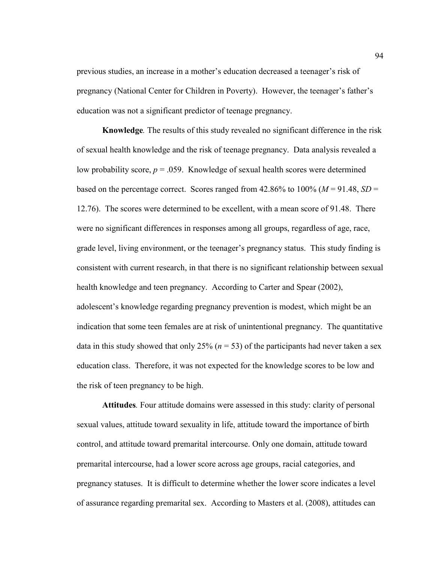previous studies, an increase in a mother's education decreased a teenager's risk of pregnancy (National Center for Children in Poverty). However, the teenager's father's education was not a significant predictor of teenage pregnancy.

**Knowledge***.* The results of this study revealed no significant difference in the risk of sexual health knowledge and the risk of teenage pregnancy. Data analysis revealed a low probability score,  $p = 0.059$ . Knowledge of sexual health scores were determined based on the percentage correct. Scores ranged from  $42.86\%$  to  $100\%$  ( $M = 91.48$ ,  $SD =$ 12.76). The scores were determined to be excellent, with a mean score of 91.48. There were no significant differences in responses among all groups, regardless of age, race, grade level, living environment, or the teenager's pregnancy status. This study finding is consistent with current research, in that there is no significant relationship between sexual health knowledge and teen pregnancy. According to Carter and Spear (2002), adolescent's knowledge regarding pregnancy prevention is modest, which might be an indication that some teen females are at risk of unintentional pregnancy. The quantitative data in this study showed that only 25% ( $n = 53$ ) of the participants had never taken a sex education class. Therefore, it was not expected for the knowledge scores to be low and the risk of teen pregnancy to be high.

**Attitudes***.* Four attitude domains were assessed in this study: clarity of personal sexual values, attitude toward sexuality in life, attitude toward the importance of birth control, and attitude toward premarital intercourse. Only one domain, attitude toward premarital intercourse, had a lower score across age groups, racial categories, and pregnancy statuses. It is difficult to determine whether the lower score indicates a level of assurance regarding premarital sex. According to Masters et al. (2008), attitudes can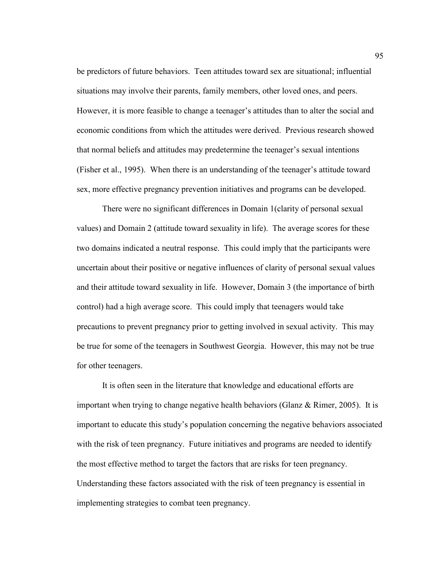be predictors of future behaviors. Teen attitudes toward sex are situational; influential situations may involve their parents, family members, other loved ones, and peers. However, it is more feasible to change a teenager's attitudes than to alter the social and economic conditions from which the attitudes were derived. Previous research showed that normal beliefs and attitudes may predetermine the teenager's sexual intentions (Fisher et al., 1995). When there is an understanding of the teenager's attitude toward sex, more effective pregnancy prevention initiatives and programs can be developed.

There were no significant differences in Domain 1(clarity of personal sexual values) and Domain 2 (attitude toward sexuality in life). The average scores for these two domains indicated a neutral response. This could imply that the participants were uncertain about their positive or negative influences of clarity of personal sexual values and their attitude toward sexuality in life. However, Domain 3 (the importance of birth control) had a high average score. This could imply that teenagers would take precautions to prevent pregnancy prior to getting involved in sexual activity. This may be true for some of the teenagers in Southwest Georgia. However, this may not be true for other teenagers.

It is often seen in the literature that knowledge and educational efforts are important when trying to change negative health behaviors (Glanz  $\&$  Rimer, 2005). It is important to educate this study's population concerning the negative behaviors associated with the risk of teen pregnancy. Future initiatives and programs are needed to identify the most effective method to target the factors that are risks for teen pregnancy. Understanding these factors associated with the risk of teen pregnancy is essential in implementing strategies to combat teen pregnancy.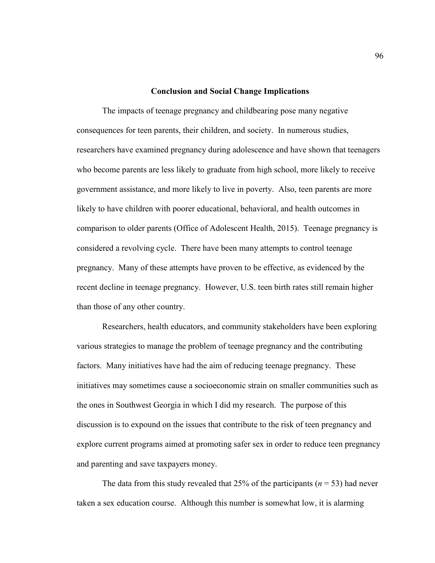### **Conclusion and Social Change Implications**

The impacts of teenage pregnancy and childbearing pose many negative consequences for teen parents, their children, and society. In numerous studies, researchers have examined pregnancy during adolescence and have shown that teenagers who become parents are less likely to graduate from high school, more likely to receive government assistance, and more likely to live in poverty. Also, teen parents are more likely to have children with poorer educational, behavioral, and health outcomes in comparison to older parents (Office of Adolescent Health, 2015). Teenage pregnancy is considered a revolving cycle. There have been many attempts to control teenage pregnancy. Many of these attempts have proven to be effective, as evidenced by the recent decline in teenage pregnancy. However, U.S. teen birth rates still remain higher than those of any other country.

 Researchers, health educators, and community stakeholders have been exploring various strategies to manage the problem of teenage pregnancy and the contributing factors. Many initiatives have had the aim of reducing teenage pregnancy. These initiatives may sometimes cause a socioeconomic strain on smaller communities such as the ones in Southwest Georgia in which I did my research. The purpose of this discussion is to expound on the issues that contribute to the risk of teen pregnancy and explore current programs aimed at promoting safer sex in order to reduce teen pregnancy and parenting and save taxpayers money.

The data from this study revealed that 25% of the participants ( $n = 53$ ) had never taken a sex education course. Although this number is somewhat low, it is alarming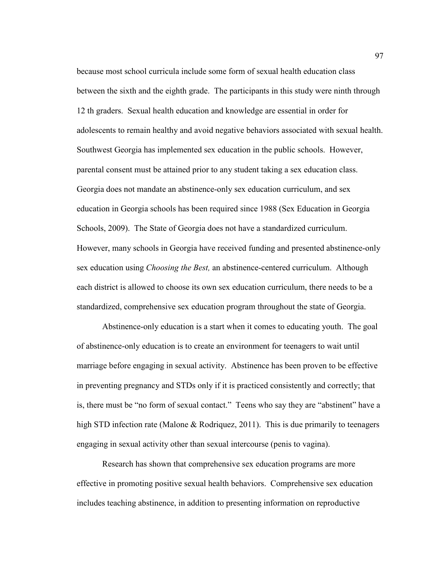because most school curricula include some form of sexual health education class between the sixth and the eighth grade. The participants in this study were ninth through 12 th graders. Sexual health education and knowledge are essential in order for adolescents to remain healthy and avoid negative behaviors associated with sexual health. Southwest Georgia has implemented sex education in the public schools. However, parental consent must be attained prior to any student taking a sex education class. Georgia does not mandate an abstinence-only sex education curriculum, and sex education in Georgia schools has been required since 1988 (Sex Education in Georgia Schools, 2009). The State of Georgia does not have a standardized curriculum. However, many schools in Georgia have received funding and presented abstinence-only sex education using *Choosing the Best,* an abstinence-centered curriculum. Although each district is allowed to choose its own sex education curriculum, there needs to be a standardized, comprehensive sex education program throughout the state of Georgia.

 Abstinence-only education is a start when it comes to educating youth. The goal of abstinence-only education is to create an environment for teenagers to wait until marriage before engaging in sexual activity. Abstinence has been proven to be effective in preventing pregnancy and STDs only if it is practiced consistently and correctly; that is, there must be "no form of sexual contact." Teens who say they are "abstinent" have a high STD infection rate (Malone & Rodriquez, 2011). This is due primarily to teenagers engaging in sexual activity other than sexual intercourse (penis to vagina).

 Research has shown that comprehensive sex education programs are more effective in promoting positive sexual health behaviors. Comprehensive sex education includes teaching abstinence, in addition to presenting information on reproductive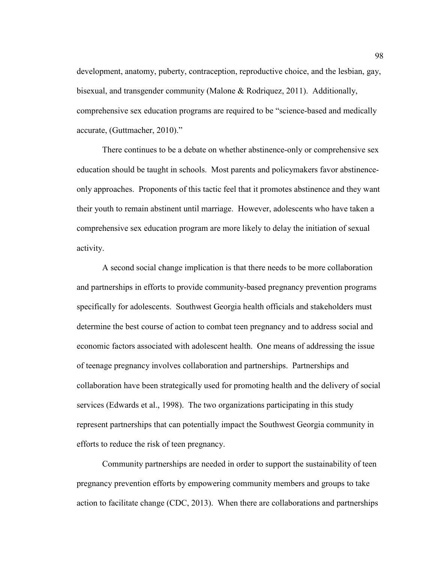development, anatomy, puberty, contraception, reproductive choice, and the lesbian, gay, bisexual, and transgender community (Malone & Rodriquez, 2011). Additionally, comprehensive sex education programs are required to be "science-based and medically accurate, (Guttmacher, 2010)."

 There continues to be a debate on whether abstinence-only or comprehensive sex education should be taught in schools. Most parents and policymakers favor abstinenceonly approaches. Proponents of this tactic feel that it promotes abstinence and they want their youth to remain abstinent until marriage. However, adolescents who have taken a comprehensive sex education program are more likely to delay the initiation of sexual activity.

 A second social change implication is that there needs to be more collaboration and partnerships in efforts to provide community-based pregnancy prevention programs specifically for adolescents. Southwest Georgia health officials and stakeholders must determine the best course of action to combat teen pregnancy and to address social and economic factors associated with adolescent health. One means of addressing the issue of teenage pregnancy involves collaboration and partnerships. Partnerships and collaboration have been strategically used for promoting health and the delivery of social services (Edwards et al., 1998). The two organizations participating in this study represent partnerships that can potentially impact the Southwest Georgia community in efforts to reduce the risk of teen pregnancy.

 Community partnerships are needed in order to support the sustainability of teen pregnancy prevention efforts by empowering community members and groups to take action to facilitate change (CDC, 2013). When there are collaborations and partnerships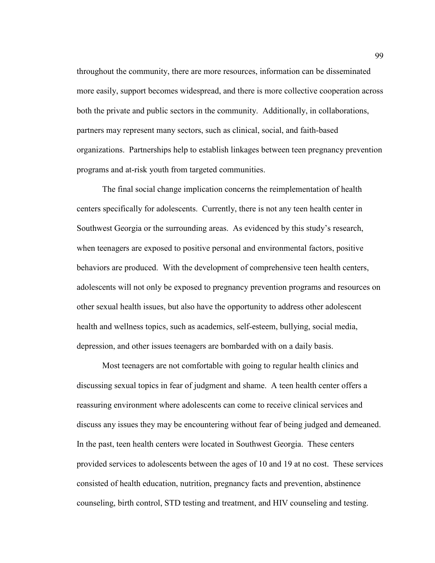throughout the community, there are more resources, information can be disseminated more easily, support becomes widespread, and there is more collective cooperation across both the private and public sectors in the community. Additionally, in collaborations, partners may represent many sectors, such as clinical, social, and faith-based organizations. Partnerships help to establish linkages between teen pregnancy prevention programs and at-risk youth from targeted communities.

 The final social change implication concerns the reimplementation of health centers specifically for adolescents. Currently, there is not any teen health center in Southwest Georgia or the surrounding areas. As evidenced by this study's research, when teenagers are exposed to positive personal and environmental factors, positive behaviors are produced. With the development of comprehensive teen health centers, adolescents will not only be exposed to pregnancy prevention programs and resources on other sexual health issues, but also have the opportunity to address other adolescent health and wellness topics, such as academics, self-esteem, bullying, social media, depression, and other issues teenagers are bombarded with on a daily basis.

 Most teenagers are not comfortable with going to regular health clinics and discussing sexual topics in fear of judgment and shame. A teen health center offers a reassuring environment where adolescents can come to receive clinical services and discuss any issues they may be encountering without fear of being judged and demeaned. In the past, teen health centers were located in Southwest Georgia. These centers provided services to adolescents between the ages of 10 and 19 at no cost. These services consisted of health education, nutrition, pregnancy facts and prevention, abstinence counseling, birth control, STD testing and treatment, and HIV counseling and testing.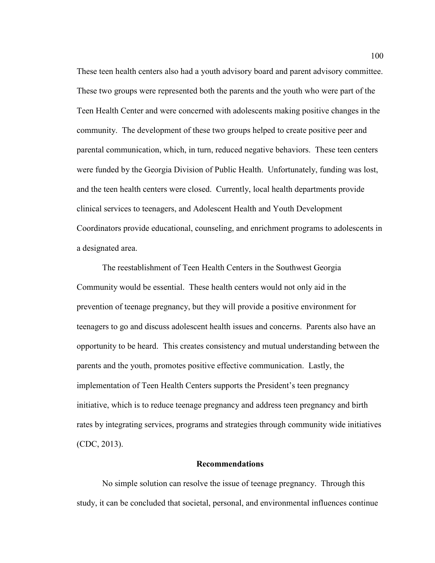These teen health centers also had a youth advisory board and parent advisory committee. These two groups were represented both the parents and the youth who were part of the Teen Health Center and were concerned with adolescents making positive changes in the community. The development of these two groups helped to create positive peer and parental communication, which, in turn, reduced negative behaviors. These teen centers were funded by the Georgia Division of Public Health. Unfortunately, funding was lost, and the teen health centers were closed. Currently, local health departments provide clinical services to teenagers, and Adolescent Health and Youth Development Coordinators provide educational, counseling, and enrichment programs to adolescents in a designated area.

 The reestablishment of Teen Health Centers in the Southwest Georgia Community would be essential. These health centers would not only aid in the prevention of teenage pregnancy, but they will provide a positive environment for teenagers to go and discuss adolescent health issues and concerns. Parents also have an opportunity to be heard. This creates consistency and mutual understanding between the parents and the youth, promotes positive effective communication. Lastly, the implementation of Teen Health Centers supports the President's teen pregnancy initiative, which is to reduce teenage pregnancy and address teen pregnancy and birth rates by integrating services, programs and strategies through community wide initiatives (CDC, 2013).

#### **Recommendations**

 No simple solution can resolve the issue of teenage pregnancy. Through this study, it can be concluded that societal, personal, and environmental influences continue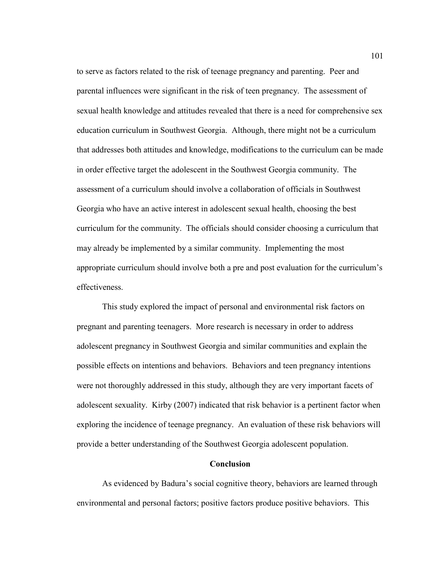to serve as factors related to the risk of teenage pregnancy and parenting. Peer and parental influences were significant in the risk of teen pregnancy. The assessment of sexual health knowledge and attitudes revealed that there is a need for comprehensive sex education curriculum in Southwest Georgia. Although, there might not be a curriculum that addresses both attitudes and knowledge, modifications to the curriculum can be made in order effective target the adolescent in the Southwest Georgia community. The assessment of a curriculum should involve a collaboration of officials in Southwest Georgia who have an active interest in adolescent sexual health, choosing the best curriculum for the community. The officials should consider choosing a curriculum that may already be implemented by a similar community. Implementing the most appropriate curriculum should involve both a pre and post evaluation for the curriculum's effectiveness.

 This study explored the impact of personal and environmental risk factors on pregnant and parenting teenagers. More research is necessary in order to address adolescent pregnancy in Southwest Georgia and similar communities and explain the possible effects on intentions and behaviors. Behaviors and teen pregnancy intentions were not thoroughly addressed in this study, although they are very important facets of adolescent sexuality. Kirby (2007) indicated that risk behavior is a pertinent factor when exploring the incidence of teenage pregnancy. An evaluation of these risk behaviors will provide a better understanding of the Southwest Georgia adolescent population.

#### **Conclusion**

 As evidenced by Badura's social cognitive theory, behaviors are learned through environmental and personal factors; positive factors produce positive behaviors. This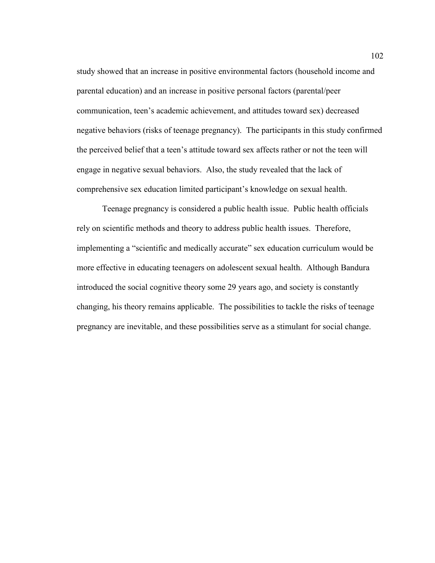study showed that an increase in positive environmental factors (household income and parental education) and an increase in positive personal factors (parental/peer communication, teen's academic achievement, and attitudes toward sex) decreased negative behaviors (risks of teenage pregnancy). The participants in this study confirmed the perceived belief that a teen's attitude toward sex affects rather or not the teen will engage in negative sexual behaviors. Also, the study revealed that the lack of comprehensive sex education limited participant's knowledge on sexual health.

 Teenage pregnancy is considered a public health issue. Public health officials rely on scientific methods and theory to address public health issues. Therefore, implementing a "scientific and medically accurate" sex education curriculum would be more effective in educating teenagers on adolescent sexual health. Although Bandura introduced the social cognitive theory some 29 years ago, and society is constantly changing, his theory remains applicable. The possibilities to tackle the risks of teenage pregnancy are inevitable, and these possibilities serve as a stimulant for social change.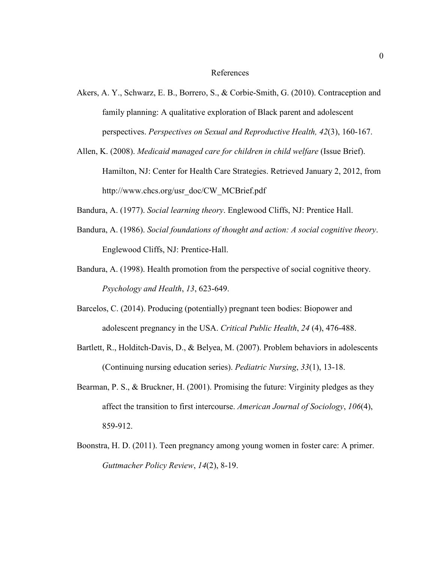#### References

- Akers, A. Y., Schwarz, E. B., Borrero, S., & Corbie-Smith, G. (2010). Contraception and family planning: A qualitative exploration of Black parent and adolescent perspectives. *Perspectives on Sexual and Reproductive Health, 42*(3), 160-167.
- Allen, K. (2008). *Medicaid managed care for children in child welfare* (Issue Brief). Hamilton, NJ: Center for Health Care Strategies. Retrieved January 2, 2012, from http://www.chcs.org/usr\_doc/CW\_MCBrief.pdf
- Bandura, A. (1977). *Social learning theory*. Englewood Cliffs, NJ: Prentice Hall.
- Bandura, A. (1986). *Social foundations of thought and action: A social cognitive theory*. Englewood Cliffs, NJ: Prentice-Hall.
- Bandura, A. (1998). Health promotion from the perspective of social cognitive theory. *Psychology and Health*, *13*, 623-649.
- Barcelos, C. (2014). Producing (potentially) pregnant teen bodies: Biopower and adolescent pregnancy in the USA. *Critical Public Health*, *24* (4), 476-488.
- Bartlett, R., Holditch-Davis, D., & Belyea, M. (2007). Problem behaviors in adolescents (Continuing nursing education series). *Pediatric Nursing*, *33*(1), 13-18.
- Bearman, P. S., & Bruckner, H. (2001). Promising the future: Virginity pledges as they affect the transition to first intercourse. *American Journal of Sociology*, *106*(4), 859-912.
- Boonstra, H. D. (2011). Teen pregnancy among young women in foster care: A primer. *Guttmacher Policy Review*, *14*(2), 8-19.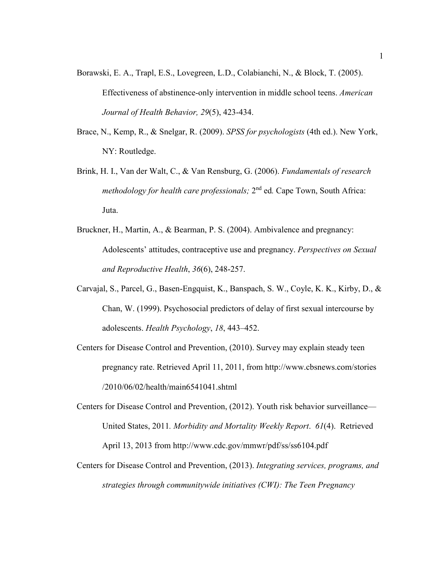- Borawski, E. A., Trapl, E.S., Lovegreen, L.D., Colabianchi, N., & Block, T. (2005). Effectiveness of abstinence-only intervention in middle school teens. *American Journal of Health Behavior, 29*(5), 423-434.
- Brace, N., Kemp, R., & Snelgar, R. (2009). *SPSS for psychologists* (4th ed.). New York, NY: Routledge.
- Brink, H. I., Van der Walt, C., & Van Rensburg, G. (2006). *Fundamentals of research*  methodology for health care professionals; 2<sup>nd</sup> ed. Cape Town, South Africa: Juta.
- Bruckner, H., Martin, A., & Bearman, P. S. (2004). Ambivalence and pregnancy: Adolescents' attitudes, contraceptive use and pregnancy. *Perspectives on Sexual and Reproductive Health*, *36*(6), 248-257.
- Carvajal, S., Parcel, G., Basen-Engquist, K., Banspach, S. W., Coyle, K. K., Kirby, D., & Chan, W. (1999). Psychosocial predictors of delay of first sexual intercourse by adolescents. *Health Psychology*, *18*, 443–452.
- Centers for Disease Control and Prevention, (2010). Survey may explain steady teen pregnancy rate. Retrieved April 11, 2011, from http://www.cbsnews.com/stories /2010/06/02/health/main6541041.shtml
- Centers for Disease Control and Prevention, (2012). Youth risk behavior surveillance— United States, 2011*. Morbidity and Mortality Weekly Report*. *61*(4). Retrieved April 13, 2013 from http://www.cdc.gov/mmwr/pdf/ss/ss6104.pdf
- Centers for Disease Control and Prevention, (2013). *Integrating services, programs, and strategies through communitywide initiatives (CWI): The Teen Pregnancy*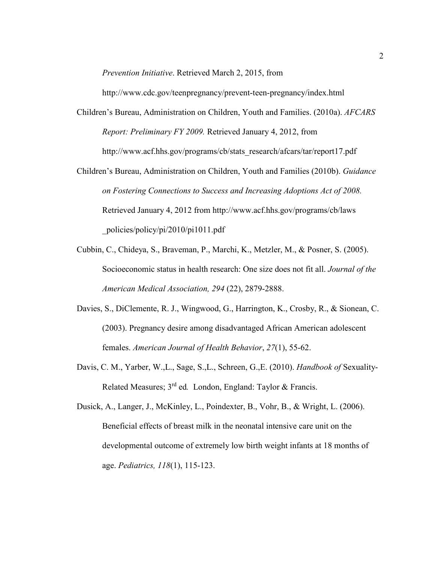*Prevention Initiative*. Retrieved March 2, 2015, from

http://www.cdc.gov/teenpregnancy/prevent-teen-pregnancy/index.html

- Children's Bureau, Administration on Children, Youth and Families. (2010a). *AFCARS Report: Preliminary FY 2009.* Retrieved January 4, 2012, from http://www.acf.hhs.gov/programs/cb/stats\_research/afcars/tar/report17.pdf
- Children's Bureau, Administration on Children, Youth and Families (2010b). *Guidance on Fostering Connections to Success and Increasing Adoptions Act of 2008.*  Retrieved January 4, 2012 from http://www.acf.hhs.gov/programs/cb/laws \_policies/policy/pi/2010/pi1011.pdf
- Cubbin, C., Chideya, S., Braveman, P., Marchi, K., Metzler, M., & Posner, S. (2005). Socioeconomic status in health research: One size does not fit all. *Journal of the American Medical Association, 294* (22), 2879-2888.
- Davies, S., DiClemente, R. J., Wingwood, G., Harrington, K., Crosby, R., & Sionean, C. (2003). Pregnancy desire among disadvantaged African American adolescent females. *American Journal of Health Behavior*, *27*(1), 55-62.
- Davis, C. M., Yarber, W.,L., Sage, S.,L., Schreen, G.,E. (2010). *Handbook of* Sexuality-Related Measures; 3 rd ed*.* London, England: Taylor & Francis.
- Dusick, A., Langer, J., McKinley, L., Poindexter, B., Vohr, B., & Wright, L. (2006). Beneficial effects of breast milk in the neonatal intensive care unit on the developmental outcome of extremely low birth weight infants at 18 months of age. *Pediatrics, 118*(1), 115-123.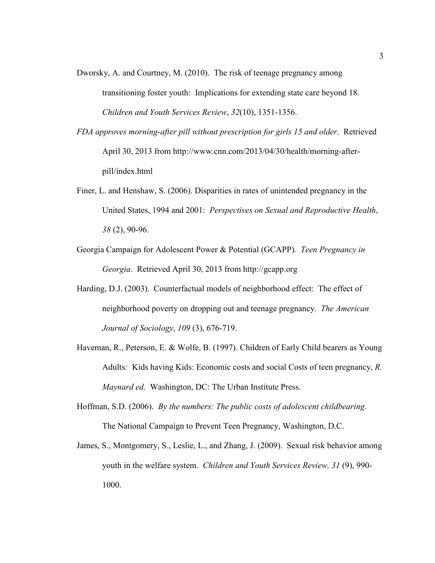- Dworsky, A. and Courtney, M. (2010). The risk of teenage pregnancy among transitioning foster youth: Implications for extending state care beyond 18. *Children and Youth Services Review*, *32*(10), 1351-1356.
- *FDA approves morning-after pill without prescription for girls 15 and older*. Retrieved April 30, 2013 from http://www.cnn.com/2013/04/30/health/morning-afterpill/index.html
- Finer, L. and Henshaw, S. (2006). Disparities in rates of unintended pregnancy in the United States, 1994 and 2001: *Perspectives on Sexual and Reproductive Health*, *38* (2), 90-96.
- Georgia Campaign for Adolescent Power & Potential (GCAPP)*. Teen Pregnancy in Georgia*. Retrieved April 30, 2013 from http://gcapp.org
- Harding, D.J. (2003). Counterfactual models of neighborhood effect: The effect of neighborhood poverty on dropping out and teenage pregnancy. *The American Journal of Sociology*, *109* (3), 676-719.
- Haveman, R., Peterson, E. & Wolfe, B. (1997). Children of Early Child bearers as Young Adults*:* Kids having Kids: Economic costs and social Costs of teen pregnancy, *R. Maynard ed.* Washington, DC: The Urban Institute Press.
- Hoffman, S.D. (2006). *By the numbers: The public costs of adolescent childbearing*. The National Campaign to Prevent Teen Pregnancy, Washington, D.C.
- James, S., Montgomery, S., Leslie, L., and Zhang, J. (2009). Sexual risk behavior among youth in the welfare system. *Children and Youth Services Review, 31* (9), 990- 1000.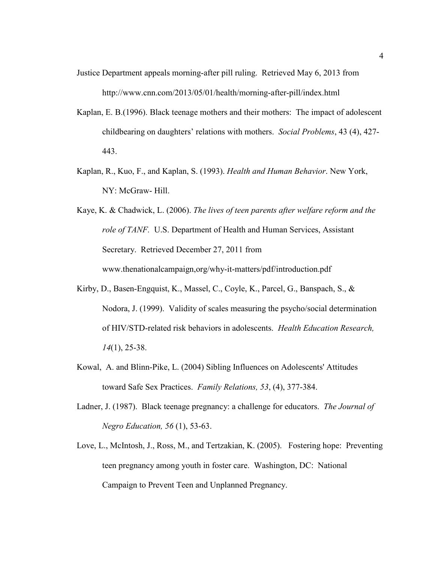- Justice Department appeals morning-after pill ruling. Retrieved May 6, 2013 from http://www.cnn.com/2013/05/01/health/morning-after-pill/index.html
- Kaplan, E. B.(1996). Black teenage mothers and their mothers: The impact of adolescent childbearing on daughters' relations with mothers. *Social Problems*, 43 (4), 427- 443.
- Kaplan, R., Kuo, F., and Kaplan, S. (1993). *Health and Human Behavior*. New York, NY: McGraw- Hill.
- Kaye, K. & Chadwick, L. (2006). *The lives of teen parents after welfare reform and the role of TANF.* U.S. Department of Health and Human Services, Assistant Secretary. Retrieved December 27, 2011 from www.thenationalcampaign,org/why-it-matters/pdf/introduction.pdf
- Kirby, D., Basen-Engquist, K., Massel, C., Coyle, K., Parcel, G., Banspach, S., & Nodora, J. (1999). Validity of scales measuring the psycho/social determination of HIV/STD-related risk behaviors in adolescents. *Health Education Research, 14*(1), 25-38.
- Kowal, A. and Blinn-Pike, L. (2004) Sibling Influences on Adolescents' Attitudes toward Safe Sex Practices. *Family Relations, 53*, (4), 377-384.
- Ladner, J. (1987). Black teenage pregnancy: a challenge for educators. *The Journal of Negro Education, 56* (1), 53-63.
- Love, L., McIntosh, J., Ross, M., and Tertzakian, K. (2005). Fostering hope: Preventing teen pregnancy among youth in foster care. Washington, DC: National Campaign to Prevent Teen and Unplanned Pregnancy.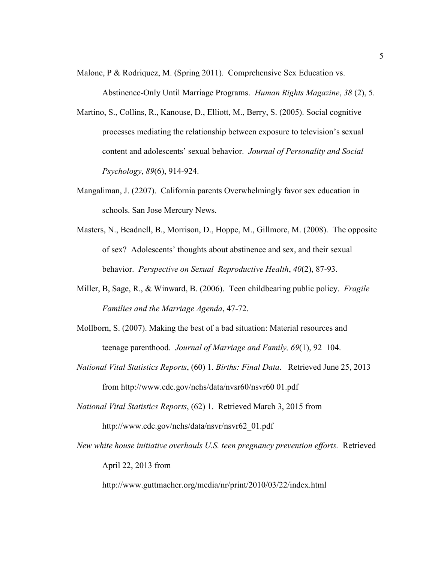Malone, P & Rodriquez, M. (Spring 2011). Comprehensive Sex Education vs.

Abstinence-Only Until Marriage Programs. *Human Rights Magazine*, *38* (2), 5.

- Martino, S., Collins, R., Kanouse, D., Elliott, M., Berry, S. (2005). Social cognitive processes mediating the relationship between exposure to television's sexual content and adolescents' sexual behavior. *Journal of Personality and Social Psychology*, *89*(6), 914-924.
- Mangaliman, J. (2207). California parents Overwhelmingly favor sex education in schools. San Jose Mercury News.
- Masters, N., Beadnell, B., Morrison, D., Hoppe, M., Gillmore, M. (2008). The opposite of sex? Adolescents' thoughts about abstinence and sex, and their sexual behavior. *Perspective on Sexual Reproductive Health*, *40*(2), 87-93.
- Miller, B, Sage, R., & Winward, B. (2006). Teen childbearing public policy. *Fragile Families and the Marriage Agenda*, 47-72.
- Mollborn, S. (2007). Making the best of a bad situation: Material resources and teenage parenthood. *Journal of Marriage and Family, 69*(1), 92–104.
- *National Vital Statistics Reports*, (60) 1. *Births: Final Data*. Retrieved June 25, 2013 from http://www.cdc.gov/nchs/data/nvsr60/nsvr60 01.pdf
- *National Vital Statistics Reports*, (62) 1. Retrieved March 3, 2015 from http://www.cdc.gov/nchs/data/nsvr/nsvr62\_01.pdf
- *New white house initiative overhauls U.S. teen pregnancy prevention efforts.* Retrieved April 22, 2013 from

http://www.guttmacher.org/media/nr/print/2010/03/22/index.html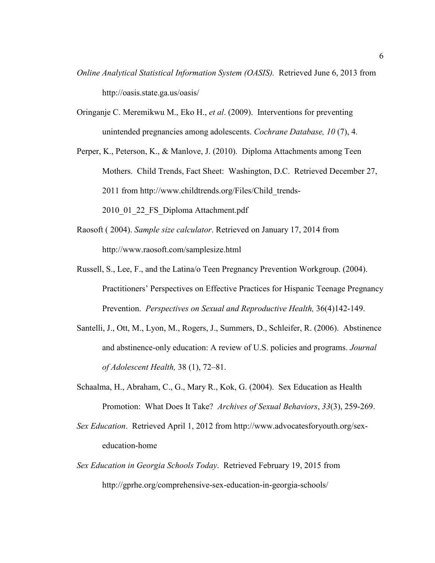- *Online Analytical Statistical Information System (OASIS).* Retrieved June 6, 2013 from http://oasis.state.ga.us/oasis/
- Oringanje C. Meremikwu M., Eko H., *et al*. (2009). Interventions for preventing unintended pregnancies among adolescents. *Cochrane Database, 10* (7), 4.

Perper, K., Peterson, K., & Manlove, J. (2010). Diploma Attachments among Teen Mothers. Child Trends, Fact Sheet: Washington, D.C. Retrieved December 27, 2011 from http://www.childtrends.org/Files/Child\_trends-

2010\_01\_22\_FS\_Diploma Attachment.pdf

- Raosoft ( 2004). *Sample size calculator*. Retrieved on January 17, 2014 from http://www.raosoft.com/samplesize.html
- Russell, S., Lee, F., and the Latina/o Teen Pregnancy Prevention Workgroup. (2004). Practitioners' Perspectives on Effective Practices for Hispanic Teenage Pregnancy Prevention. *Perspectives on Sexual and Reproductive Health,* 36(4)142-149.
- Santelli, J., Ott, M., Lyon, M., Rogers, J., Summers, D., Schleifer, R. (2006). Abstinence and abstinence-only education: A review of U.S. policies and programs. *Journal of Adolescent Health,* 38 (1), 72–81.
- Schaalma, H., Abraham, C., G., Mary R., Kok, G. (2004). Sex Education as Health Promotion: What Does It Take? *Archives of Sexual Behaviors*, *33*(3), 259-269.
- *Sex Education*. Retrieved April 1, 2012 from http://www.advocatesforyouth.org/sexeducation-home
- *Sex Education in Georgia Schools Today*. Retrieved February 19, 2015 from http://gprhe.org/comprehensive-sex-education-in-georgia-schools/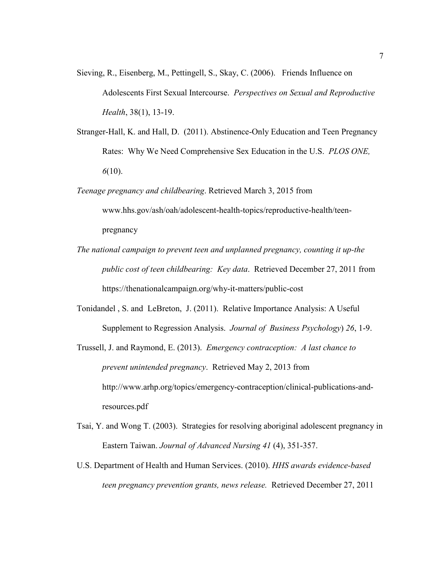- Sieving, R., Eisenberg, M., Pettingell, S., Skay, C. (2006). Friends Influence on Adolescents First Sexual Intercourse. *Perspectives on Sexual and Reproductive Health*, 38(1), 13-19.
- Stranger-Hall, K. and Hall, D. (2011). Abstinence-Only Education and Teen Pregnancy Rates: Why We Need Comprehensive Sex Education in the U.S. *PLOS ONE, 6*(10).
- *Teenage pregnancy and childbearing*. Retrieved March 3, 2015 from www.hhs.gov/ash/oah/adolescent-health-topics/reproductive-health/teenpregnancy
- *The national campaign to prevent teen and unplanned pregnancy, counting it up-the public cost of teen childbearing: Key data*. Retrieved December 27, 2011 from https://thenationalcampaign.org/why-it-matters/public-cost
- Tonidandel , S. and LeBreton, J. (2011). Relative Importance Analysis: A Useful Supplement to Regression Analysis. *Journal of Business Psychology*) *26*, 1-9.
- Trussell, J. and Raymond, E. (2013). *Emergency contraception: A last chance to prevent unintended pregnancy*. Retrieved May 2, 2013 from http://www.arhp.org/topics/emergency-contraception/clinical-publications-andresources.pdf
- Tsai, Y. and Wong T. (2003). Strategies for resolving aboriginal adolescent pregnancy in Eastern Taiwan. *Journal of Advanced Nursing 41* (4), 351-357.
- U.S. Department of Health and Human Services. (2010). *HHS awards evidence-based teen pregnancy prevention grants, news release.* Retrieved December 27, 2011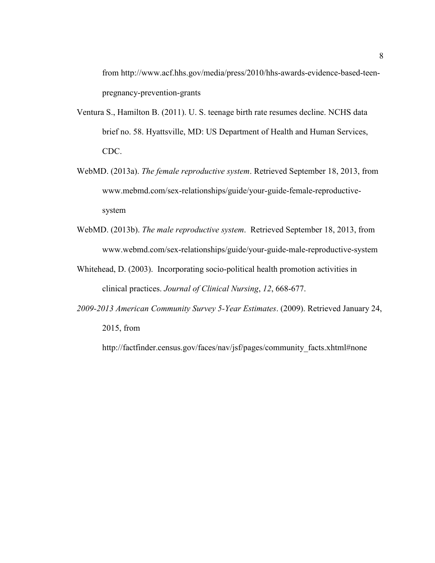from http://www.acf.hhs.gov/media/press/2010/hhs-awards-evidence-based-teenpregnancy-prevention-grants

- Ventura S., Hamilton B. (2011). U. S. teenage birth rate resumes decline. NCHS data brief no. 58. Hyattsville, MD: US Department of Health and Human Services, CDC.
- WebMD. (2013a). *The female reproductive system*. Retrieved September 18, 2013, from www.mebmd.com/sex-relationships/guide/your-guide-female-reproductivesystem
- WebMD. (2013b). *The male reproductive system*. Retrieved September 18, 2013, from www.webmd.com/sex-relationships/guide/your-guide-male-reproductive-system
- Whitehead, D. (2003). Incorporating socio-political health promotion activities in clinical practices. *Journal of Clinical Nursing*, *12*, 668-677.
- *2009-2013 American Community Survey 5-Year Estimates*. (2009). Retrieved January 24, 2015, from

http://factfinder.census.gov/faces/nav/jsf/pages/community\_facts.xhtml#none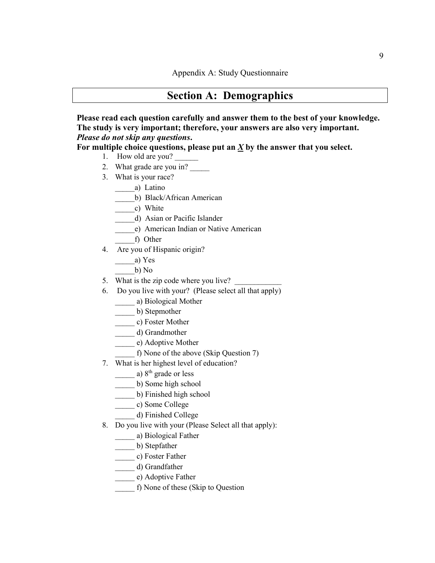# **Section A: Demographics**

**Please read each question carefully and answer them to the best of your knowledge. The study is very important; therefore, your answers are also very important.**  *Please do not skip any questions***.** 

**For multiple choice questions, please put an** *X* **by the answer that you select.** 

- 1. How old are you? \_\_\_\_\_\_\_\_
- 2. What grade are you in?
- 3. What is your race?
	- \_\_\_\_\_a) Latino
		- \_\_\_\_\_b) Black/African American
	- \_\_\_\_\_c) White
	- \_\_\_\_\_d) Asian or Pacific Islander
	- \_\_\_\_\_e) American Indian or Native American
	- \_\_\_\_\_f) Other
- 4. Are you of Hispanic origin?
	- \_\_\_\_\_a) Yes
	- \_\_\_\_\_b) No
- 5. What is the zip code where you live?
- 6. Do you live with your? (Please select all that apply)
	- \_\_\_\_\_ a) Biological Mother
	- \_\_\_\_\_ b) Stepmother
	- \_\_\_\_\_ c) Foster Mother
	- \_\_\_\_\_ d) Grandmother
	- e) Adoptive Mother
		- f) None of the above (Skip Question 7)
- 7. What is her highest level of education?
	- $\frac{1}{2}$  a)  $8^{th}$  grade or less
	- \_\_\_\_\_ b) Some high school
	- \_\_\_\_\_ b) Finished high school
	- \_\_\_\_\_ c) Some College
	- \_\_\_\_\_ d) Finished College
- 8. Do you live with your (Please Select all that apply):
	- \_\_\_\_\_ a) Biological Father
	- \_\_\_\_\_ b) Stepfather
	- \_\_\_\_\_ c) Foster Father
	- \_\_\_\_\_ d) Grandfather
	- \_\_\_\_\_ e) Adoptive Father
	- \_\_\_\_\_ f) None of these (Skip to Question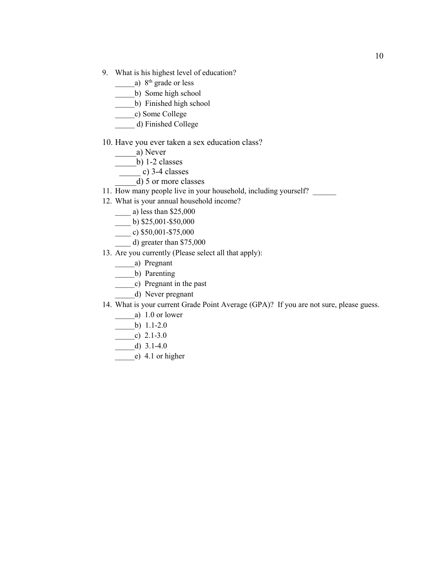- 9. What is his highest level of education?
	- a)  $8<sup>th</sup>$  grade or less
	- \_\_\_\_\_b) Some high school
	- \_\_\_\_\_b) Finished high school
	- \_\_\_\_\_c) Some College
	- \_\_\_\_\_ d) Finished College

#### 10. Have you ever taken a sex education class?

- \_\_\_\_\_a) Never
- $_b)$  1-2 classes
- $\frac{1}{2}$  c) 3-4 classes
- $\overline{d}$ ) 5 or more classes
- 11. How many people live in your household, including yourself?
- 12. What is your annual household income?
	- $\frac{1}{2}$  a) less than \$25,000
	- $\frac{\text{b}}{25,001-100}$  b) \$25,001-\$50,000
	- $\frac{\text{c}}{\text{c}}$  (c) \$50,001-\$75,000
	- $\qquad$  d) greater than \$75,000
- 13. Are you currently (Please select all that apply):
	- \_\_\_\_\_a) Pregnant
	- \_\_\_\_\_b) Parenting
	- \_\_\_\_\_c) Pregnant in the past
		- \_\_\_\_\_d) Never pregnant
- 14. What is your current Grade Point Average (GPA)? If you are not sure, please guess.
	- a) 1.0 or lower
	- $-b)$  1.1-2.0
	- $\frac{\text{c}}{\text{c}}$  2.1-3.0
	- \_\_\_\_\_d) 3.1-4.0
	- \_\_\_\_\_e) 4.1 or higher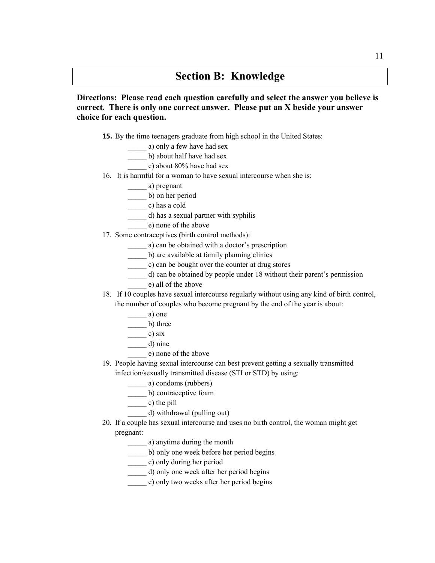# **Section B: Knowledge**

**Directions: Please read each question carefully and select the answer you believe is correct. There is only one correct answer. Please put an X beside your answer choice for each question.** 

- **15.** By the time teenagers graduate from high school in the United States:
	- a) only a few have had sex
	- b) about half have had sex
		- \_\_\_\_\_ c) about 80% have had sex
- 16. It is harmful for a woman to have sexual intercourse when she is:

\_\_\_\_\_ a) pregnant

\_\_\_\_\_ b) on her period

\_\_\_\_\_ c) has a cold

- \_\_\_\_\_ d) has a sexual partner with syphilis
- \_\_\_\_\_ e) none of the above
- 17. Some contraceptives (birth control methods):
	- \_\_\_\_\_ a) can be obtained with a doctor's prescription
	- \_\_\_\_\_ b) are available at family planning clinics
	- \_\_\_\_\_ c) can be bought over the counter at drug stores
	- \_\_\_\_\_ d) can be obtained by people under 18 without their parent's permission
	- \_\_\_\_\_ e) all of the above
- 18. If 10 couples have sexual intercourse regularly without using any kind of birth control, the number of couples who become pregnant by the end of the year is about:

$$
- a) oneb) three
$$

- $\frac{\ }{\ }$  c) six
- $\frac{d}{dx}$  d) nine
	- \_\_\_\_\_ e) none of the above
- 19. People having sexual intercourse can best prevent getting a sexually transmitted infection/sexually transmitted disease (STI or STD) by using:
	- \_\_\_\_\_ a) condoms (rubbers)
	- \_\_\_\_\_ b) contraceptive foam
	- $\frac{c}{\sqrt{c}}$  c) the pill
	- \_\_\_\_\_ d) withdrawal (pulling out)
- 20. If a couple has sexual intercourse and uses no birth control, the woman might get pregnant:
	- \_\_\_\_\_ a) anytime during the month
	- \_\_\_\_\_ b) only one week before her period begins
	- \_\_\_\_\_ c) only during her period
	- \_\_\_\_\_ d) only one week after her period begins
	- \_\_\_\_\_ e) only two weeks after her period begins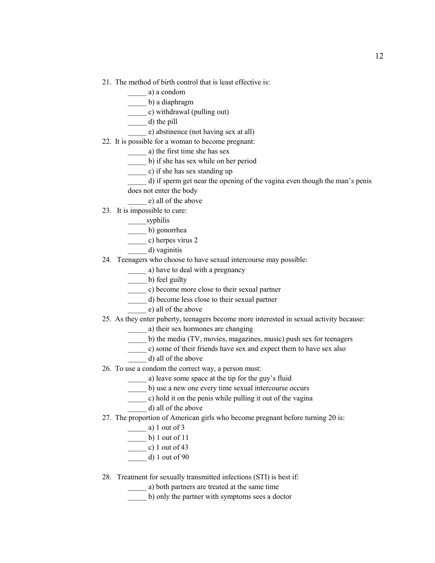- 21. The method of birth control that is least effective is:
	- \_\_\_\_\_ a) a condom
	- \_\_\_\_\_ b) a diaphragm
	- \_\_\_\_\_ c) withdrawal (pulling out)
	- $\frac{d}{dt}$  d) the pill
	- e) abstinence (not having sex at all)
- 22. It is possible for a woman to become pregnant:
	- \_\_\_\_\_ a) the first time she has sex
	- \_\_\_\_\_ b) if she has sex while on her period
	- \_\_\_\_\_ c) if she has sex standing up
	- \_\_\_\_\_ d) if sperm get near the opening of the vagina even though the man's penis does not enter the body
	- \_\_\_\_\_ e) all of the above
- 23. It is impossible to cure:
	- \_\_\_\_\_\_syphilis
	- \_\_\_\_\_ b) gonorrhea
	- \_\_\_\_\_ c) herpes virus 2
	- \_\_\_\_\_ d) vaginitis
- 24. Teenagers who choose to have sexual intercourse may possible:
	- \_\_\_\_\_ a) have to deal with a pregnancy
	- \_\_\_\_\_ b) feel guilty
	- \_\_\_\_\_ c) become more close to their sexual partner
	- \_\_\_\_\_ d) become less close to their sexual partner
	- \_\_\_\_\_ e) all of the above
- 25. As they enter puberty, teenagers become more interested in sexual activity because:
	- \_\_\_\_\_ a) their sex hormones are changing
	- \_\_\_\_\_ b) the media (TV, movies, magazines, music) push sex for teenagers
	- \_\_\_\_\_ c) some of their friends have sex and expect them to have sex also
		- \_\_\_\_\_ d) all of the above
- 26. To use a condom the correct way, a person must:
	- \_\_\_\_\_ a) leave some space at the tip for the guy's fluid
	- \_\_\_\_\_ b) use a new one every time sexual intercourse occurs
	- \_\_\_\_\_ c) hold it on the penis while pulling it out of the vagina
		- \_\_\_\_\_ d) all of the above
- 27. The proportion of American girls who become pregnant before turning 20 is:
	- \_\_\_\_\_ a) 1 out of 3
	- $\frac{1}{2}$  b) 1 out of 11
	- $\frac{\ }{}$  c) 1 out of 43
	- \_\_\_\_\_ d) 1 out of 90
- 28. Treatment for sexually transmitted infections (STI) is best if:
	- \_\_\_\_\_ a) both partners are treated at the same time
	- \_\_\_\_\_ b) only the partner with symptoms sees a doctor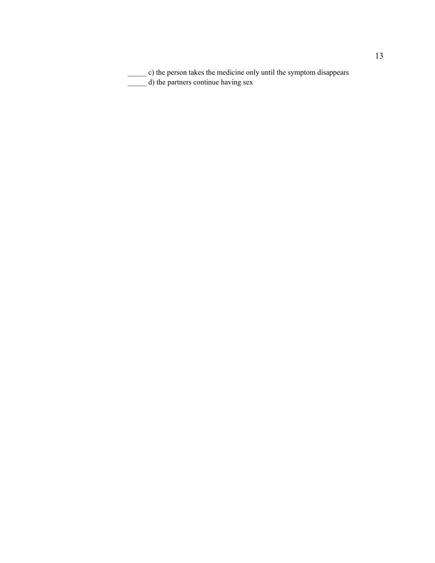\_\_\_\_\_ c) the person takes the medicine only until the symptom disappears \_\_\_\_\_ d) the partners continue having sex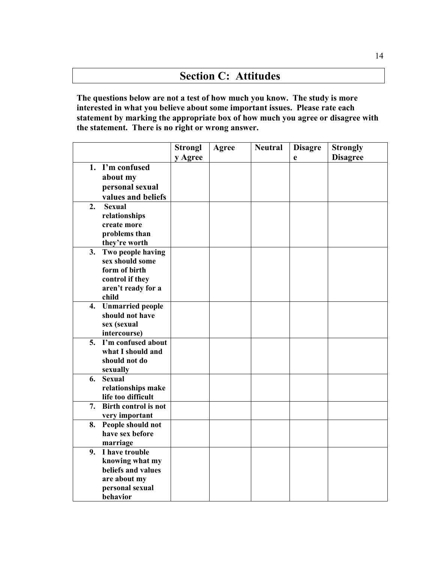# **Section C: Attitudes**

**The questions below are not a test of how much you know. The study is more interested in what you believe about some important issues. Please rate each statement by marking the appropriate box of how much you agree or disagree with the statement. There is no right or wrong answer.** 

|    |                             | <b>Strongl</b> | Agree | <b>Neutral</b> | <b>Disagre</b> | <b>Strongly</b> |
|----|-----------------------------|----------------|-------|----------------|----------------|-----------------|
|    |                             | y Agree        |       |                | e              | <b>Disagree</b> |
|    | 1. I'm confused             |                |       |                |                |                 |
|    | about my                    |                |       |                |                |                 |
|    | personal sexual             |                |       |                |                |                 |
|    | values and beliefs          |                |       |                |                |                 |
| 2. | <b>Sexual</b>               |                |       |                |                |                 |
|    | relationships               |                |       |                |                |                 |
|    | create more                 |                |       |                |                |                 |
|    | problems than               |                |       |                |                |                 |
|    | they're worth               |                |       |                |                |                 |
| 3. | Two people having           |                |       |                |                |                 |
|    | sex should some             |                |       |                |                |                 |
|    | form of birth               |                |       |                |                |                 |
|    | control if they             |                |       |                |                |                 |
|    | aren't ready for a          |                |       |                |                |                 |
|    | child                       |                |       |                |                |                 |
|    | 4. Unmarried people         |                |       |                |                |                 |
|    | should not have             |                |       |                |                |                 |
|    | sex (sexual<br>intercourse) |                |       |                |                |                 |
| 5. | I'm confused about          |                |       |                |                |                 |
|    | what I should and           |                |       |                |                |                 |
|    | should not do               |                |       |                |                |                 |
|    | sexually                    |                |       |                |                |                 |
| 6. | <b>Sexual</b>               |                |       |                |                |                 |
|    | relationships make          |                |       |                |                |                 |
|    | life too difficult          |                |       |                |                |                 |
| 7. | <b>Birth control is not</b> |                |       |                |                |                 |
|    | very important              |                |       |                |                |                 |
| 8. | People should not           |                |       |                |                |                 |
|    | have sex before             |                |       |                |                |                 |
|    | marriage                    |                |       |                |                |                 |
| 9. | I have trouble              |                |       |                |                |                 |
|    | knowing what my             |                |       |                |                |                 |
|    | beliefs and values          |                |       |                |                |                 |
|    | are about my                |                |       |                |                |                 |
|    | personal sexual             |                |       |                |                |                 |
|    | behavior                    |                |       |                |                |                 |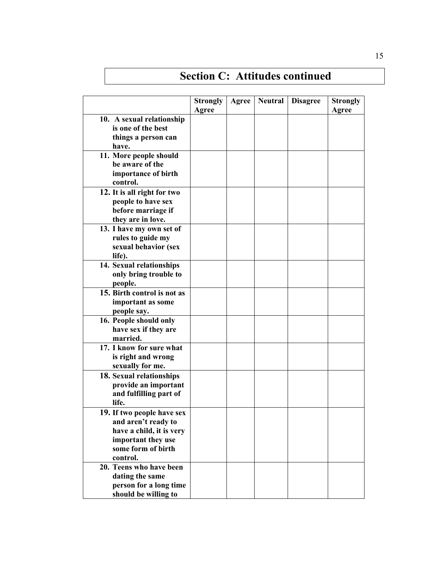|                             | <b>Strongly</b> | Agree | <b>Neutral</b> | <b>Disagree</b> | <b>Strongly</b> |
|-----------------------------|-----------------|-------|----------------|-----------------|-----------------|
|                             | Agree           |       |                |                 | Agree           |
| 10. A sexual relationship   |                 |       |                |                 |                 |
| is one of the best          |                 |       |                |                 |                 |
| things a person can         |                 |       |                |                 |                 |
| have.                       |                 |       |                |                 |                 |
| 11. More people should      |                 |       |                |                 |                 |
| be aware of the             |                 |       |                |                 |                 |
| importance of birth         |                 |       |                |                 |                 |
| control.                    |                 |       |                |                 |                 |
| 12. It is all right for two |                 |       |                |                 |                 |
| people to have sex          |                 |       |                |                 |                 |
| before marriage if          |                 |       |                |                 |                 |
| they are in love.           |                 |       |                |                 |                 |
| 13. I have my own set of    |                 |       |                |                 |                 |
| rules to guide my           |                 |       |                |                 |                 |
| sexual behavior (sex        |                 |       |                |                 |                 |
| life).                      |                 |       |                |                 |                 |
| 14. Sexual relationships    |                 |       |                |                 |                 |
| only bring trouble to       |                 |       |                |                 |                 |
| people.                     |                 |       |                |                 |                 |
| 15. Birth control is not as |                 |       |                |                 |                 |
| important as some           |                 |       |                |                 |                 |
| people say.                 |                 |       |                |                 |                 |
| 16. People should only      |                 |       |                |                 |                 |
| have sex if they are        |                 |       |                |                 |                 |
| married.                    |                 |       |                |                 |                 |
| 17. I know for sure what    |                 |       |                |                 |                 |
| is right and wrong          |                 |       |                |                 |                 |
| sexually for me.            |                 |       |                |                 |                 |
| 18. Sexual relationships    |                 |       |                |                 |                 |
| provide an important        |                 |       |                |                 |                 |
| and fulfilling part of      |                 |       |                |                 |                 |
| life.                       |                 |       |                |                 |                 |
| 19. If two people have sex  |                 |       |                |                 |                 |
| and aren't ready to         |                 |       |                |                 |                 |
| have a child, it is very    |                 |       |                |                 |                 |
| important they use          |                 |       |                |                 |                 |
| some form of birth          |                 |       |                |                 |                 |
| control.                    |                 |       |                |                 |                 |
| 20. Teens who have been     |                 |       |                |                 |                 |
| dating the same             |                 |       |                |                 |                 |
| person for a long time      |                 |       |                |                 |                 |
| should be willing to        |                 |       |                |                 |                 |

# **Section C: Attitudes continued**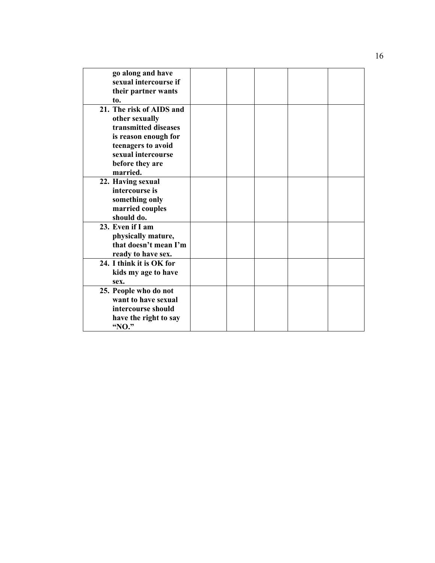| go along and have        |  |  |  |
|--------------------------|--|--|--|
| sexual intercourse if    |  |  |  |
| their partner wants      |  |  |  |
| to.                      |  |  |  |
| 21. The risk of AIDS and |  |  |  |
| other sexually           |  |  |  |
| transmitted diseases     |  |  |  |
| is reason enough for     |  |  |  |
| teenagers to avoid       |  |  |  |
| sexual intercourse       |  |  |  |
| before they are          |  |  |  |
| married.                 |  |  |  |
| 22. Having sexual        |  |  |  |
| intercourse is           |  |  |  |
| something only           |  |  |  |
| married couples          |  |  |  |
| should do.               |  |  |  |
| 23. Even if I am         |  |  |  |
| physically mature,       |  |  |  |
| that doesn't mean I'm    |  |  |  |
| ready to have sex.       |  |  |  |
| 24. I think it is OK for |  |  |  |
| kids my age to have      |  |  |  |
| sex.                     |  |  |  |
| 25. People who do not    |  |  |  |
| want to have sexual      |  |  |  |
| intercourse should       |  |  |  |
| have the right to say    |  |  |  |
| "NO."                    |  |  |  |
|                          |  |  |  |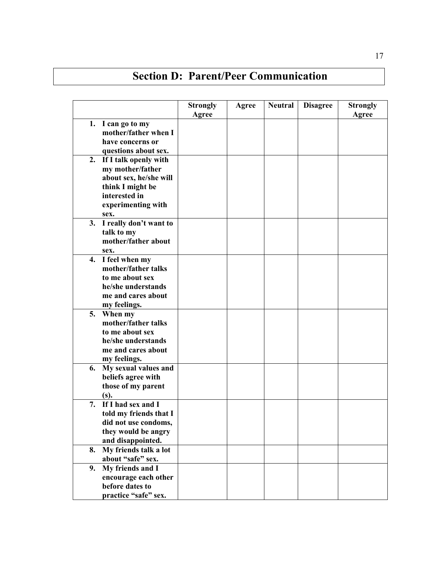# **Section D: Parent/Peer Communication**

|    |                                                                                                                                        | <b>Strongly</b><br>Agree | Agree | <b>Neutral</b> | <b>Disagree</b> | <b>Strongly</b><br>Agree |
|----|----------------------------------------------------------------------------------------------------------------------------------------|--------------------------|-------|----------------|-----------------|--------------------------|
|    | 1. I can go to my<br>mother/father when I<br>have concerns or<br>questions about sex.                                                  |                          |       |                |                 |                          |
| 2. | If I talk openly with<br>my mother/father<br>about sex, he/she will<br>think I might be<br>interested in<br>experimenting with<br>sex. |                          |       |                |                 |                          |
|    | 3. I really don't want to<br>talk to my<br>mother/father about<br>sex.                                                                 |                          |       |                |                 |                          |
|    | 4. I feel when my<br>mother/father talks<br>to me about sex<br>he/she understands<br>me and cares about<br>my feelings.                |                          |       |                |                 |                          |
|    | 5. When my<br>mother/father talks<br>to me about sex<br>he/she understands<br>me and cares about<br>my feelings.                       |                          |       |                |                 |                          |
| 6. | My sexual values and<br>beliefs agree with<br>those of my parent<br>$(s)$ .                                                            |                          |       |                |                 |                          |
| 7. | If I had sex and I<br>told my friends that I<br>did not use condoms,<br>they would be angry<br>and disappointed.                       |                          |       |                |                 |                          |
| 8. | My friends talk a lot<br>about "safe" sex.                                                                                             |                          |       |                |                 |                          |
| 9. | My friends and I<br>encourage each other<br>before dates to<br>practice "safe" sex.                                                    |                          |       |                |                 |                          |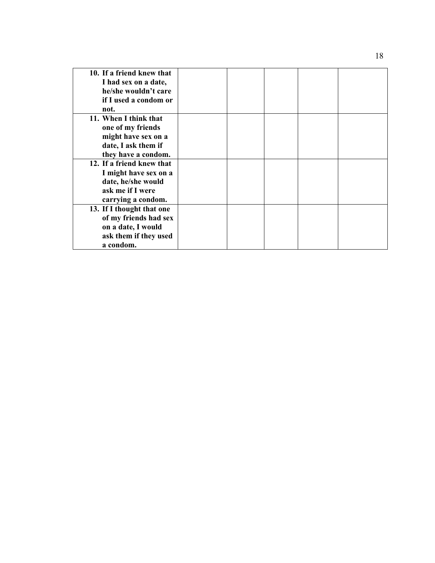| 10. If a friend knew that<br>I had sex on a date,<br>he/she wouldn't care<br>if I used a condom or                 |  |  |  |
|--------------------------------------------------------------------------------------------------------------------|--|--|--|
| not.                                                                                                               |  |  |  |
| 11. When I think that<br>one of my friends<br>might have sex on a                                                  |  |  |  |
| date, I ask them if<br>they have a condom.                                                                         |  |  |  |
| 12. If a friend knew that<br>I might have sex on a<br>date, he/she would<br>ask me if I were<br>carrying a condom. |  |  |  |
| 13. If I thought that one<br>of my friends had sex<br>on a date, I would<br>ask them if they used<br>a condom.     |  |  |  |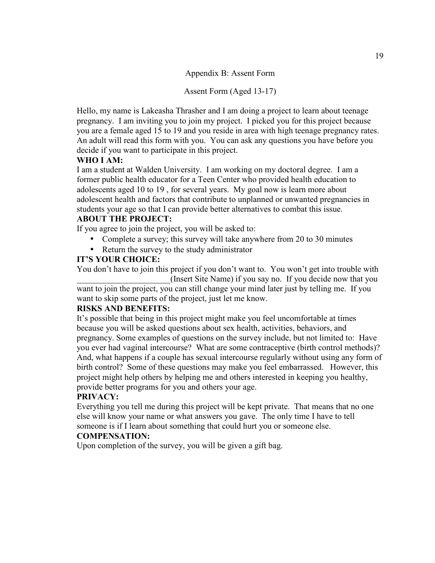Appendix B: Assent Form

Assent Form (Aged 13-17)

Hello, my name is Lakeasha Thrasher and I am doing a project to learn about teenage pregnancy. I am inviting you to join my project. I picked you for this project because you are a female aged 15 to 19 and you reside in area with high teenage pregnancy rates. An adult will read this form with you. You can ask any questions you have before you decide if you want to participate in this project.

# **WHO I AM:**

I am a student at Walden University. I am working on my doctoral degree. I am a former public health educator for a Teen Center who provided health education to adolescents aged 10 to 19 , for several years. My goal now is learn more about adolescent health and factors that contribute to unplanned or unwanted pregnancies in students your age so that I can provide better alternatives to combat this issue.

# **ABOUT THE PROJECT:**

If you agree to join the project, you will be asked to:

- Complete a survey; this survey will take anywhere from 20 to 30 minutes
- Return the survey to the study administrator

# **IT'S YOUR CHOICE:**

You don't have to join this project if you don't want to. You won't get into trouble with (Insert Site Name) if you say no. If you decide now that you

want to join the project, you can still change your mind later just by telling me. If you want to skip some parts of the project, just let me know.

# **RISKS AND BENEFITS:**

It's possible that being in this project might make you feel uncomfortable at times because you will be asked questions about sex health, activities, behaviors, and pregnancy. Some examples of questions on the survey include, but not limited to: Have you ever had vaginal intercourse? What are some contraceptive (birth control methods)? And, what happens if a couple has sexual intercourse regularly without using any form of birth control? Some of these questions may make you feel embarrassed. However, this project might help others by helping me and others interested in keeping you healthy, provide better programs for you and others your age.

# **PRIVACY:**

Everything you tell me during this project will be kept private. That means that no one else will know your name or what answers you gave. The only time I have to tell someone is if I learn about something that could hurt you or someone else.

# **COMPENSATION:**

Upon completion of the survey, you will be given a gift bag.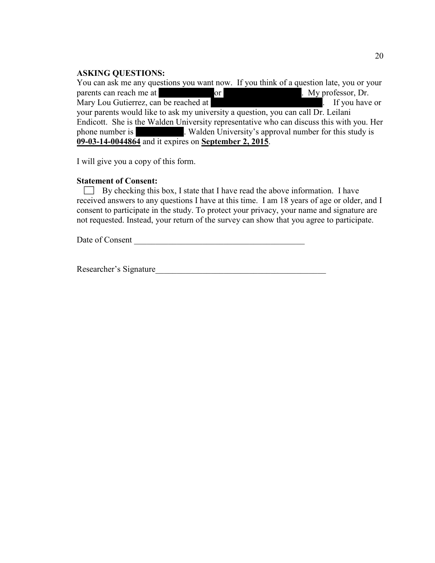# **ASKING QUESTIONS:**

You can ask me any questions you want now. If you think of a question late, you or your parents can reach me at  $\overline{\phantom{a}}$ parents can reach me at  $\qquad \qquad$  or  $\qquad \qquad$  . My professor, Dr. Mary Lou Gutierrez, can be reached at  $\blacksquare$  If you have or your parents would like to ask my university a question, you can call Dr. Leilani Endicott. She is the Walden University representative who can discuss this with you. Her phone number is 612-312-1210. Walden University's approval number for this study is **09-03-14-0044864** and it expires on **September 2, 2015**.

I will give you a copy of this form.

### **Statement of Consent:**

 $\Box$  By checking this box, I state that I have read the above information. I have received answers to any questions I have at this time. I am 18 years of age or older, and I consent to participate in the study. To protect your privacy, your name and signature are not requested. Instead, your return of the survey can show that you agree to participate.

Date of Consent

Researcher's Signature\_\_\_\_\_\_\_\_\_\_\_\_\_\_\_\_\_\_\_\_\_\_\_\_\_\_\_\_\_\_\_\_\_\_\_\_\_\_\_\_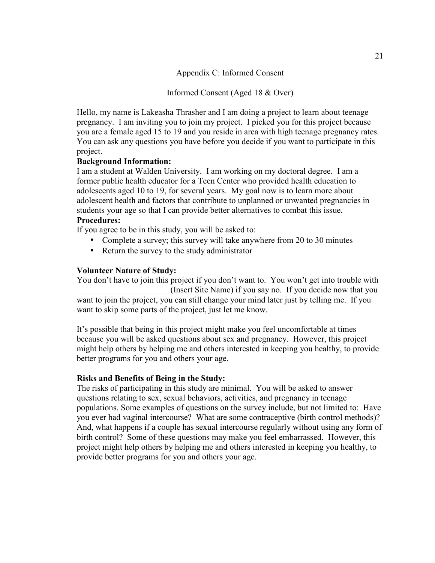Appendix C: Informed Consent

Informed Consent (Aged 18 & Over)

Hello, my name is Lakeasha Thrasher and I am doing a project to learn about teenage pregnancy. I am inviting you to join my project. I picked you for this project because you are a female aged 15 to 19 and you reside in area with high teenage pregnancy rates. You can ask any questions you have before you decide if you want to participate in this project.

# **Background Information:**

I am a student at Walden University. I am working on my doctoral degree. I am a former public health educator for a Teen Center who provided health education to adolescents aged 10 to 19, for several years. My goal now is to learn more about adolescent health and factors that contribute to unplanned or unwanted pregnancies in students your age so that I can provide better alternatives to combat this issue. **Procedures:** 

If you agree to be in this study, you will be asked to:

- Complete a survey; this survey will take anywhere from 20 to 30 minutes
- Return the survey to the study administrator

# **Volunteer Nature of Study:**

You don't have to join this project if you don't want to. You won't get into trouble with (Insert Site Name) if you say no. If you decide now that you want to join the project, you can still change your mind later just by telling me. If you want to skip some parts of the project, just let me know.

It's possible that being in this project might make you feel uncomfortable at times because you will be asked questions about sex and pregnancy. However, this project might help others by helping me and others interested in keeping you healthy, to provide better programs for you and others your age.

#### **Risks and Benefits of Being in the Study:**

The risks of participating in this study are minimal. You will be asked to answer questions relating to sex, sexual behaviors, activities, and pregnancy in teenage populations. Some examples of questions on the survey include, but not limited to: Have you ever had vaginal intercourse? What are some contraceptive (birth control methods)? And, what happens if a couple has sexual intercourse regularly without using any form of birth control? Some of these questions may make you feel embarrassed. However, this project might help others by helping me and others interested in keeping you healthy, to provide better programs for you and others your age.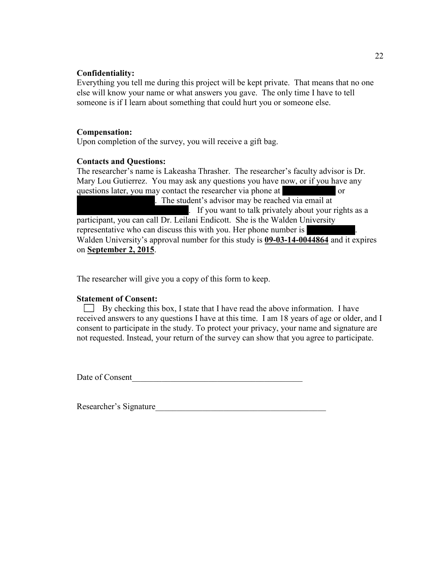#### **Confidentiality:**

Everything you tell me during this project will be kept private. That means that no one else will know your name or what answers you gave. The only time I have to tell someone is if I learn about something that could hurt you or someone else.

#### **Compensation:**

Upon completion of the survey, you will receive a gift bag.

#### **Contacts and Questions:**

The researcher's name is Lakeasha Thrasher. The researcher's faculty advisor is Dr. Mary Lou Gutierrez. You may ask any questions you have now, or if you have any questions later, you may contact the researcher via phone at  $\alpha$ . The student's advisor may be reached via email at marylou. If you want to talk privately about your rights as a participant, you can call Dr. Leilani Endicott. She is the Walden University representative who can discuss this with you. Her phone number is Walden University's approval number for this study is **09-03-14-0044864** and it expires on **September 2, 2015**.

The researcher will give you a copy of this form to keep.

#### **Statement of Consent:**

 $\Box$  By checking this box, I state that I have read the above information. I have received answers to any questions I have at this time. I am 18 years of age or older, and I consent to participate in the study. To protect your privacy, your name and signature are not requested. Instead, your return of the survey can show that you agree to participate.

Date of Consent

Researcher's Signature\_\_\_\_\_\_\_\_\_\_\_\_\_\_\_\_\_\_\_\_\_\_\_\_\_\_\_\_\_\_\_\_\_\_\_\_\_\_\_\_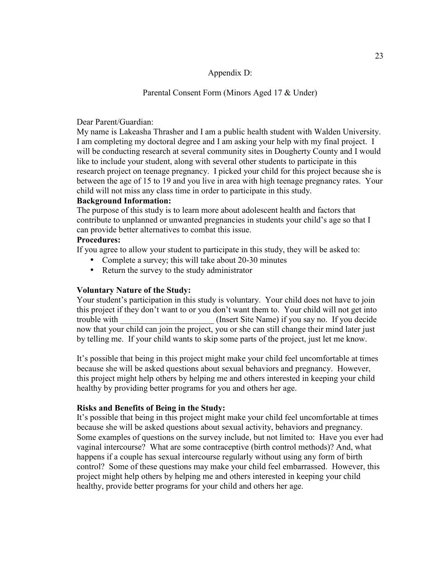#### Appendix D:

# Parental Consent Form (Minors Aged 17 & Under)

#### Dear Parent/Guardian:

My name is Lakeasha Thrasher and I am a public health student with Walden University. I am completing my doctoral degree and I am asking your help with my final project. I will be conducting research at several community sites in Dougherty County and I would like to include your student, along with several other students to participate in this research project on teenage pregnancy. I picked your child for this project because she is between the age of 15 to 19 and you live in area with high teenage pregnancy rates. Your child will not miss any class time in order to participate in this study.

#### **Background Information:**

The purpose of this study is to learn more about adolescent health and factors that contribute to unplanned or unwanted pregnancies in students your child's age so that I can provide better alternatives to combat this issue.

#### **Procedures:**

If you agree to allow your student to participate in this study, they will be asked to:

- Complete a survey; this will take about 20-30 minutes
- Return the survey to the study administrator

#### **Voluntary Nature of the Study:**

Your student's participation in this study is voluntary. Your child does not have to join this project if they don't want to or you don't want them to. Your child will not get into trouble with  $(Insert Site Name)$  if you say no. If you decide now that your child can join the project, you or she can still change their mind later just by telling me. If your child wants to skip some parts of the project, just let me know.

It's possible that being in this project might make your child feel uncomfortable at times because she will be asked questions about sexual behaviors and pregnancy. However, this project might help others by helping me and others interested in keeping your child healthy by providing better programs for you and others her age.

#### **Risks and Benefits of Being in the Study:**

It's possible that being in this project might make your child feel uncomfortable at times because she will be asked questions about sexual activity, behaviors and pregnancy. Some examples of questions on the survey include, but not limited to: Have you ever had vaginal intercourse? What are some contraceptive (birth control methods)? And, what happens if a couple has sexual intercourse regularly without using any form of birth control? Some of these questions may make your child feel embarrassed. However, this project might help others by helping me and others interested in keeping your child healthy, provide better programs for your child and others her age.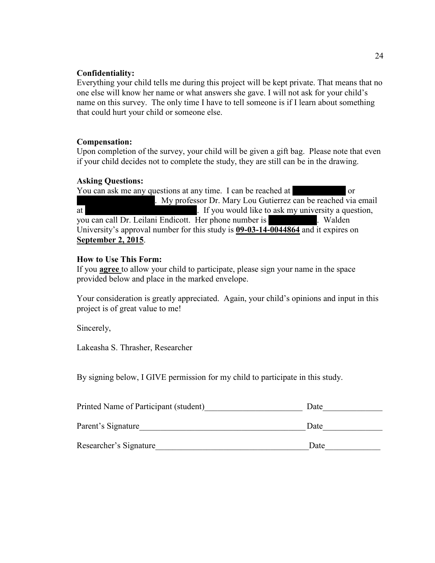### **Confidentiality:**

Everything your child tells me during this project will be kept private. That means that no one else will know her name or what answers she gave. I will not ask for your child's name on this survey. The only time I have to tell someone is if I learn about something that could hurt your child or someone else.

# **Compensation:**

Upon completion of the survey, your child will be given a gift bag. Please note that even if your child decides not to complete the study, they are still can be in the drawing.

# **Asking Questions:**

You can ask me any questions at any time. I can be reached at or kperifiere. My professor Dr. Mary Lou Gutierrez can be reached via email at market matrix is not multiply if you would like to ask my university a question, you can call Dr. Leilani Endicott. Her phone number is 612-312-312-312-1210. Walden University's approval number for this study is **09-03-14-0044864** and it expires on **September 2, 2015**.

# **How to Use This Form:**

If you **agree** to allow your child to participate, please sign your name in the space provided below and place in the marked envelope.

Your consideration is greatly appreciated. Again, your child's opinions and input in this project is of great value to me!

Sincerely,

Lakeasha S. Thrasher, Researcher

By signing below, I GIVE permission for my child to participate in this study.

| Printed Name of Participant (student) | Date |
|---------------------------------------|------|
| Parent's Signature                    | Date |
| Researcher's Signature                | Date |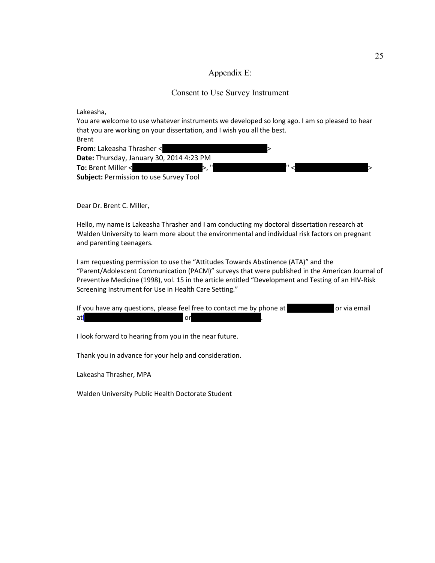#### Appendix E:

#### Consent to Use Survey Instrument

Lakeasha,

You are welcome to use whatever instruments we developed so long ago. I am so pleased to hear that you are working on your dissertation, and I wish you all the best.

| <b>Brent</b>                                  |  |
|-----------------------------------------------|--|
| <b>From:</b> Lakeasha Thrasher <              |  |
| Date: Thursday, January 30, 2014 4:23 PM      |  |
| To: Brent Miller <                            |  |
| <b>Subject: Permission to use Survey Tool</b> |  |

Dear Dr. Brent C. Miller,

Hello, my name is Lakeasha Thrasher and I am conducting my doctoral dissertation research at Walden University to learn more about the environmental and individual risk factors on pregnant and parenting teenagers.

I am requesting permission to use the "Attitudes Towards Abstinence (ATA)" and the "Parent/Adolescent Communication (PACM)" surveys that were published in the American Journal of Preventive Medicine (1998), vol. 15 in the article entitled "Development and Testing of an HIV-Risk Screening Instrument for Use in Health Care Setting."

| If you have any questions, please feel free to contact me by phone at |     | or via email |
|-----------------------------------------------------------------------|-----|--------------|
| atl                                                                   | orl |              |

I look forward to hearing from you in the near future.

Thank you in advance for your help and consideration.

Lakeasha Thrasher, MPA

Walden University Public Health Doctorate Student